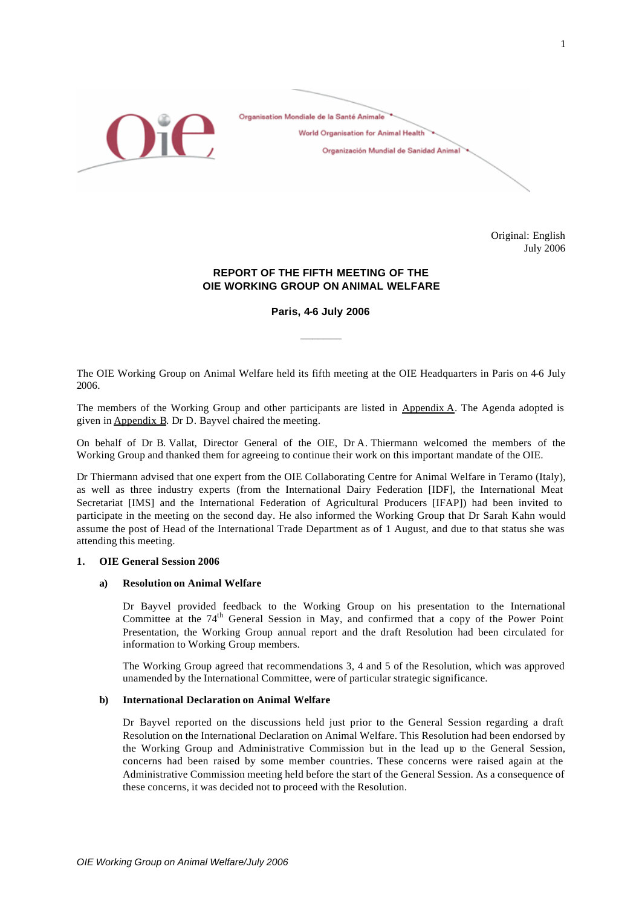

Original: English July 2006

### **REPORT OF THE FIFTH MEETING OF THE OIE WORKING GROUP ON ANIMAL WELFARE**

**Paris, 4-6 July 2006**

**\_\_\_\_\_\_\_**

The OIE Working Group on Animal Welfare held its fifth meeting at the OIE Headquarters in Paris on 4-6 July 2006.

The members of the Working Group and other participants are listed in Appendix A. The Agenda adopted is given in Appendix B. Dr D. Bayvel chaired the meeting.

On behalf of Dr B. Vallat, Director General of the OIE, Dr A. Thiermann welcomed the members of the Working Group and thanked them for agreeing to continue their work on this important mandate of the OIE.

Dr Thiermann advised that one expert from the OIE Collaborating Centre for Animal Welfare in Teramo (Italy), as well as three industry experts (from the International Dairy Federation [IDF], the International Meat Secretariat [IMS] and the International Federation of Agricultural Producers [IFAP]) had been invited to participate in the meeting on the second day. He also informed the Working Group that Dr Sarah Kahn would assume the post of Head of the International Trade Department as of 1 August, and due to that status she was attending this meeting.

#### **1. OIE General Session 2006**

#### **a) Resolution on Animal Welfare**

Dr Bayvel provided feedback to the Working Group on his presentation to the International Committee at the  $74<sup>th</sup>$  General Session in May, and confirmed that a copy of the Power Point Presentation, the Working Group annual report and the draft Resolution had been circulated for information to Working Group members.

The Working Group agreed that recommendations 3, 4 and 5 of the Resolution, which was approved unamended by the International Committee, were of particular strategic significance.

#### **b) International Declaration on Animal Welfare**

Dr Bayvel reported on the discussions held just prior to the General Session regarding a draft Resolution on the International Declaration on Animal Welfare. This Resolution had been endorsed by the Working Group and Administrative Commission but in the lead up to the General Session, concerns had been raised by some member countries. These concerns were raised again at the Administrative Commission meeting held before the start of the General Session. As a consequence of these concerns, it was decided not to proceed with the Resolution.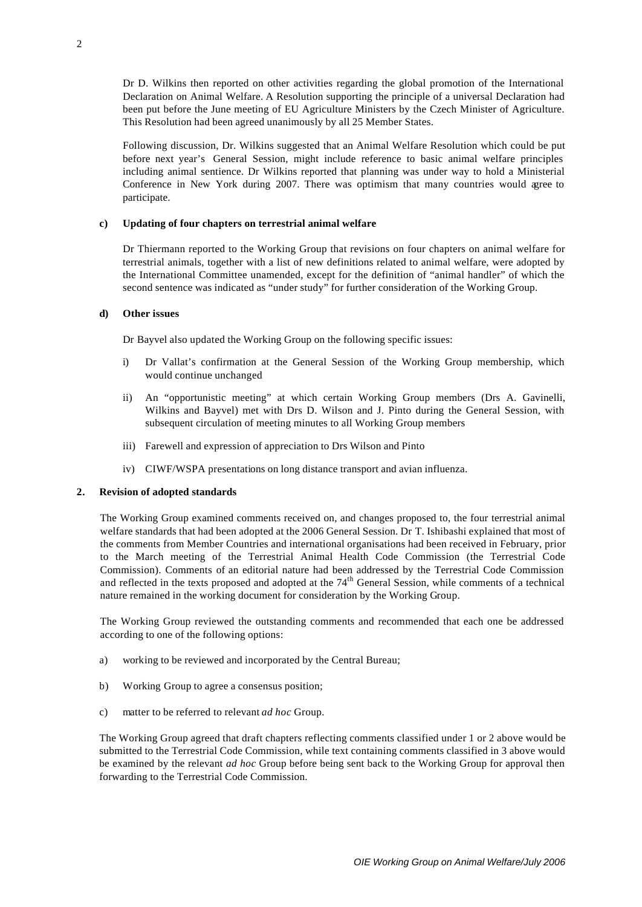Dr D. Wilkins then reported on other activities regarding the global promotion of the International Declaration on Animal Welfare. A Resolution supporting the principle of a universal Declaration had been put before the June meeting of EU Agriculture Ministers by the Czech Minister of Agriculture. This Resolution had been agreed unanimously by all 25 Member States.

Following discussion, Dr. Wilkins suggested that an Animal Welfare Resolution which could be put before next year's General Session, might include reference to basic animal welfare principles including animal sentience. Dr Wilkins reported that planning was under way to hold a Ministerial Conference in New York during 2007. There was optimism that many countries would agree to participate.

#### **c) Updating of four chapters on terrestrial animal welfare**

Dr Thiermann reported to the Working Group that revisions on four chapters on animal welfare for terrestrial animals, together with a list of new definitions related to animal welfare, were adopted by the International Committee unamended, except for the definition of "animal handler" of which the second sentence was indicated as "under study" for further consideration of the Working Group.

#### **d) Other issues**

Dr Bayvel also updated the Working Group on the following specific issues:

- i) Dr Vallat's confirmation at the General Session of the Working Group membership, which would continue unchanged
- ii) An "opportunistic meeting" at which certain Working Group members (Drs A. Gavinelli, Wilkins and Bayvel) met with Drs D. Wilson and J. Pinto during the General Session, with subsequent circulation of meeting minutes to all Working Group members
- iii) Farewell and expression of appreciation to Drs Wilson and Pinto
- iv) CIWF/WSPA presentations on long distance transport and avian influenza.

#### **2. Revision of adopted standards**

The Working Group examined comments received on, and changes proposed to, the four terrestrial animal welfare standards that had been adopted at the 2006 General Session. Dr T. Ishibashi explained that most of the comments from Member Countries and international organisations had been received in February, prior to the March meeting of the Terrestrial Animal Health Code Commission (the Terrestrial Code Commission). Comments of an editorial nature had been addressed by the Terrestrial Code Commission and reflected in the texts proposed and adopted at the 74<sup>th</sup> General Session, while comments of a technical nature remained in the working document for consideration by the Working Group.

The Working Group reviewed the outstanding comments and recommended that each one be addressed according to one of the following options:

- a) working to be reviewed and incorporated by the Central Bureau;
- b) Working Group to agree a consensus position;
- c) matter to be referred to relevant *ad hoc* Group.

The Working Group agreed that draft chapters reflecting comments classified under 1 or 2 above would be submitted to the Terrestrial Code Commission, while text containing comments classified in 3 above would be examined by the relevant *ad hoc* Group before being sent back to the Working Group for approval then forwarding to the Terrestrial Code Commission.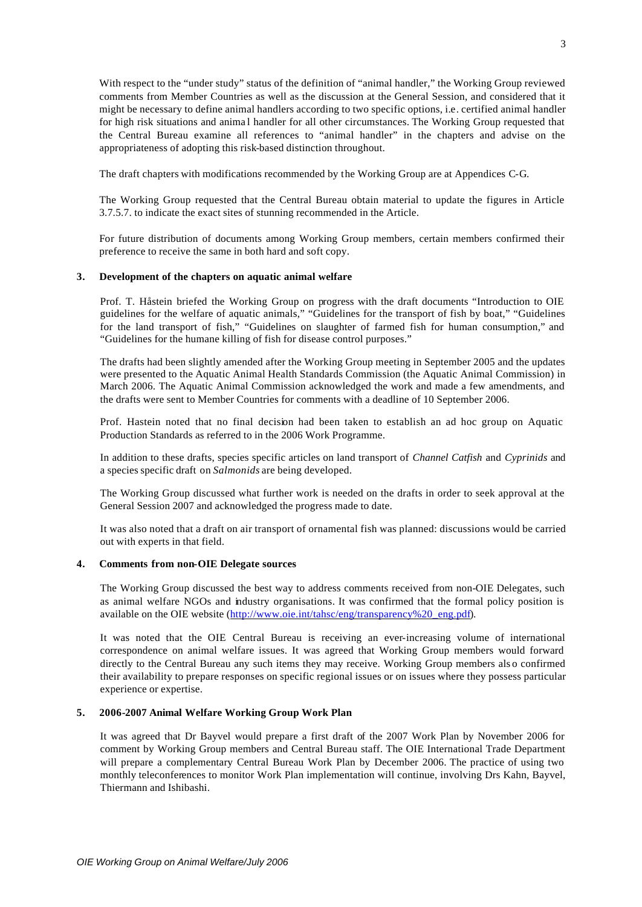3

With respect to the "under study" status of the definition of "animal handler," the Working Group reviewed comments from Member Countries as well as the discussion at the General Session, and considered that it might be necessary to define animal handlers according to two specific options, i.e. certified animal handler for high risk situations and anima l handler for all other circumstances. The Working Group requested that the Central Bureau examine all references to "animal handler" in the chapters and advise on the appropriateness of adopting this risk-based distinction throughout.

The draft chapters with modifications recommended by the Working Group are at Appendices C-G.

The Working Group requested that the Central Bureau obtain material to update the figures in Article 3.7.5.7. to indicate the exact sites of stunning recommended in the Article.

For future distribution of documents among Working Group members, certain members confirmed their preference to receive the same in both hard and soft copy.

#### **3. Development of the chapters on aquatic animal welfare**

Prof. T. Håstein briefed the Working Group on progress with the draft documents "Introduction to OIE guidelines for the welfare of aquatic animals," "Guidelines for the transport of fish by boat," "Guidelines for the land transport of fish," "Guidelines on slaughter of farmed fish for human consumption," and "Guidelines for the humane killing of fish for disease control purposes."

The drafts had been slightly amended after the Working Group meeting in September 2005 and the updates were presented to the Aquatic Animal Health Standards Commission (the Aquatic Animal Commission) in March 2006. The Aquatic Animal Commission acknowledged the work and made a few amendments, and the drafts were sent to Member Countries for comments with a deadline of 10 September 2006.

Prof. Hastein noted that no final decision had been taken to establish an ad hoc group on Aquatic Production Standards as referred to in the 2006 Work Programme.

In addition to these drafts, species specific articles on land transport of *Channel Catfish* and *Cyprinids* and a species specific draft on *Salmonids* are being developed.

The Working Group discussed what further work is needed on the drafts in order to seek approval at the General Session 2007 and acknowledged the progress made to date.

It was also noted that a draft on air transport of ornamental fish was planned: discussions would be carried out with experts in that field.

#### **4. Comments from non-OIE Delegate sources**

The Working Group discussed the best way to address comments received from non-OIE Delegates, such as animal welfare NGOs and industry organisations. It was confirmed that the formal policy position is available on the OIE website (http://www.oie.int/tahsc/eng/transparency%20\_eng.pdf).

It was noted that the OIE Central Bureau is receiving an ever-increasing volume of international correspondence on animal welfare issues. It was agreed that Working Group members would forward directly to the Central Bureau any such items they may receive. Working Group members als o confirmed their availability to prepare responses on specific regional issues or on issues where they possess particular experience or expertise.

### **5. 2006-2007 Animal Welfare Working Group Work Plan**

It was agreed that Dr Bayvel would prepare a first draft of the 2007 Work Plan by November 2006 for comment by Working Group members and Central Bureau staff. The OIE International Trade Department will prepare a complementary Central Bureau Work Plan by December 2006. The practice of using two monthly teleconferences to monitor Work Plan implementation will continue, involving Drs Kahn, Bayvel, Thiermann and Ishibashi.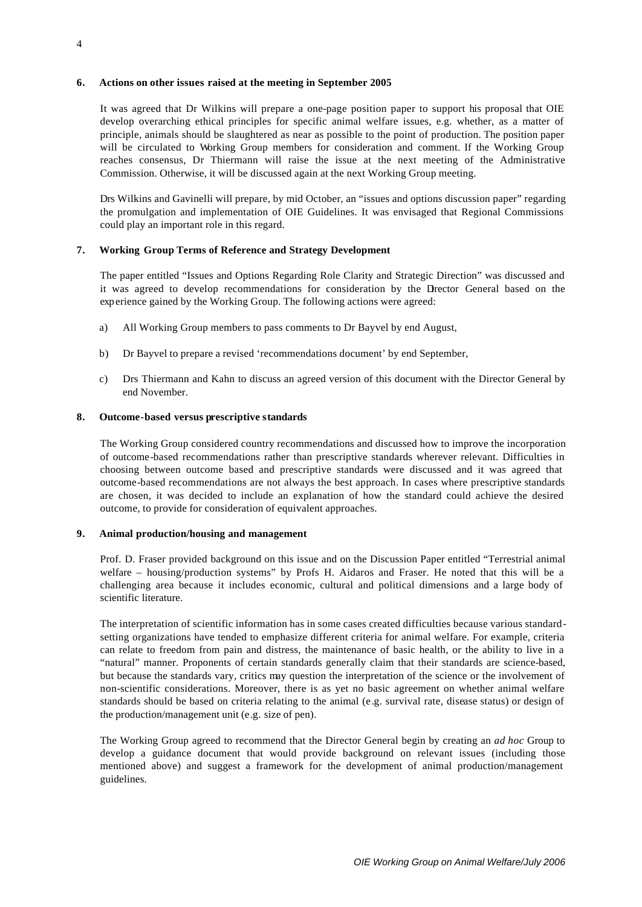#### **6. Actions on other issues raised at the meeting in September 2005**

It was agreed that Dr Wilkins will prepare a one-page position paper to support his proposal that OIE develop overarching ethical principles for specific animal welfare issues, e.g. whether, as a matter of principle, animals should be slaughtered as near as possible to the point of production. The position paper will be circulated to Working Group members for consideration and comment. If the Working Group reaches consensus, Dr Thiermann will raise the issue at the next meeting of the Administrative Commission. Otherwise, it will be discussed again at the next Working Group meeting.

Drs Wilkins and Gavinelli will prepare, by mid October, an "issues and options discussion paper" regarding the promulgation and implementation of OIE Guidelines. It was envisaged that Regional Commissions could play an important role in this regard.

#### **7. Working Group Terms of Reference and Strategy Development**

The paper entitled "Issues and Options Regarding Role Clarity and Strategic Direction" was discussed and it was agreed to develop recommendations for consideration by the Director General based on the experience gained by the Working Group. The following actions were agreed:

- a) All Working Group members to pass comments to Dr Bayvel by end August,
- b) Dr Bayvel to prepare a revised 'recommendations document' by end September,
- c) Drs Thiermann and Kahn to discuss an agreed version of this document with the Director General by end November.

### **8. Outcome-based versus prescriptive standards**

The Working Group considered country recommendations and discussed how to improve the incorporation of outcome-based recommendations rather than prescriptive standards wherever relevant. Difficulties in choosing between outcome based and prescriptive standards were discussed and it was agreed that outcome-based recommendations are not always the best approach. In cases where prescriptive standards are chosen, it was decided to include an explanation of how the standard could achieve the desired outcome, to provide for consideration of equivalent approaches.

#### **9. Animal production/housing and management**

Prof. D. Fraser provided background on this issue and on the Discussion Paper entitled "Terrestrial animal welfare – housing/production systems" by Profs H. Aidaros and Fraser. He noted that this will be a challenging area because it includes economic, cultural and political dimensions and a large body of scientific literature.

The interpretation of scientific information has in some cases created difficulties because various standardsetting organizations have tended to emphasize different criteria for animal welfare. For example, criteria can relate to freedom from pain and distress, the maintenance of basic health, or the ability to live in a "natural" manner. Proponents of certain standards generally claim that their standards are science-based, but because the standards vary, critics may question the interpretation of the science or the involvement of non-scientific considerations. Moreover, there is as yet no basic agreement on whether animal welfare standards should be based on criteria relating to the animal (e.g. survival rate, disease status) or design of the production/management unit (e.g. size of pen).

The Working Group agreed to recommend that the Director General begin by creating an *ad hoc* Group to develop a guidance document that would provide background on relevant issues (including those mentioned above) and suggest a framework for the development of animal production/management guidelines.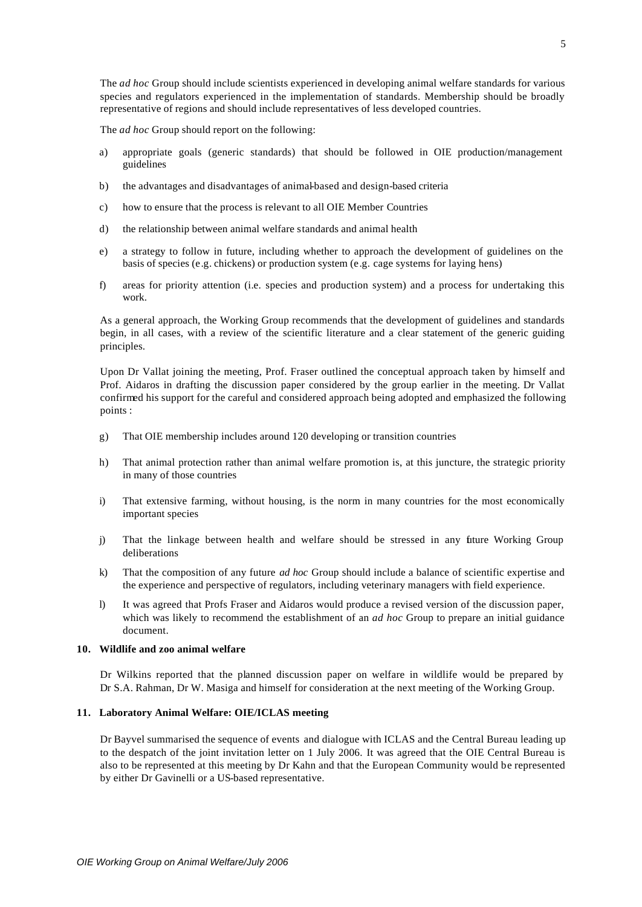The *ad hoc* Group should include scientists experienced in developing animal welfare standards for various species and regulators experienced in the implementation of standards. Membership should be broadly representative of regions and should include representatives of less developed countries.

The *ad hoc* Group should report on the following:

- a) appropriate goals (generic standards) that should be followed in OIE production/management guidelines
- b) the advantages and disadvantages of animal-based and design-based criteria
- c) how to ensure that the process is relevant to all OIE Member Countries
- d) the relationship between animal welfare standards and animal health
- e) a strategy to follow in future, including whether to approach the development of guidelines on the basis of species (e.g. chickens) or production system (e.g. cage systems for laying hens)
- f) areas for priority attention (i.e. species and production system) and a process for undertaking this work.

As a general approach, the Working Group recommends that the development of guidelines and standards begin, in all cases, with a review of the scientific literature and a clear statement of the generic guiding principles.

Upon Dr Vallat joining the meeting, Prof. Fraser outlined the conceptual approach taken by himself and Prof. Aidaros in drafting the discussion paper considered by the group earlier in the meeting. Dr Vallat confirmed his support for the careful and considered approach being adopted and emphasized the following points :

- g) That OIE membership includes around 120 developing or transition countries
- h) That animal protection rather than animal welfare promotion is, at this juncture, the strategic priority in many of those countries
- i) That extensive farming, without housing, is the norm in many countries for the most economically important species
- j) That the linkage between health and welfare should be stressed in any future Working Group deliberations
- k) That the composition of any future *ad hoc* Group should include a balance of scientific expertise and the experience and perspective of regulators, including veterinary managers with field experience.
- l) It was agreed that Profs Fraser and Aidaros would produce a revised version of the discussion paper, which was likely to recommend the establishment of an *ad hoc* Group to prepare an initial guidance document.

#### **10. Wildlife and zoo animal welfare**

Dr Wilkins reported that the planned discussion paper on welfare in wildlife would be prepared by Dr S.A. Rahman, Dr W. Masiga and himself for consideration at the next meeting of the Working Group.

#### **11. Laboratory Animal Welfare: OIE/ICLAS meeting**

Dr Bayvel summarised the sequence of events and dialogue with ICLAS and the Central Bureau leading up to the despatch of the joint invitation letter on 1 July 2006. It was agreed that the OIE Central Bureau is also to be represented at this meeting by Dr Kahn and that the European Community would be represented by either Dr Gavinelli or a US-based representative.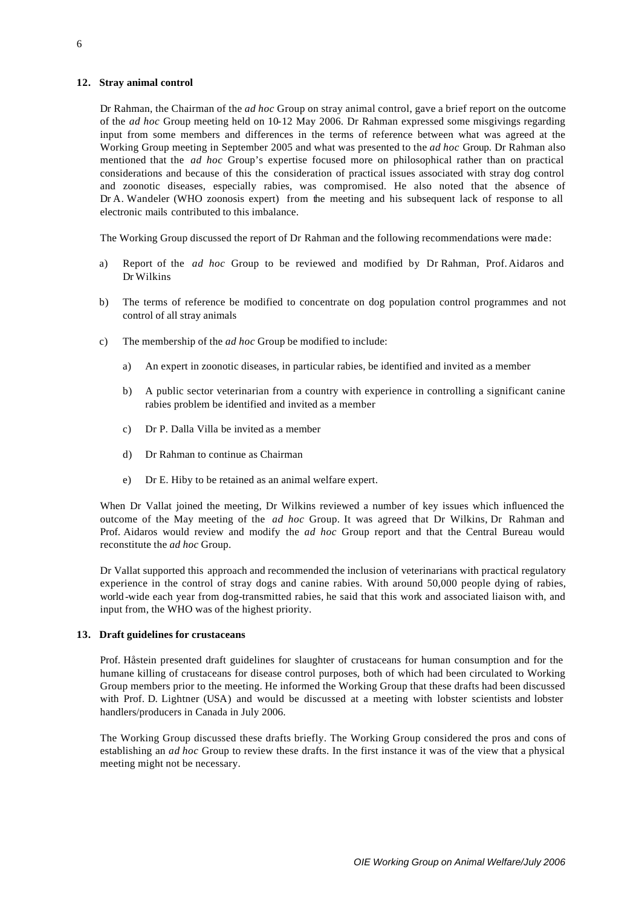#### **12. Stray animal control**

Dr Rahman, the Chairman of the *ad hoc* Group on stray animal control, gave a brief report on the outcome of the *ad hoc* Group meeting held on 10-12 May 2006. Dr Rahman expressed some misgivings regarding input from some members and differences in the terms of reference between what was agreed at the Working Group meeting in September 2005 and what was presented to the *ad hoc* Group. Dr Rahman also mentioned that the *ad hoc* Group's expertise focused more on philosophical rather than on practical considerations and because of this the consideration of practical issues associated with stray dog control and zoonotic diseases, especially rabies, was compromised. He also noted that the absence of Dr A. Wandeler (WHO zoonosis expert) from the meeting and his subsequent lack of response to all electronic mails contributed to this imbalance.

The Working Group discussed the report of Dr Rahman and the following recommendations were made:

- a) Report of the *ad hoc* Group to be reviewed and modified by Dr Rahman, Prof. Aidaros and Dr Wilkins
- b) The terms of reference be modified to concentrate on dog population control programmes and not control of all stray animals
- c) The membership of the *ad hoc* Group be modified to include:
	- a) An expert in zoonotic diseases, in particular rabies, be identified and invited as a member
	- b) A public sector veterinarian from a country with experience in controlling a significant canine rabies problem be identified and invited as a member
	- c) Dr P. Dalla Villa be invited as a member
	- d) Dr Rahman to continue as Chairman
	- e) Dr E. Hiby to be retained as an animal welfare expert.

When Dr Vallat joined the meeting, Dr Wilkins reviewed a number of key issues which influenced the outcome of the May meeting of the *ad hoc* Group. It was agreed that Dr Wilkins, Dr Rahman and Prof. Aidaros would review and modify the *ad hoc* Group report and that the Central Bureau would reconstitute the *ad hoc* Group.

Dr Vallat supported this approach and recommended the inclusion of veterinarians with practical regulatory experience in the control of stray dogs and canine rabies. With around 50,000 people dying of rabies, world -wide each year from dog-transmitted rabies, he said that this work and associated liaison with, and input from, the WHO was of the highest priority.

#### **13. Draft guidelines for crustaceans**

Prof. Håstein presented draft guidelines for slaughter of crustaceans for human consumption and for the humane killing of crustaceans for disease control purposes, both of which had been circulated to Working Group members prior to the meeting. He informed the Working Group that these drafts had been discussed with Prof. D. Lightner (USA) and would be discussed at a meeting with lobster scientists and lobster handlers/producers in Canada in July 2006.

The Working Group discussed these drafts briefly. The Working Group considered the pros and cons of establishing an *ad hoc* Group to review these drafts. In the first instance it was of the view that a physical meeting might not be necessary.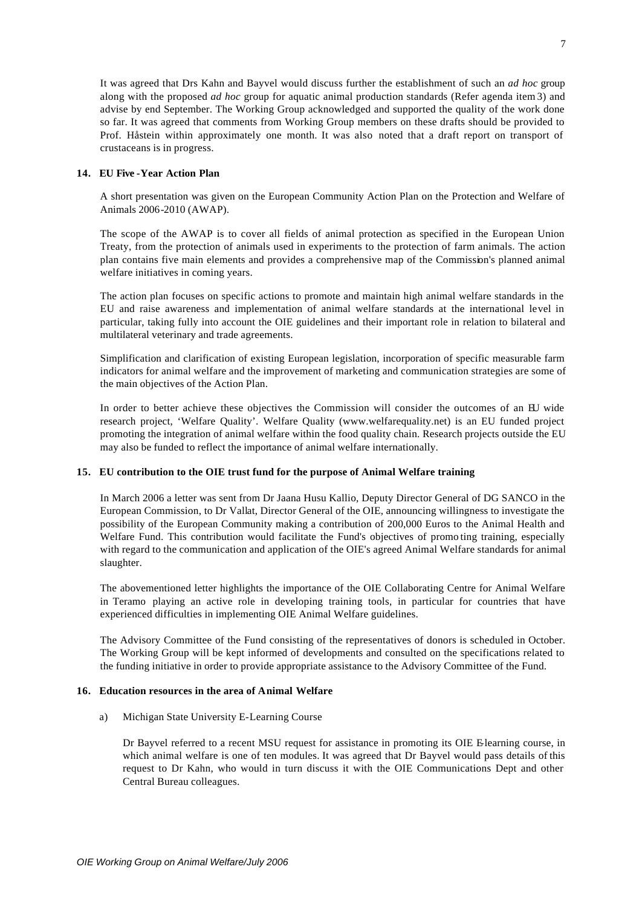It was agreed that Drs Kahn and Bayvel would discuss further the establishment of such an *ad hoc* group along with the proposed *ad hoc* group for aquatic animal production standards (Refer agenda item 3) and advise by end September. The Working Group acknowledged and supported the quality of the work done so far. It was agreed that comments from Working Group members on these drafts should be provided to Prof. Håstein within approximately one month. It was also noted that a draft report on transport of crustaceans is in progress.

### **14. EU Five -Year Action Plan**

A short presentation was given on the European Community Action Plan on the Protection and Welfare of Animals 2006-2010 (AWAP).

The scope of the AWAP is to cover all fields of animal protection as specified in the European Union Treaty, from the protection of animals used in experiments to the protection of farm animals. The action plan contains five main elements and provides a comprehensive map of the Commission's planned animal welfare initiatives in coming years.

The action plan focuses on specific actions to promote and maintain high animal welfare standards in the EU and raise awareness and implementation of animal welfare standards at the international level in particular, taking fully into account the OIE guidelines and their important role in relation to bilateral and multilateral veterinary and trade agreements.

Simplification and clarification of existing European legislation, incorporation of specific measurable farm indicators for animal welfare and the improvement of marketing and communication strategies are some of the main objectives of the Action Plan.

In order to better achieve these objectives the Commission will consider the outcomes of an EU wide research project, 'Welfare Quality'. Welfare Quality (www.welfarequality.net) is an EU funded project promoting the integration of animal welfare within the food quality chain. Research projects outside the EU may also be funded to reflect the importance of animal welfare internationally.

## **15. EU contribution to the OIE trust fund for the purpose of Animal Welfare training**

In March 2006 a letter was sent from Dr Jaana Husu Kallio, Deputy Director General of DG SANCO in the European Commission, to Dr Vallat, Director General of the OIE, announcing willingness to investigate the possibility of the European Community making a contribution of 200,000 Euros to the Animal Health and Welfare Fund. This contribution would facilitate the Fund's objectives of promo ting training, especially with regard to the communication and application of the OIE's agreed Animal Welfare standards for animal slaughter.

The abovementioned letter highlights the importance of the OIE Collaborating Centre for Animal Welfare in Teramo playing an active role in developing training tools, in particular for countries that have experienced difficulties in implementing OIE Animal Welfare guidelines.

The Advisory Committee of the Fund consisting of the representatives of donors is scheduled in October. The Working Group will be kept informed of developments and consulted on the specifications related to the funding initiative in order to provide appropriate assistance to the Advisory Committee of the Fund.

#### **16. Education resources in the area of Animal Welfare**

a) Michigan State University E-Learning Course

Dr Bayvel referred to a recent MSU request for assistance in promoting its OIE Elearning course, in which animal welfare is one of ten modules. It was agreed that Dr Bayvel would pass details of this request to Dr Kahn, who would in turn discuss it with the OIE Communications Dept and other Central Bureau colleagues.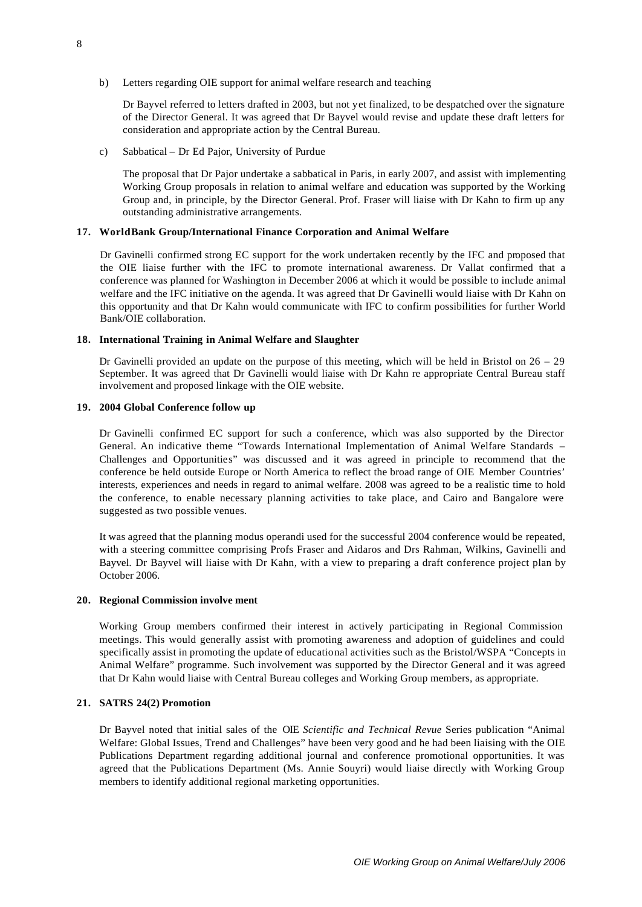b) Letters regarding OIE support for animal welfare research and teaching

Dr Bayvel referred to letters drafted in 2003, but not yet finalized, to be despatched over the signature of the Director General. It was agreed that Dr Bayvel would revise and update these draft letters for consideration and appropriate action by the Central Bureau.

c) Sabbatical – Dr Ed Pajor, University of Purdue

The proposal that Dr Pajor undertake a sabbatical in Paris, in early 2007, and assist with implementing Working Group proposals in relation to animal welfare and education was supported by the Working Group and, in principle, by the Director General. Prof. Fraser will liaise with Dr Kahn to firm up any outstanding administrative arrangements.

#### **17. World Bank Group/International Finance Corporation and Animal Welfare**

Dr Gavinelli confirmed strong EC support for the work undertaken recently by the IFC and proposed that the OIE liaise further with the IFC to promote international awareness. Dr Vallat confirmed that a conference was planned for Washington in December 2006 at which it would be possible to include animal welfare and the IFC initiative on the agenda. It was agreed that Dr Gavinelli would liaise with Dr Kahn on this opportunity and that Dr Kahn would communicate with IFC to confirm possibilities for further World Bank/OIE collaboration.

### **18. International Training in Animal Welfare and Slaughter**

Dr Gavinelli provided an update on the purpose of this meeting, which will be held in Bristol on  $26 - 29$ September. It was agreed that Dr Gavinelli would liaise with Dr Kahn re appropriate Central Bureau staff involvement and proposed linkage with the OIE website.

#### **19. 2004 Global Conference follow up**

Dr Gavinelli confirmed EC support for such a conference, which was also supported by the Director General. An indicative theme "Towards International Implementation of Animal Welfare Standards – Challenges and Opportunities" was discussed and it was agreed in principle to recommend that the conference be held outside Europe or North America to reflect the broad range of OIE Member Countries' interests, experiences and needs in regard to animal welfare. 2008 was agreed to be a realistic time to hold the conference, to enable necessary planning activities to take place, and Cairo and Bangalore were suggested as two possible venues.

It was agreed that the planning modus operandi used for the successful 2004 conference would be repeated, with a steering committee comprising Profs Fraser and Aidaros and Drs Rahman, Wilkins, Gavinelli and Bayvel. Dr Bayvel will liaise with Dr Kahn, with a view to preparing a draft conference project plan by October 2006.

#### **20. Regional Commission involve ment**

Working Group members confirmed their interest in actively participating in Regional Commission meetings. This would generally assist with promoting awareness and adoption of guidelines and could specifically assist in promoting the update of educational activities such as the Bristol/WSPA "Concepts in Animal Welfare" programme. Such involvement was supported by the Director General and it was agreed that Dr Kahn would liaise with Central Bureau colleges and Working Group members, as appropriate.

### **21. SATRS 24(2) Promotion**

Dr Bayvel noted that initial sales of the OIE *Scientific and Technical Revue* Series publication "Animal Welfare: Global Issues, Trend and Challenges" have been very good and he had been liaising with the OIE Publications Department regarding additional journal and conference promotional opportunities. It was agreed that the Publications Department (Ms. Annie Souyri) would liaise directly with Working Group members to identify additional regional marketing opportunities.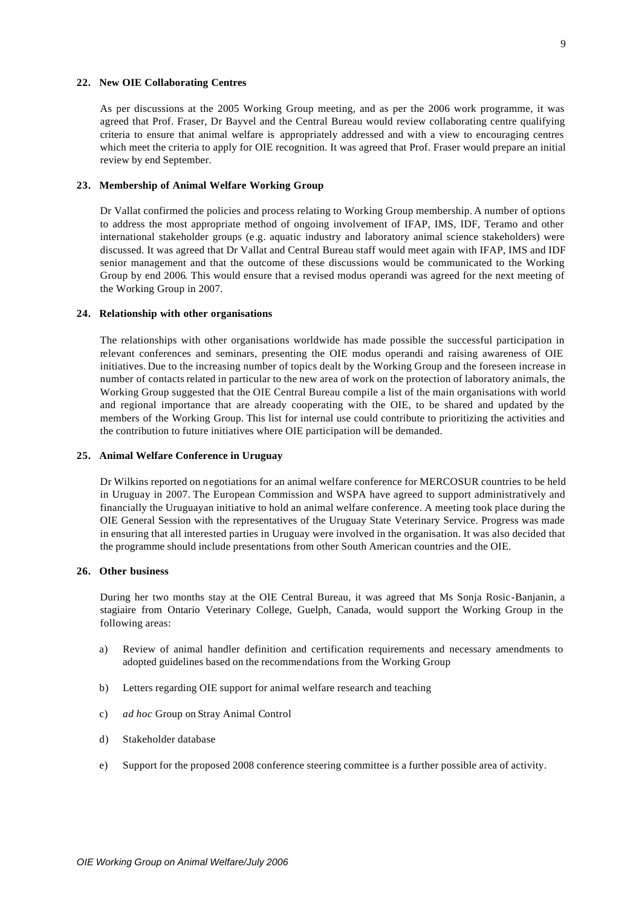#### **22. New OIE Collaborating Centres**

As per discussions at the 2005 Working Group meeting, and as per the 2006 work programme, it was agreed that Prof. Fraser, Dr Bayvel and the Central Bureau would review collaborating centre qualifying criteria to ensure that animal welfare is appropriately addressed and with a view to encouraging centres which meet the criteria to apply for OIE recognition. It was agreed that Prof. Fraser would prepare an initial review by end September.

### **23. Membership of Animal Welfare Working Group**

Dr Vallat confirmed the policies and process relating to Working Group membership. A number of options to address the most appropriate method of ongoing involvement of IFAP, IMS, IDF, Teramo and other international stakeholder groups (e.g. aquatic industry and laboratory animal science stakeholders) were discussed. It was agreed that Dr Vallat and Central Bureau staff would meet again with IFAP, IMS and IDF senior management and that the outcome of these discussions would be communicated to the Working Group by end 2006. This would ensure that a revised modus operandi was agreed for the next meeting of the Working Group in 2007.

#### **24. Relationship with other organisations**

The relationships with other organisations worldwide has made possible the successful participation in relevant conferences and seminars, presenting the OIE modus operandi and raising awareness of OIE initiatives. Due to the increasing number of topics dealt by the Working Group and the foreseen increase in number of contacts related in particular to the new area of work on the protection of laboratory animals, the Working Group suggested that the OIE Central Bureau compile a list of the main organisations with world and regional importance that are already cooperating with the OIE, to be shared and updated by the members of the Working Group. This list for internal use could contribute to prioritizing the activities and the contribution to future initiatives where OIE participation will be demanded.

#### **25. Animal Welfare Conference in Uruguay**

Dr Wilkins reported on negotiations for an animal welfare conference for MERCOSUR countries to be held in Uruguay in 2007. The European Commission and WSPA have agreed to support administratively and financially the Uruguayan initiative to hold an animal welfare conference. A meeting took place during the OIE General Session with the representatives of the Uruguay State Veterinary Service. Progress was made in ensuring that all interested parties in Uruguay were involved in the organisation. It was also decided that the programme should include presentations from other South American countries and the OIE.

### **26. Other business**

During her two months stay at the OIE Central Bureau, it was agreed that Ms Sonja Rosic-Banjanin, a stagiaire from Ontario Veterinary College, Guelph, Canada, would support the Working Group in the following areas:

- a) Review of animal handler definition and certification requirements and necessary amendments to adopted guidelines based on the recommendations from the Working Group
- b) Letters regarding OIE support for animal welfare research and teaching
- c) *ad hoc* Group on Stray Animal Control
- d) Stakeholder database
- e) Support for the proposed 2008 conference steering committee is a further possible area of activity.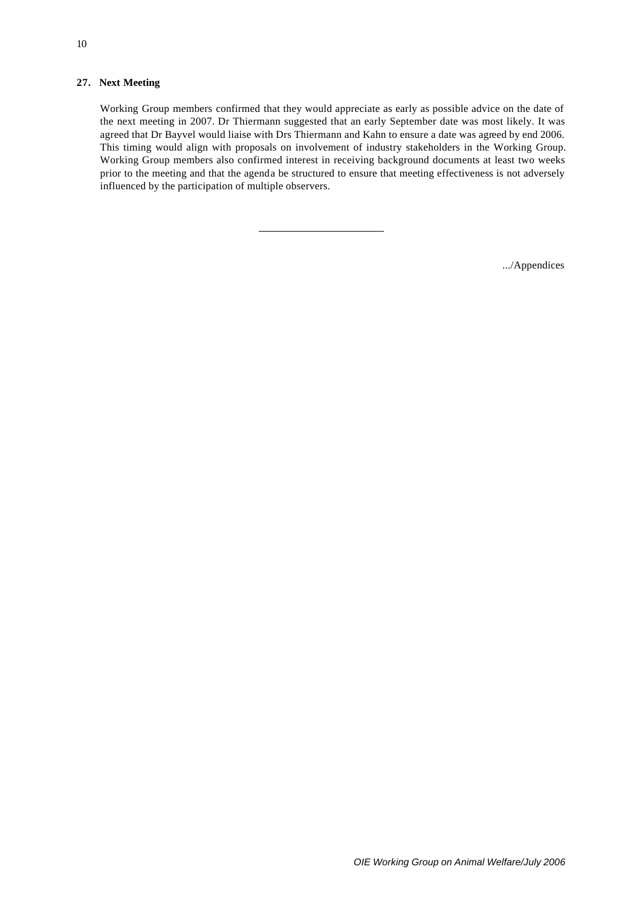### **27. Next Meeting**

Working Group members confirmed that they would appreciate as early as possible advice on the date of the next meeting in 2007. Dr Thiermann suggested that an early September date was most likely. It was agreed that Dr Bayvel would liaise with Drs Thiermann and Kahn to ensure a date was agreed by end 2006. This timing would align with proposals on involvement of industry stakeholders in the Working Group. Working Group members also confirmed interest in receiving background documents at least two weeks prior to the meeting and that the agenda be structured to ensure that meeting effectiveness is not adversely influenced by the participation of multiple observers.

.../Appendices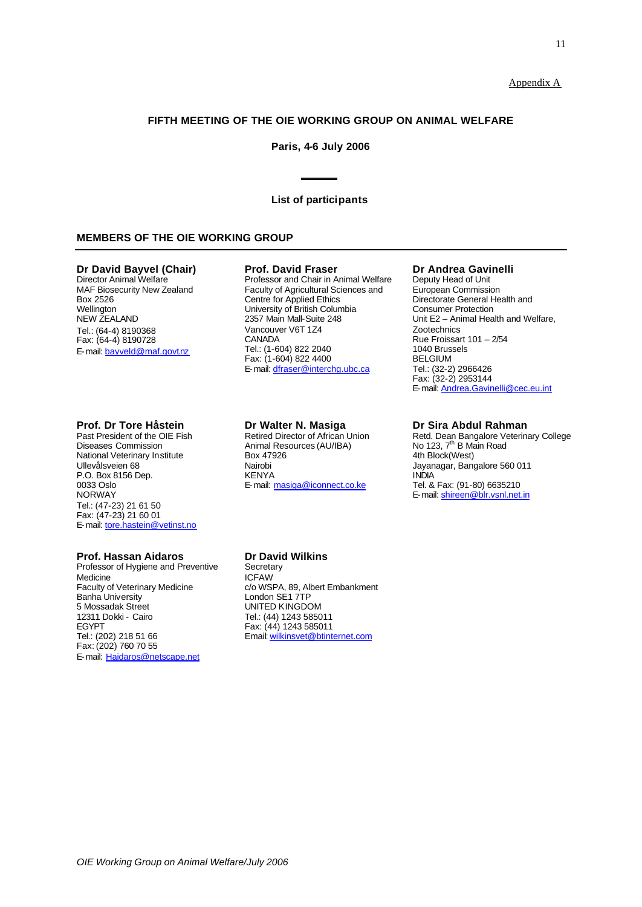Appendix A

### **FIFTH MEETING OF THE OIE WORKING GROUP ON ANIMAL WELFARE**

#### **Paris, 4-6 July 2006**

**\_\_\_\_\_**

### **List of participants**

### **MEMBERS OF THE OIE WORKING GROUP**

### **Dr David Bayvel (Chair)**

Director Animal Welfare MAF Biosecurity New Zealand Box 2526 **Wellington** NEW ZEALAND Tel.: (64-4) 8190368 Fax: (64-4) 8190728 E-mail: bayveld@maf.govtnz

#### **Prof. Dr Tore Håstein**

Past President of the OIE Fish Diseases Commission National Veterinary Institute Ullevålsveien 68 P.O. Box 8156 Dep. 0033 Oslo NORWAY Tel.: (47-23) 21 61 50 Fax: (47-23) 21 60 01 E-mail: tore.hastein@vetinst.no

#### **Prof. Hassan Aidaros**

Professor of Hygiene and Preventive Medicine Faculty of Veterinary Medicine Banha University 5 Mossadak Street 12311 Dokki - Cairo EGYPT Tel.: (202) 218 51 66 Fax: (202) 760 70 55 E-mail: Haidaros@netscape.net

#### **Prof. David Fraser**

Professor and Chair in Animal Welfare Faculty of Agricultural Sciences and Centre for Applied Ethics University of British Columbia 2357 Main Mall-Suite 248 Vancouver V6T 1Z4 CANADA Tel.: (1-604) 822 2040 Fax: (1-604) 822 4400 E-mail: dfraser@interchg.ubc.ca

#### **Dr Walter N. Masiga**

Retired Director of African Union Animal Resources (AU/IBA) Box 47926 Nairobi KENYA E-mail: masiga@iconnect.co.ke

#### **Dr Andrea Gavinelli**

Deputy Head of Unit European Commission Directorate General Health and Consumer Protection Unit E2 – Animal Health and Welfare, Zootechnics Rue Froissart 101 – 2/54 1040 Brussels BELGIUM Tel.: (32-2) 2966426 Fax: (32-2) 2953144 E-mail: Andrea.Gavinelli@cec.eu.int

#### **Dr Sira Abdul Rahman**

Retd. Dean Bangalore Veterinary College No 123, 7th B Main Road 4th Block(West) Jayanagar, Bangalore 560 011 **INDIA** Tel. & Fax: (91-80) 6635210 E-mail: shireen@blr.vsnl.net.in

### **Dr David Wilkins**

**Secretary** ICFAW c/o WSPA, 89, Albert Embankment London SE1 7TP UNITED KINGDOM Tel.: (44) 1243 585011 Fax: (44) 1243 585011 Email: wilkinsvet@btinternet.com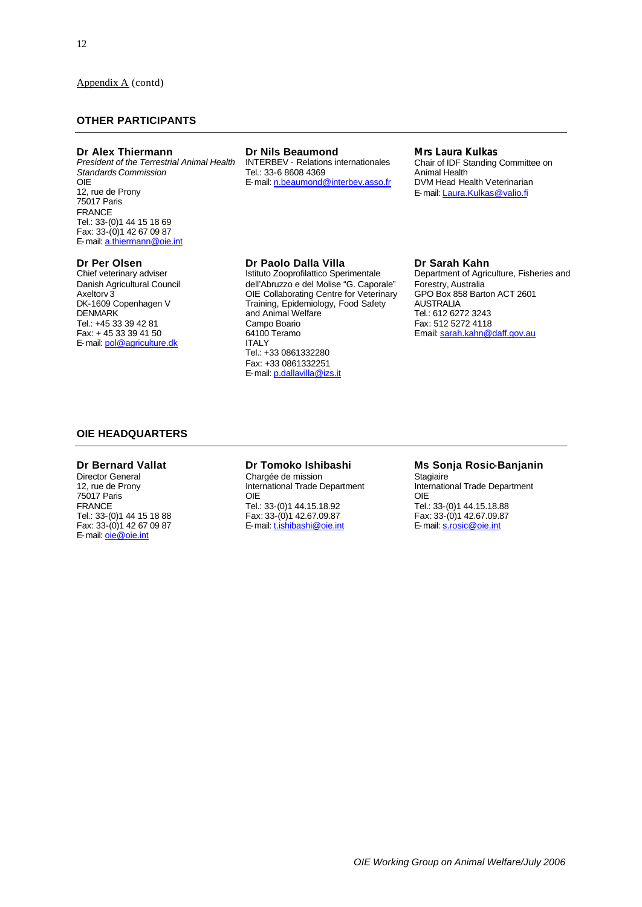#### **OTHER PARTICIPANTS**

#### **Dr Alex Thiermann**

*President of the Terrestrial Animal Health Standards Commission* OIE 12, rue de Prony 75017 Paris FRANCE Tel.: 33-(0)1 44 15 18 69 Fax: 33-(0)1 42 67 09 87 E-mail: a.thiermann@oie.int

#### **Dr Per Olsen**

Chief veterinary adviser Danish Agricultural Council Axeltorv 3 DK-1609 Copenhagen V DENMARK Tel.: +45 33 39 42 81 Fax: + 45 33 39 41 50 E-mail: pol@agriculture.dk

#### **Dr Nils Beaumond**

INTERBEV - Relations internationales Tel.: 33-6 8608 4369 E-mail: n.beaumond@interbev.asso.fr

#### **Mrs Laura Kulkas**

Chair of IDF Standing Committee on Animal Health DVM Head Health Veterinarian E-mail: Laura.Kulkas@valio.fi

#### **Dr Paolo Dalla Villa**

Istituto Zooprofilattico Sperimentale dell'Abruzzo e del Molise "G. Caporale" OIE Collaborating Centre for Veterinary Training, Epidemiology, Food Safety and Animal Welfare Campo Boario 64100 Teramo ITALY Tel.: +33 0861332280 Fax: +33 0861332251 E-mail: p.dallavilla@izs.it

#### **Dr Sarah Kahn**

Department of Agriculture, Fisheries and Forestry, Australia GPO Box 858 Barton ACT 2601 AUSTRALIA Tel.: 612 6272 3243 Fax: 512 5272 4118 Email: sarah.kahn@daff.gov.au

### **OIE HEADQUARTERS**

#### **Dr Bernard Vallat**

Director General 12, rue de Prony 75017 Paris FRANCE Tel.: 33-(0)1 44 15 18 88 Fax: 33-(0)1 42 67 09 87 E-mail: *oie* @oie.int

**Dr Tomoko Ishibashi** Chargée de mission International Trade Department OIE

Tel.: 33-(0)1 44.15.18.92 Fax: 33-(0)1 42.67.09.87 E-mail: t.ishibashi@oie.int

### **Ms Sonja Rosic-Banjanin**

**Stagiaire** International Trade Department OIE Tel.: 33-(0)1 44.15.18.88 Fax: 33-(0)1 42.67.09.87 E-mail: s.rosic@oie.int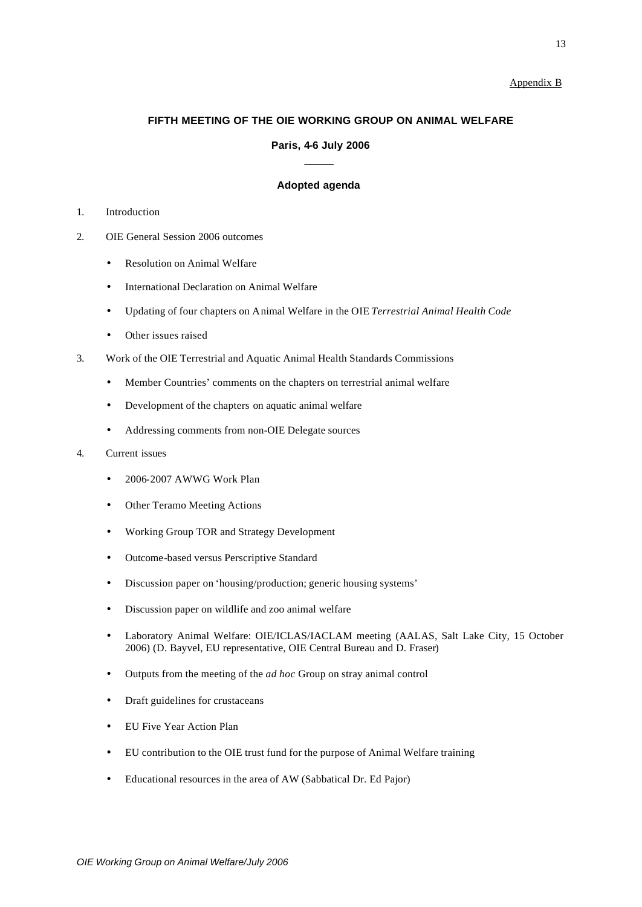### Appendix B

### **FIFTH MEETING OF THE OIE WORKING GROUP ON ANIMAL WELFARE**

### **Paris, 4-6 July 2006**  $\frac{1}{2}$

### **Adopted agenda**

### 1. Introduction

- 2. OIE General Session 2006 outcomes
	- Resolution on Animal Welfare
	- International Declaration on Animal Welfare
	- Updating of four chapters on Animal Welfare in the OIE *Terrestrial Animal Health Code*
	- Other issues raised
- 3. Work of the OIE Terrestrial and Aquatic Animal Health Standards Commissions
	- Member Countries' comments on the chapters on terrestrial animal welfare
	- Development of the chapters on aquatic animal welfare
	- Addressing comments from non-OIE Delegate sources

### 4. Current issues

- 2006-2007 AWWG Work Plan
- Other Teramo Meeting Actions
- Working Group TOR and Strategy Development
- Outcome-based versus Perscriptive Standard
- Discussion paper on 'housing/production; generic housing systems'
- Discussion paper on wildlife and zoo animal welfare
- Laboratory Animal Welfare: OIE/ICLAS/IACLAM meeting (AALAS, Salt Lake City, 15 October 2006) (D. Bayvel, EU representative, OIE Central Bureau and D. Fraser)
- Outputs from the meeting of the *ad hoc* Group on stray animal control
- Draft guidelines for crustaceans
- EU Five Year Action Plan
- EU contribution to the OIE trust fund for the purpose of Animal Welfare training
- Educational resources in the area of AW (Sabbatical Dr. Ed Pajor)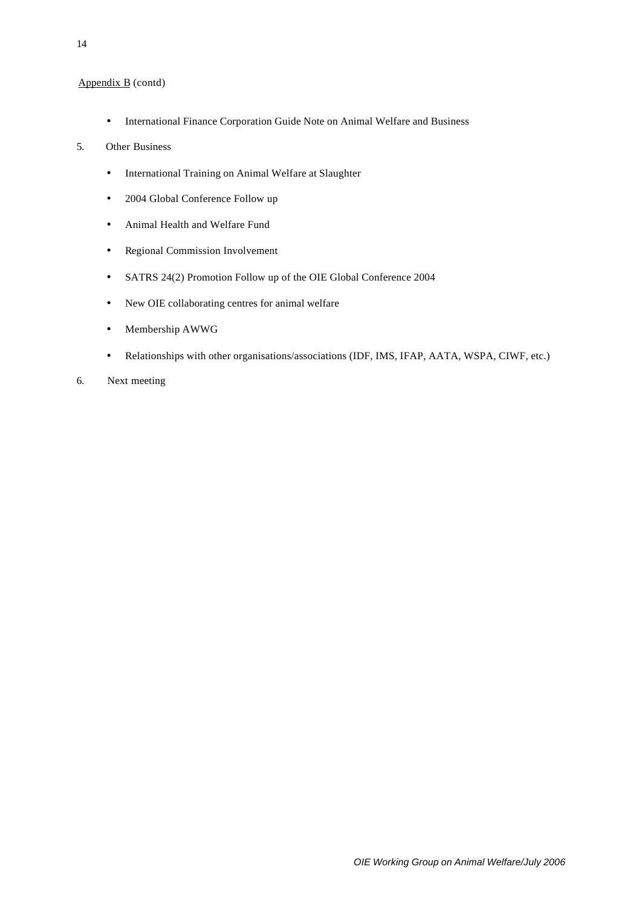• International Finance Corporation Guide Note on Animal Welfare and Business

### 5. Other Business

- International Training on Animal Welfare at Slaughter
- 2004 Global Conference Follow up
- Animal Health and Welfare Fund
- Regional Commission Involvement
- SATRS 24(2) Promotion Follow up of the OIE Global Conference 2004
- New OIE collaborating centres for animal welfare
- Membership AWWG
- Relationships with other organisations/associations (IDF, IMS, IFAP, AATA, WSPA, CIWF, etc.)
- 6. Next meeting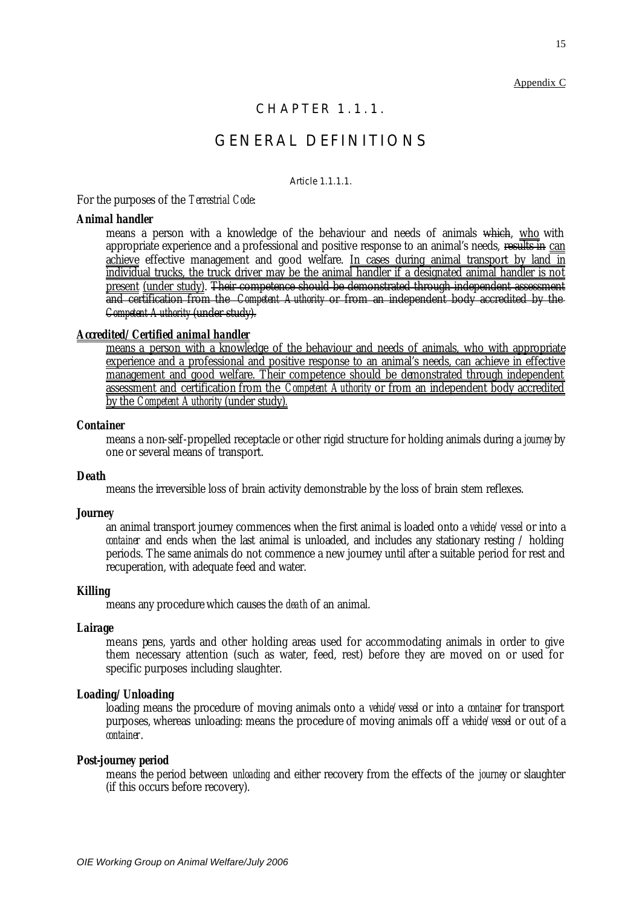# Appendix C

# CHAPTER 1.1.1.

# GENERAL DEFINITIONS

### Article 1.1.1.1.

For the purposes of the *Terrestrial Code*:

# *Animal handler*

means a person with a knowledge of the behaviour and needs of animals which, who with appropriate experience and a professional and positive response to an animal's needs, results in can <u>achieve</u> effective management and good welfare. <u>In cases during animal transport by land in</u> individual trucks, the truck driver may be the animal handler if a designated animal handler is not present (under study). Their competence should be demonstrated through independent assessment and certification from the *Competent Authority* or from an independent body accredited by the *Competent Authority* (under study)*.*

# *Accredited/Certified animal handler*

means a person with a knowledge of the behaviour and needs of animals, who with appropriate experience and a professional and positive response to an animal's needs, can achieve in effective management and good welfare. Their competence should be demonstrated through independent assessment and certification from the *Competent Authority* or from an independent body accredited by the *Competent Authority* (under study)*.*

#### *Container*

means a non-self-propelled receptacle or other rigid structure for holding animals during a *journey* by one or several means of transport.

### *Death*

means the irreversible loss of brain activity demonstrable by the loss of brain stem reflexes.

#### *Journey*

an animal transport journey commences when the first animal is loaded onto a *vehicle/vessel* or into a *container* and ends when the last animal is unloaded, and includes any stationary resting / holding periods. The same animals do not commence a new journey until after a suitable period for rest and recuperation, with adequate feed and water.

#### *Killing*

means any procedure which causes the *death* of an animal.

### *Lairage*

means pens, yards and other holding areas used for accommodating animals in order to give them necessary attention (such as water, feed, rest) before they are moved on or used for specific purposes including slaughter.

#### *Loading/Unloading*

loading means the procedure of moving animals onto a *vehicle/vessel* or into a *container* for transport purposes, whereas unloading: means the procedure of moving animals off a *vehicle/vessel* or out of a *container*.

### *Post-journey period*

means the period between *unloading* and either recovery from the effects of the *journey* or slaughter (if this occurs before recovery).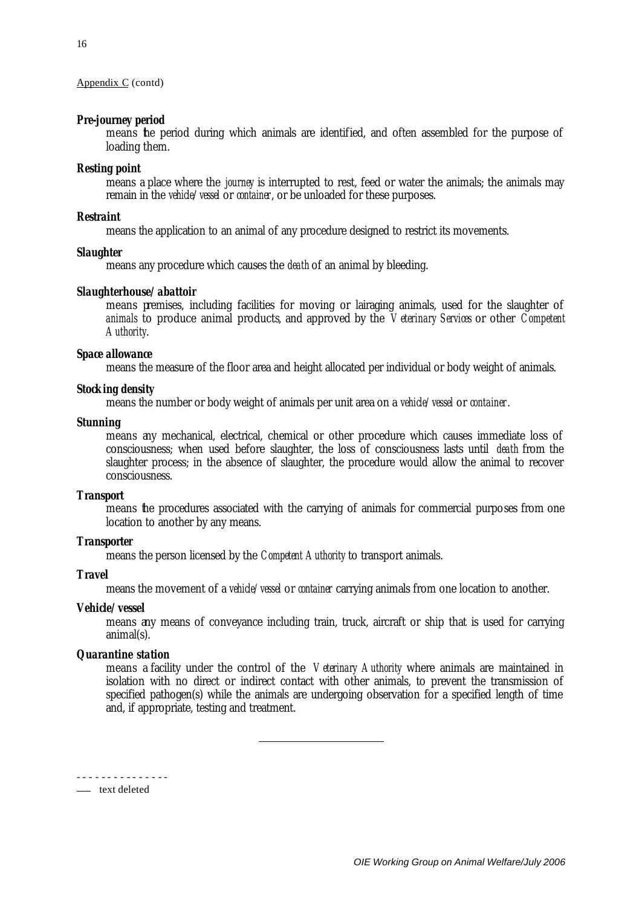#### *Pre-journey period*

means the period during which animals are identified, and often assembled for the purpose of loading them.

#### *Resting point*

means a place where the *journey* is interrupted to rest, feed or water the animals; the animals may remain in the *vehicle*/*vessel* or *container*, or be unloaded for these purposes.

### *Restraint*

means the application to an animal of any procedure designed to restrict its movements.

### *Slaughter*

means any procedure which causes the *death* of an animal by bleeding.

### *Slaughterhouse/abattoir*

means premises, including facilities for moving or lairaging animals, used for the slaughter of *animals* to produce animal products, and approved by the *Veterinary Services* or other *Competent Authority*.

### *Space allowance*

means the measure of the floor area and height allocated per individual or body weight of animals.

### *Stocking density*

means the number or body weight of animals per unit area on a *vehicle/vessel* or *container*.

### *Stunning*

means any mechanical, electrical, chemical or other procedure which causes immediate loss of consciousness; when used before slaughter, the loss of consciousness lasts until *death* from the slaughter process; in the absence of slaughter, the procedure would allow the animal to recover consciousness.

#### *Transport*

means the procedures associated with the carrying of animals for commercial purposes from one location to another by any means.

### *Transporter*

means the person licensed by the *Competent Authority* to transport animals.

#### *Travel*

means the movement of a *vehicle/vessel* or *container* carrying animals from one location to another.

#### *Vehicle/vessel*

means any means of conveyance including train, truck, aircraft or ship that is used for carrying animal(s).

#### *Quarantine station*

means a facility under the control of the *Veterinary Authority* where animals are maintained in isolation with no direct or indirect contact with other animals, to prevent the transmission of specified pathogen(s) while the animals are undergoing observation for a specified length of time and, if appropriate, testing and treatment.

- - - - - - - - - - - - - - -

**-** text deleted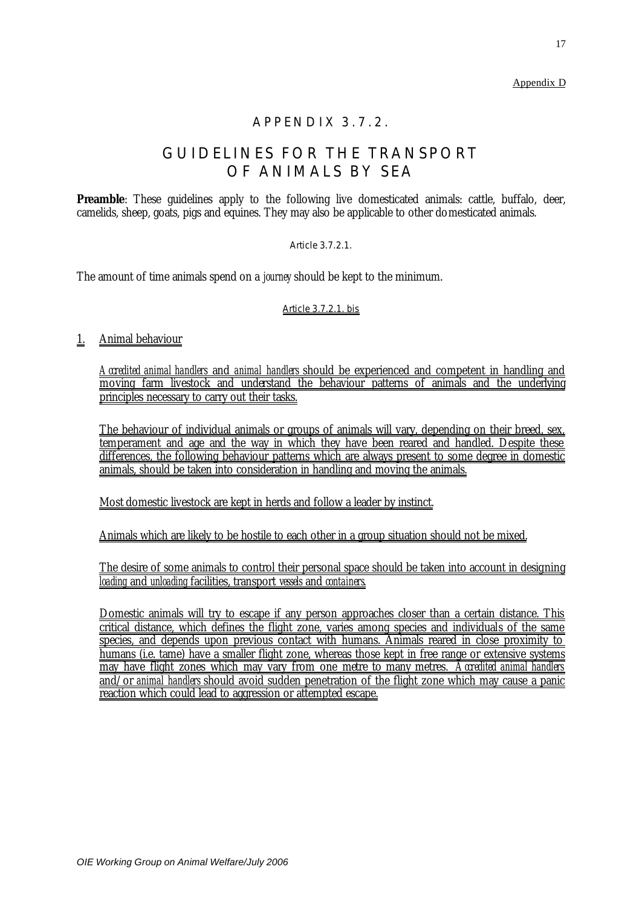Appendix D

# APPENDIX 3.7.2.

# GUIDELINES FOR THE TRANSPORT OF ANIMALS BY SEA

**Preamble**: These guidelines apply to the following live domesticated animals: cattle, buffalo, deer, camelids, sheep, goats, pigs and equines. They may also be applicable to other domesticated animals.

### Article 3.7.2.1.

The amount of time animals spend on a *journey* should be kept to the minimum.

### Article 3.7.2.1. bis

# 1. Animal behaviour

*Accredited animal handlers* and *animal handlers* should be experienced and competent in handling and moving farm livestock and understand the behaviour patterns of animals and the underlying principles necessary to carry out their tasks.

The behaviour of individual animals or groups of animals will vary, depending on their breed, sex, temperament and age and the way in which they have been reared and handled. Despite these differences, the following behaviour patterns which are always present to some degree in domestic animals, should be taken into consideration in handling and moving the animals.

Most domestic livestock are kept in herds and follow a leader by instinct.

Animals which are likely to be hostile to each other in a group situation should not be mixed.

The desire of some animals to control their personal space should be taken into account in designing *loading* and *unloading* facilities, transport *vessels* and *containers*.

Domestic animals will try to escape if any person approaches closer than a certain distance. This critical distance, which defines the flight zone, varies among species and individuals of the same species, and depends upon previous contact with humans. Animals reared in close proximity to humans (i.e. tame) have a smaller flight zone, whereas those kept in free range or extensive systems may have flight zones which may vary from one metre to many metres. *Accredited animal handlers*  and/or *animal handlers* should avoid sudden penetration of the flight zone which may cause a panic reaction which could lead to aggression or attempted escape.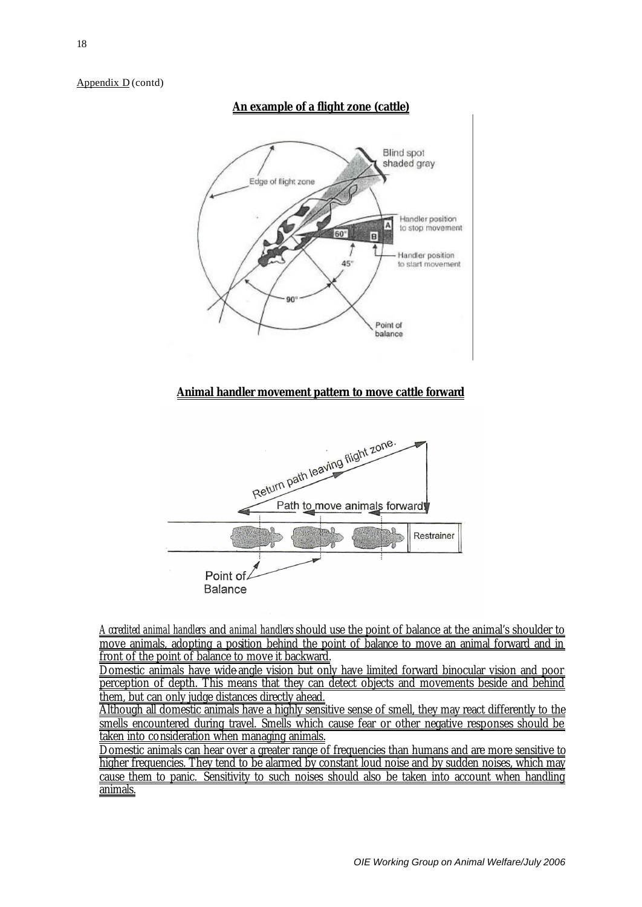# **Blind spot** shaded grav Edge of flight zone Handler position  $\Lambda$ to stop movement  $60^\circ$  $\overline{B}$ Handler position  $45^\circ$ to start movement Point of balance

**An example of a flight zone (cattle)**

# **Animal handler movement pattern to move cattle forward**



*Accredited animal handlers* and *animal handlers* should use the point of balance at the animal's shoulder to move animals, adopting a position behind the point of balance to move an animal forward and in front of the point of balance to move it backward.

Domestic animals have wide-angle vision but only have limited forward binocular vision and poor perception of depth. This means that they can detect objects and movements beside and behind them, but can only judge distances directly ahead.

Although all domestic animals have a highly sensitive sense of smell, they may react differently to the smells encountered during travel. Smells which cause fear or other negative responses should be taken into consideration when managing animals.

Domestic animals can hear over a greater range of frequencies than humans and are more sensitive to higher frequencies. They tend to be alarmed by constant loud noise and by sudden noises, which may cause them to panic. Sensitivity to such noises should also be taken into account when handling animals.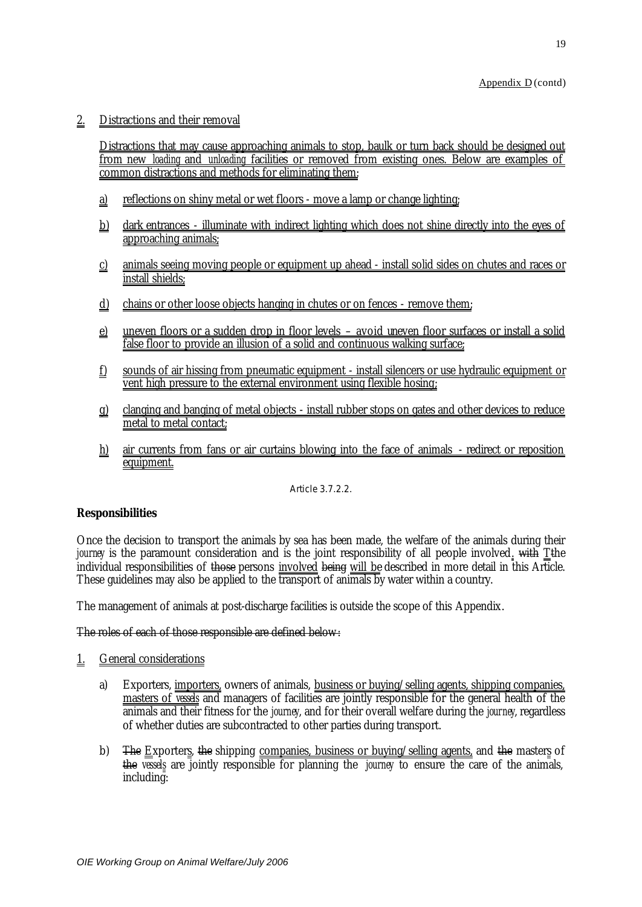# 2. Distractions and their removal

Distractions that may cause approaching animals to stop, baulk or turn back should be designed out from new *loading* and *unloading* facilities or removed from existing ones. Below are examples of common distractions and methods for eliminating them:

- a) reflections on shiny metal or wet floors move a lamp or change lighting;
- b) dark entrances illuminate with indirect lighting which does not shine directly into the eyes of approaching animals;
- c) animals seeing moving people or equipment up ahead install solid sides on chutes and races or install shields;
- d) chains or other loose objects hanging in chutes or on fences remove them;
- e) uneven floors or a sudden drop in floor levels avoid uneven floor surfaces or install a solid false floor to provide an illusion of a solid and continuous walking surface;
- f) sounds of air hissing from pneumatic equipment install silencers or use hydraulic equipment or vent high pressure to the external environment using flexible hosing;
- g) clanging and banging of metal objects install rubber stops on gates and other devices to reduce metal to metal contact;
- h) air currents from fans or air curtains blowing into the face of animals redirect or reposition equipment.

Article 3.7.2.2.

# **Responsibilities**

Once the decision to transport the animals by sea has been made, the welfare of the animals during their *journey* is the paramount consideration and is the joint responsibility of all people involved. with Tthe individual responsibilities of those persons involved being will be described in more detail in this Article. These guidelines may also be applied to the transport of animals by water within a country.

The management of animals at post-discharge facilities is outside the scope of this Appendix.

# The roles of each of those responsible are defined below:

- 1. General considerations
	- a) Exporters, importers, owners of animals, business or buying/selling agents, shipping companies, masters of *vessels* and managers of facilities are jointly responsible for the general health of the animals and their fitness for the *journey*, and for their overall welfare during the *journey*, regardless of whether duties are subcontracted to other parties during transport.
	- b) The Exporters, the shipping companies, business or buying/selling agents, and the masters of the *vessels* are jointly responsible for planning the *journey* to ensure the care of the animals, including: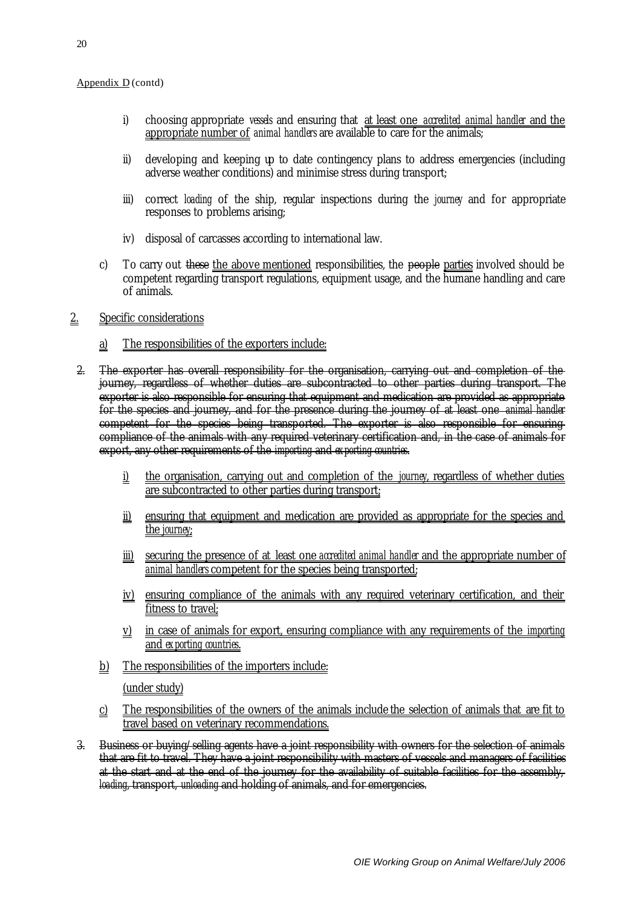- i) choosing appropriate *vessels* and ensuring that at least one *accredited animal handler* and the appropriate number of *animal handlers* are available to care for the animals;
- ii) developing and keeping up to date contingency plans to address emergencies (including adverse weather conditions) and minimise stress during transport;
- iii) correct *loading* of the ship, regular inspections during the *journey* and for appropriate responses to problems arising;
- iv) disposal of carcasses according to international law.
- c) To carry out these the above mentioned responsibilities, the people parties involved should be competent regarding transport regulations, equipment usage, and the humane handling and care of animals.

# 2. Specific considerations

# a) The responsibilities of the exporters include:

- 2. The exporter has overall responsibility for the organisation, carrying out and completion of the journey, regardless of whether duties are subcontracted to other parties during transport. The exporter is also responsible for ensuring that equipment and medication are provided as appropriate for the species and journey, and for the presence during the journey of at least one *animal handler* competent for the species being transported. The exporter is also responsible for ensuring compliance of the animals with any required veterinary certification and, in the case of animals for export, any other requirements of the *importing* and *exporting countries*.
	- i) the organisation, carrying out and completion of the *journey*, regardless of whether duties are subcontracted to other parties during transport;
	- ii) ensuring that equipment and medication are provided as appropriate for the species and the *journey*;
	- iii) securing the presence of at least one *accredited animal handler* and the appropriate number of *animal handlers* competent for the species being transported;
	- iv) ensuring compliance of the animals with any required veterinary certification, and their fitness to travel;
	- v) in case of animals for export, ensuring compliance with any requirements of the *importing* and *exporting countries*.
	- b) The responsibilities of the importers include:

### (under study)

- c) The responsibilities of the owners of the animals include the selection of animals that are fit to travel based on veterinary recommendations.
- 3. Business or buying/selling agents have a joint responsibility with owners for the selection of animals that are fit to travel. They have a joint responsibility with masters of vessels and managers of facilities at the start and at the end of the journey for the availability of suitable facilities for the assembly, *loading*, transport, *unloading* and holding of animals, and for emergencies.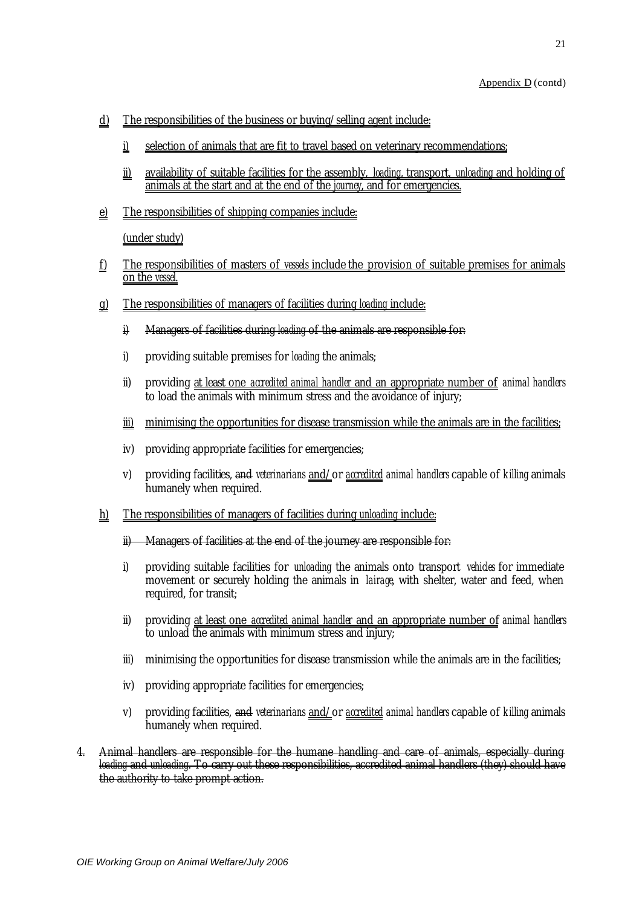- d) The responsibilities of the business or buying/selling agent include:
	- i) selection of animals that are fit to travel based on veterinary recommendations;
	- ii) availability of suitable facilities for the assembly, *loading*, transport, *unloading* and holding of animals at the start and at the end of the *journey*, and for emergencies.
- e) The responsibilities of shipping companies include:

# (under study)

- f) The responsibilities of masters of *vessels* include the provision of suitable premises for animals on the *vessel*.
- g) The responsibilities of managers of facilities during *loading* include:
	- i) Managers of facilities during *loading* of the animals are responsible for:
	- i) providing suitable premises for *loading* the animals;
	- ii) providing at least one *accredited animal handler* and an appropriate number of *animal handlers*  to load the animals with minimum stress and the avoidance of injury;
	- iii) minimising the opportunities for disease transmission while the animals are in the facilities;
	- iv) providing appropriate facilities for emergencies;
	- v) providing facilities, and *veterinarians* and/or *accredited animal handlers* capable of *killing* animals humanely when required.
- h) The responsibilities of managers of facilities during *unloading* include:
	- ii) Managers of facilities at the end of the journey are responsible for:
	- i) providing suitable facilities for *unloading* the animals onto transport *vehicles* for immediate movement or securely holding the animals in *lairage*, with shelter, water and feed, when required, for transit;
	- ii) providing at least one *accredited animal handler* and an appropriate number of *animal handlers* to unload the animals with minimum stress and injury;
	- iii) minimising the opportunities for disease transmission while the animals are in the facilities;
	- iv) providing appropriate facilities for emergencies;
	- v) providing facilities, and *veterinarians* and/or *accredited animal handlers* capable of *killing* animals humanely when required.
- 4. Animal handlers are responsible for the humane handling and care of animals, especially during *loading* and *unloading*. To carry out these responsibilities, accredited animal handlers (they) should have the authority to take prompt action.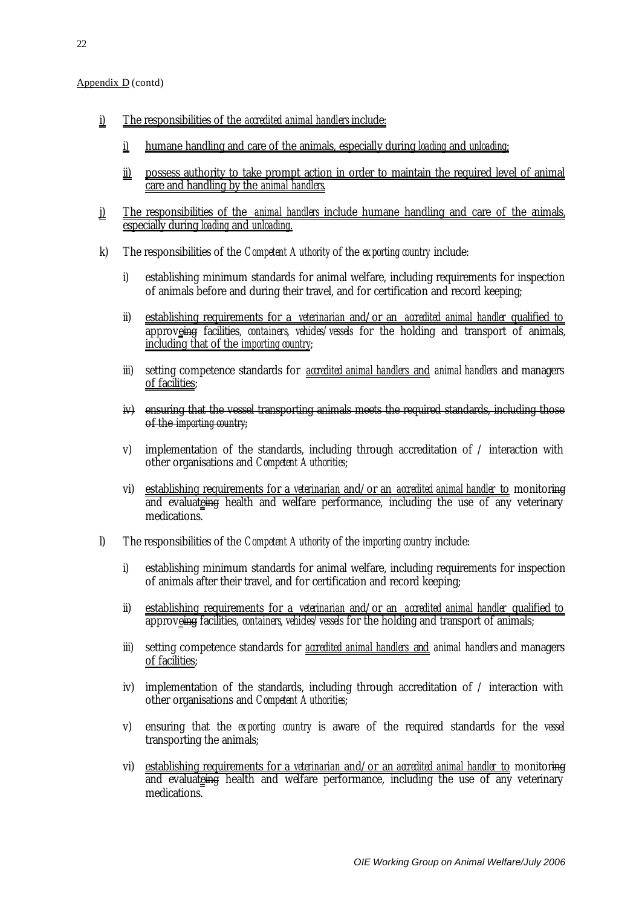- i) The responsibilities of the *accredited animal handlers* include:
	- i) humane handling and care of the animals, especially during *loading* and *unloading*;
	- ii) possess authority to take prompt action in order to maintain the required level of animal care and handling by the *animal handlers*.
- j) The responsibilities of the *animal handlers* include humane handling and care of the animals, especially during *loading* and *unloading*.
- k) The responsibilities of the *Competent Authority* of the *exporting country* include:
	- i) establishing minimum standards for animal welfare, including requirements for inspection of animals before and during their travel, and for certification and record keeping;
	- ii) establishing requirements for a *veterinarian* and/or an *accredited animal handler* qualified to approveing facilities, *containers*, *vehicles/vessels* for the holding and transport of animals, including that of the *importing country*;
	- iii) setting competence standards for *accredited animal handlers* and *animal handlers* and managers of facilities:
	- iv) ensuring that the vessel transporting animals meets the required standards, including those of the *importing country*;
	- v) implementation of the standards, including through accreditation of  $\ell$  interaction with other organisations and *Competent Authorities*;
	- vi) establishing requirements for a *veterinarian* and/or an *accredited animal handler* to monitoring and evaluaten health and welfare performance, including the use of any veterinary medications.
- l) The responsibilities of the *Competent Authority* of the *importing country* include:
	- i) establishing minimum standards for animal welfare, including requirements for inspection of animals after their travel, and for certification and record keeping;
	- ii) establishing requirements for a *veterinarian* and/or an *accredited animal handler* qualified to approveing facilities, *containers*, *vehicles/vessels* for the holding and transport of animals;
	- iii) setting competence standards for *accredited animal handlers* and *animal handlers* and managers of facilities;
	- iv) implementation of the standards, including through accreditation of  $\ell$  interaction with other organisations and *Competent Authorities*;
	- v) ensuring that the *exporting country* is aware of the required standards for the *vessel* transporting the animals;
	- vi) establishing requirements for a *veterinarian* and/or an *accredited animal handler* to monitoring and evaluateing health and welfare performance, including the use of any veterinary medications.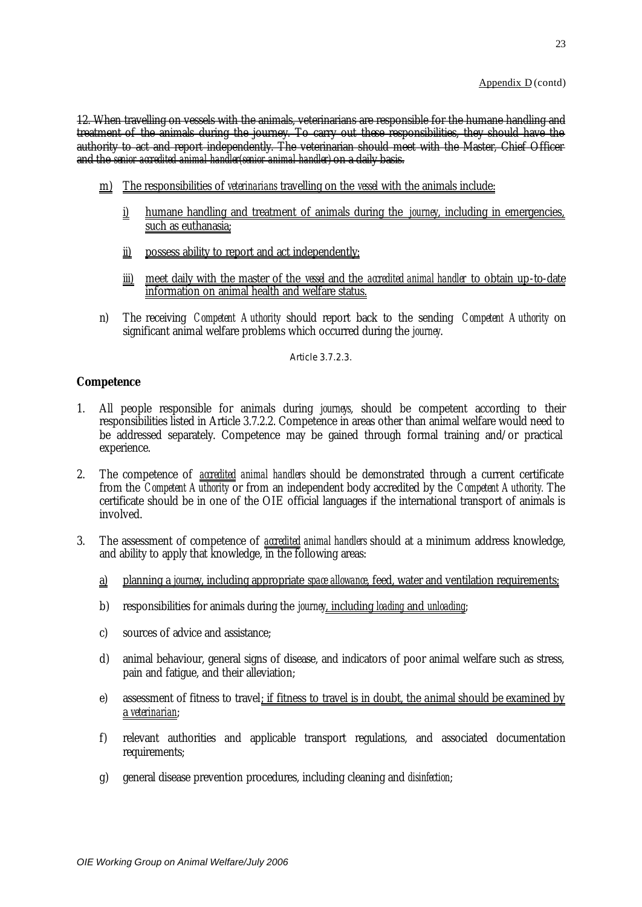12. When travelling on vessels with the animals, veterinarians are responsible for the humane handling and treatment of the animals during the journey. To carry out these responsibilities, they should have the authority to act and report independently. The veterinarian should meet with the Master, Chief Officer and the *senior accredited animal handler(senior animal handler)* on a daily basis.

- m) The responsibilities of *veterinarians* travelling on the *vessel* with the animals include:
	- i) humane handling and treatment of animals during the *journey*, including in emergencies, such as euthanasia;
	- ii) possess ability to report and act independently;
	- iii) meet daily with the master of the *vessel* and the *accredited animal handler* to obtain up-to-date information on animal health and welfare status.
- n) The receiving *Competent Authority* should report back to the sending *Competent Authority* on significant animal welfare problems which occurred during the *journey*.

Article 3.7.2.3.

# **Competence**

- 1. All people responsible for animals during *journeys*, should be competent according to their responsibilities listed in Article 3.7.2.2. Competence in areas other than animal welfare would need to be addressed separately. Competence may be gained through formal training and/or practical experience.
- 2. The competence of *accredited animal handlers* should be demonstrated through a current certificate from the *Competent Authority* or from an independent body accredited by the *Competent Authority.* The certificate should be in one of the OIE official languages if the international transport of animals is involved.
- 3. The assessment of competence of *accredited animal handlers* should at a minimum address knowledge, and ability to apply that knowledge, in the following areas:
	- a) planning a *journey*, including appropriate *space allowance*, feed, water and ventilation requirements;
	- b) responsibilities for animals during the *journey*, including *loading* and *unloading*;
	- c) sources of advice and assistance;
	- d) animal behaviour, general signs of disease, and indicators of poor animal welfare such as stress, pain and fatigue, and their alleviation;
	- e) assessment of fitness to travel; if fitness to travel is in doubt, the animal should be examined by a *veterinarian*;
	- f) relevant authorities and applicable transport regulations, and associated documentation requirements;
	- g) general disease prevention procedures, including cleaning and *disinfection*;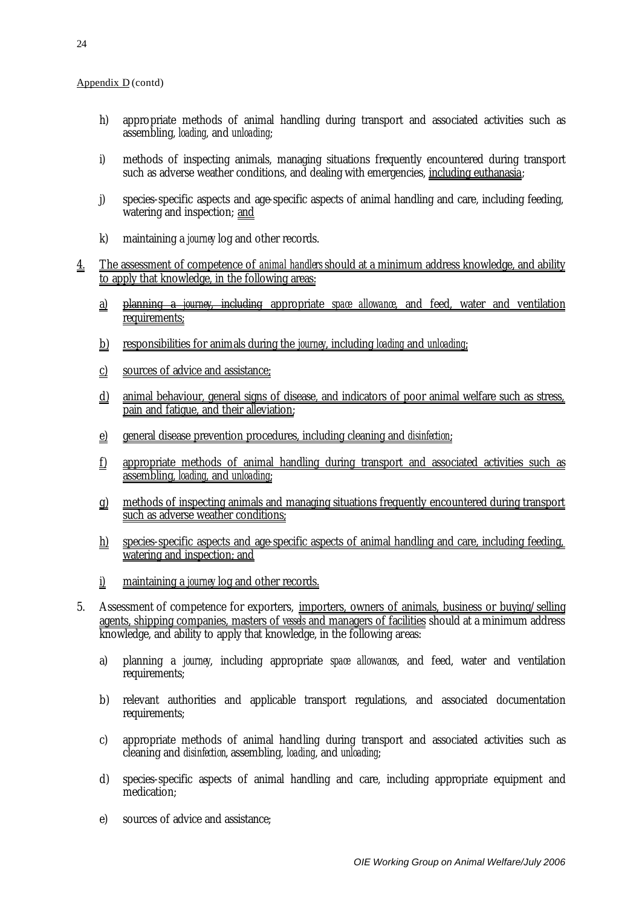- h) appropriate methods of animal handling during transport and associated activities such as assembling, *loading*, and *unloading*;
- i) methods of inspecting animals, managing situations frequently encountered during transport such as adverse weather conditions, and dealing with emergencies, including euthanasia;
- j) species-specific aspects and age-specific aspects of animal handling and care, including feeding, watering and inspection; and
- k) maintaining a *journey* log and other records.
- 4. The assessment of competence of *animal handlers* should at a minimum address knowledge, and ability to apply that knowledge, in the following areas:
	- a) planning a *journey*, including appropriate *space allowance*, and feed, water and ventilation requirements;
	- b) responsibilities for animals during the *journey*, including *loading* and *unloading*;
	- c) sources of advice and assistance;
	- d) animal behaviour, general signs of disease, and indicators of poor animal welfare such as stress, pain and fatigue, and their alleviation;
	- e) general disease prevention procedures, including cleaning and *disinfection*;
	- f) appropriate methods of animal handling during transport and associated activities such as assembling, *loading*, and *unloading*;
	- g) methods of inspecting animals and managing situations frequently encountered during transport such as adverse weather conditions;
	- h) species-specific aspects and age-specific aspects of animal handling and care, including feeding, watering and inspection; and
	- i) maintaining a *journey* log and other records.
- 5. Assessment of competence for exporters, importers, owners of animals, business or buying/selling agents, shipping companies, masters of *vessels* and managers of facilities should at a minimum address knowledge, and ability to apply that knowledge, in the following areas:
	- a) planning a *journey*, including appropriate *space allowances*, and feed, water and ventilation requirements;
	- b) relevant authorities and applicable transport regulations, and associated documentation requirements;
	- c) appropriate methods of animal handling during transport and associated activities such as cleaning and *disinfection*, assembling, *loading*, and *unloading*;
	- d) species-specific aspects of animal handling and care, including appropriate equipment and medication;
	- e) sources of advice and assistance;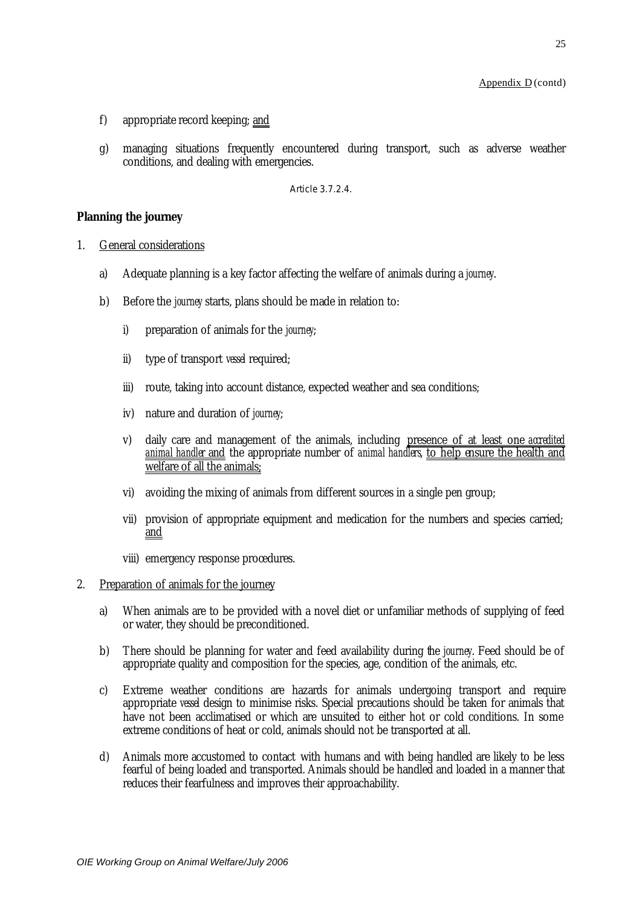- f) appropriate record keeping; and
- g) managing situations frequently encountered during transport, such as adverse weather conditions, and dealing with emergencies.

Article 3.7.2.4.

# **Planning the journey**

- 1. General considerations
	- a) Adequate planning is a key factor affecting the welfare of animals during a *journey*.
	- b) Before the *journey* starts, plans should be made in relation to:
		- i) preparation of animals for the *journey*;
		- ii) type of transport *vessel* required;
		- iii) route, taking into account distance, expected weather and sea conditions;
		- iv) nature and duration of *journey*;
		- v) daily care and management of the animals, including presence of at least one *accredited animal handler* and the appropriate number of *animal handlers*, to help ensure the health and welfare of all the animals;
		- vi) avoiding the mixing of animals from different sources in a single pen group;
		- vii) provision of appropriate equipment and medication for the numbers and species carried; and
		- viii) emergency response procedures.

# 2. Preparation of animals for the journey

- a) When animals are to be provided with a novel diet or unfamiliar methods of supplying of feed or water, they should be preconditioned.
- b) There should be planning for water and feed availability during the *journey*. Feed should be of appropriate quality and composition for the species, age, condition of the animals, etc.
- c) Extreme weather conditions are hazards for animals undergoing transport and require appropriate *vessel* design to minimise risks. Special precautions should be taken for animals that have not been acclimatised or which are unsuited to either hot or cold conditions. In some extreme conditions of heat or cold, animals should not be transported at all.
- d) Animals more accustomed to contact with humans and with being handled are likely to be less fearful of being loaded and transported. Animals should be handled and loaded in a manner that reduces their fearfulness and improves their approachability.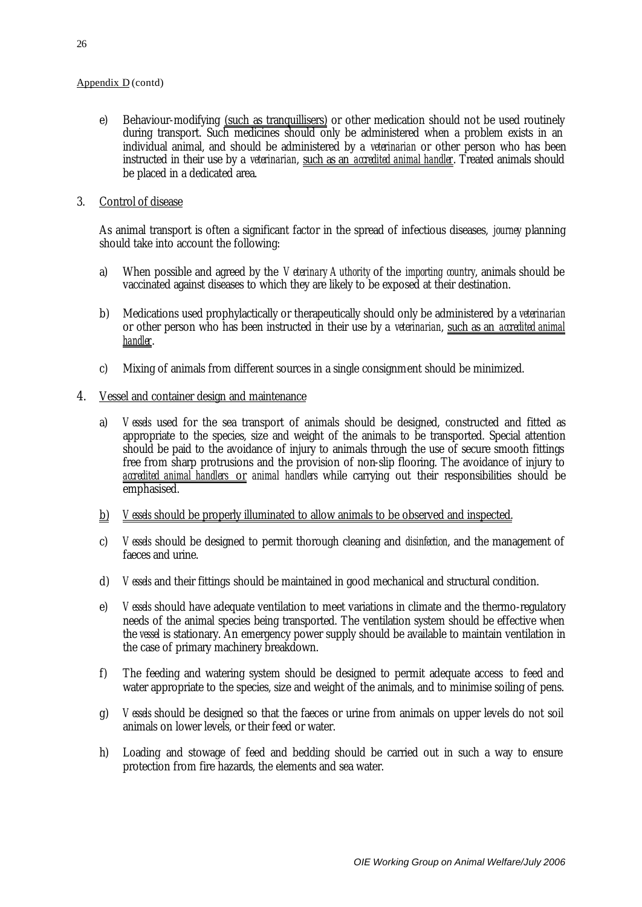e) Behaviour-modifying (such as tranquillisers) or other medication should not be used routinely during transport. Such medicines should only be administered when a problem exists in an individual animal, and should be administered by a *veterinarian* or other person who has been instructed in their use by a *veterinarian*, such as an *accredited animal handler*. Treated animals should be placed in a dedicated area.

# 3. Control of disease

As animal transport is often a significant factor in the spread of infectious diseases, *journey* planning should take into account the following:

- a) When possible and agreed by the *Veterinary Authority* of the *importing country*, animals should be vaccinated against diseases to which they are likely to be exposed at their destination.
- b) Medications used prophylactically or therapeutically should only be administered by a *veterinarian* or other person who has been instructed in their use by a *veterinarian*, such as an *accredited animal handler*.
- c) Mixing of animals from different sources in a single consignment should be minimized.

### 4. Vessel and container design and maintenance

- a) *Vessels* used for the sea transport of animals should be designed, constructed and fitted as appropriate to the species, size and weight of the animals to be transported. Special attention should be paid to the avoidance of injury to animals through the use of secure smooth fittings free from sharp protrusions and the provision of non-slip flooring. The avoidance of injury to *accredited animal handlers* or *animal handlers* while carrying out their responsibilities should be emphasised.
- b) *Vessels* should be properly illuminated to allow animals to be observed and inspected.
- c) *Vessels* should be designed to permit thorough cleaning and *disinfection*, and the management of faeces and urine.
- d) *Vessels* and their fittings should be maintained in good mechanical and structural condition.
- e) *Vessels* should have adequate ventilation to meet variations in climate and the thermo-regulatory needs of the animal species being transported. The ventilation system should be effective when the *vessel* is stationary. An emergency power supply should be available to maintain ventilation in the case of primary machinery breakdown.
- f) The feeding and watering system should be designed to permit adequate access to feed and water appropriate to the species, size and weight of the animals, and to minimise soiling of pens.
- g) *Vessels* should be designed so that the faeces or urine from animals on upper levels do not soil animals on lower levels, or their feed or water.
- h) Loading and stowage of feed and bedding should be carried out in such a way to ensure protection from fire hazards, the elements and sea water.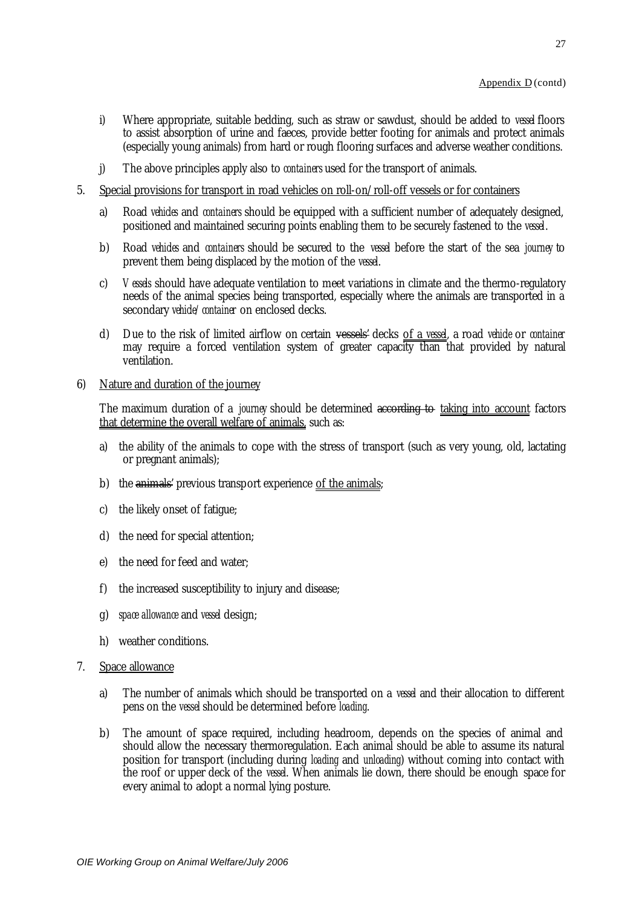27

- i) Where appropriate, suitable bedding, such as straw or sawdust, should be added to *vessel* floors to assist absorption of urine and faeces, provide better footing for animals and protect animals (especially young animals) from hard or rough flooring surfaces and adverse weather conditions.
- j) The above principles apply also to *containers* used for the transport of animals.
- 5. Special provisions for transport in road vehicles on roll-on/roll-off vessels or for containers
	- a) Road *vehicles* and *containers* should be equipped with a sufficient number of adequately designed, positioned and maintained securing points enabling them to be securely fastened to the *vessel*.
	- b) Road *vehicles* and *containers* should be secured to the *vessel* before the start of the sea *journey* to prevent them being displaced by the motion of the *vessel*.
	- c) *Vessels* should have adequate ventilation to meet variations in climate and the thermo-regulatory needs of the animal species being transported, especially where the animals are transported in a secondary *vehicle/container* on enclosed decks.
	- d) Due to the risk of limited airflow on certain vessels' decks of a *vessel*, a road *vehicle* or *container* may require a forced ventilation system of greater capacity than that provided by natural ventilation.

# 6) Nature and duration of the journey

The maximum duration of a *journey* should be determined according to taking into account factors that determine the overall welfare of animals, such as:

- a) the ability of the animals to cope with the stress of transport (such as very young, old, lactating or pregnant animals);
- b) the **animals** previous transport experience of the animals;
- c) the likely onset of fatigue;
- d) the need for special attention;
- e) the need for feed and water;
- f) the increased susceptibility to injury and disease;
- g) *space allowance* and *vessel* design;
- h) weather conditions.
- 7. Space allowance
	- a) The number of animals which should be transported on a *vessel* and their allocation to different pens on the *vessel* should be determined before *loading*.
	- b) The amount of space required, including headroom, depends on the species of animal and should allow the necessary thermoregulation. Each animal should be able to assume its natural position for transport (including during *loading* and *unloading*) without coming into contact with the roof or upper deck of the *vessel*. When animals lie down, there should be enough space for every animal to adopt a normal lying posture.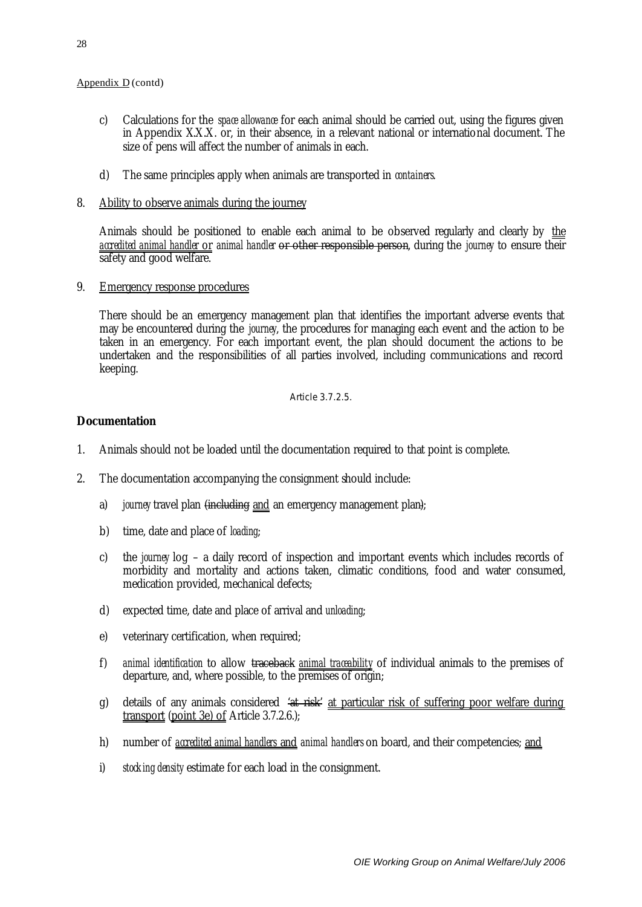- c) Calculations for the *space allowance* for each animal should be carried out, using the figures given in Appendix XX.X. or, in their absence, in a relevant national or international document. The size of pens will affect the number of animals in each.
- d) The same principles apply when animals are transported in *containers*.
- 8. Ability to observe animals during the journey

Animals should be positioned to enable each animal to be observed regularly and clearly by the *accredited animal handler* or *animal handler* or other responsible person, during the *journey* to ensure their safety and good welfare.

9. Emergency response procedures

There should be an emergency management plan that identifies the important adverse events that may be encountered during the *journey*, the procedures for managing each event and the action to be taken in an emergency. For each important event, the plan should document the actions to be undertaken and the responsibilities of all parties involved, including communications and record keeping.

Article 3.7.2.5.

# **Documentation**

- 1. Animals should not be loaded until the documentation required to that point is complete.
- 2. The documentation accompanying the consignment should include:
	- a) *journey* travel plan <del>(including</del> and an emergency management plan);
	- b) time, date and place of *loading*;
	- c) the *journey* log a daily record of inspection and important events which includes records of morbidity and mortality and actions taken, climatic conditions, food and water consumed, medication provided, mechanical defects;
	- d) expected time, date and place of arrival and *unloading*;
	- e) veterinary certification, when required;
	- f) *animal identification* to allow traceback *animal traceability* of individual animals to the premises of departure, and, where possible, to the premises of origin;
	- g) details of any animals considered 'at risk' at particular risk of suffering poor welfare during transport (point 3e) of Article 3.7.2.6.);
	- h) number of *accredited animal handlers* and *animal handlers* on board, and their competencies; and
	- i) *stocking density* estimate for each load in the consignment.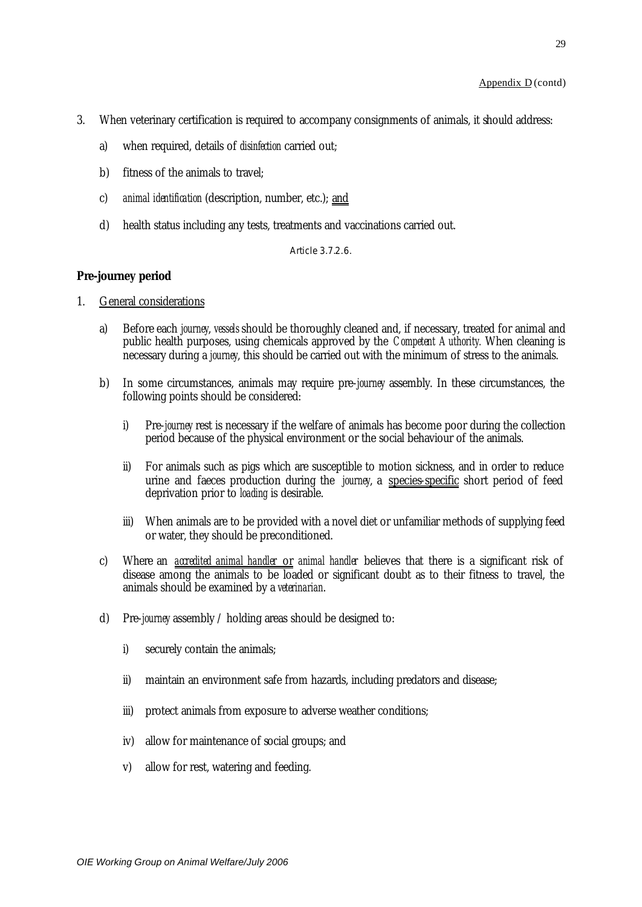- 3. When veterinary certification is required to accompany consignments of animals, it should address:
	- a) when required, details of *disinfection* carried out;
	- b) fitness of the animals to travel;
	- c) *animal identification* (description, number, etc.); and
	- d) health status including any tests, treatments and vaccinations carried out.

Article 3.7.2.6.

# **Pre-journey period**

# 1. General considerations

- a) Before each *journey*, *vessels* should be thoroughly cleaned and, if necessary, treated for animal and public health purposes, using chemicals approved by the *Competent Authority.* When cleaning is necessary during a *journey*, this should be carried out with the minimum of stress to the animals.
- b) In some circumstances, animals may require pre-*journey* assembly. In these circumstances, the following points should be considered:
	- i) Pre-*journey* rest is necessary if the welfare of animals has become poor during the collection period because of the physical environment or the social behaviour of the animals.
	- ii) For animals such as pigs which are susceptible to motion sickness, and in order to reduce urine and faeces production during the *journey*, a species-specific short period of feed deprivation prior to *loading* is desirable.
	- iii) When animals are to be provided with a novel diet or unfamiliar methods of supplying feed or water, they should be preconditioned.
- c) Where an *accredited animal handler* or *animal handler* believes that there is a significant risk of disease among the animals to be loaded or significant doubt as to their fitness to travel, the animals should be examined by a *veterinarian*.
- d) Pre-*journey* assembly / holding areas should be designed to:
	- i) securely contain the animals;
	- ii) maintain an environment safe from hazards, including predators and disease;
	- iii) protect animals from exposure to adverse weather conditions;
	- iv) allow for maintenance of social groups; and
	- v) allow for rest, watering and feeding.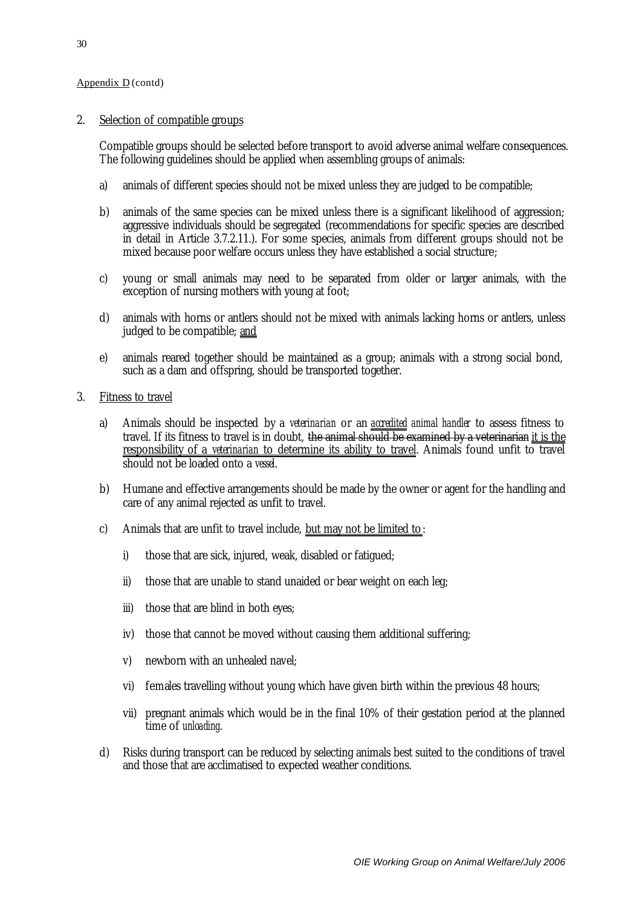### 2. Selection of compatible groups

Compatible groups should be selected before transport to avoid adverse animal welfare consequences. The following guidelines should be applied when assembling groups of animals:

- a) animals of different species should not be mixed unless they are judged to be compatible;
- b) animals of the same species can be mixed unless there is a significant likelihood of aggression; aggressive individuals should be segregated (recommendations for specific species are described in detail in Article 3.7.2.11.). For some species, animals from different groups should not be mixed because poor welfare occurs unless they have established a social structure;
- c) young or small animals may need to be separated from older or larger animals, with the exception of nursing mothers with young at foot;
- d) animals with horns or antlers should not be mixed with animals lacking horns or antlers, unless judged to be compatible; and
- e) animals reared together should be maintained as a group; animals with a strong social bond, such as a dam and offspring, should be transported together.
- 3. Fitness to travel
	- a) Animals should be inspected by a *veterinarian* or an *accredited animal handler* to assess fitness to travel. If its fitness to travel is in doubt, the animal should be examined by a veterinarian it is the responsibility of a *veterinarian* to determine its ability to travel. Animals found unfit to travel should not be loaded onto a *vessel*.
	- b) Humane and effective arrangements should be made by the owner or agent for the handling and care of any animal rejected as unfit to travel.
	- c) Animals that are unfit to travel include, but may not be limited to:
		- i) those that are sick, injured, weak, disabled or fatigued;
		- ii) those that are unable to stand unaided or bear weight on each leg;
		- iii) those that are blind in both eyes;
		- iv) those that cannot be moved without causing them additional suffering;
		- v) newborn with an unhealed navel;
		- vi) females travelling without young which have given birth within the previous 48 hours;
		- vii) pregnant animals which would be in the final 10% of their gestation period at the planned time of *unloading*.
	- d) Risks during transport can be reduced by selecting animals best suited to the conditions of travel and those that are acclimatised to expected weather conditions.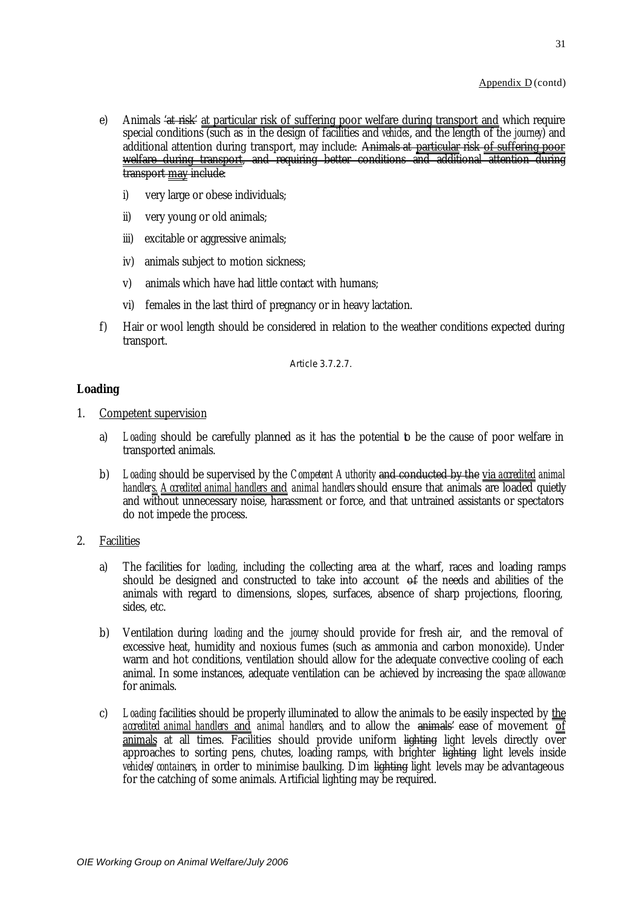- e) Animals 'at risk' at particular risk of suffering poor welfare during transport and which require special conditions (such as in the design of facilities and *vehicles*, and the length of the *journey*) and additional attention during transport, may include: Animals at particular risk of suffering poor welfare during transport, and requiring better conditions and additional attention during transport may include:
	- i) very large or obese individuals;
	- ii) very young or old animals;
	- iii) excitable or aggressive animals;
	- iv) animals subject to motion sickness;
	- v) animals which have had little contact with humans;
	- vi) females in the last third of pregnancy or in heavy lactation.
- f) Hair or wool length should be considered in relation to the weather conditions expected during transport.

Article 3.7.2.7

# **Loading**

- 1. Competent supervision
	- a) *Loading* should be carefully planned as it has the potential **b** be the cause of poor welfare in transported animals.
	- b) *Loading* should be supervised by the *Competent Authority* and conducted by the via *accredited animal handlers. Accredited animal handlers* and *animal handlers* should ensure that animals are loaded quietly and without unnecessary noise, harassment or force, and that untrained assistants or spectators do not impede the process.

# 2. Facilities

- a) The facilities for *loading*, including the collecting area at the wharf, races and loading ramps should be designed and constructed to take into account  $\theta$  the needs and abilities of the animals with regard to dimensions, slopes, surfaces, absence of sharp projections, flooring, sides, etc.
- b) Ventilation during *loading* and the *journey* should provide for fresh air, and the removal of excessive heat, humidity and noxious fumes (such as ammonia and carbon monoxide). Under warm and hot conditions, ventilation should allow for the adequate convective cooling of each animal. In some instances, adequate ventilation can be achieved by increasing the *space allowance* for animals.
- c) *Loading* facilities should be properly illuminated to allow the animals to be easily inspected by the *accredited animal handlers and animal handlers*, and to allow the animals' ease of movement of animals at all times. Facilities should provide uniform lighting light levels directly over approaches to sorting pens, chutes, loading ramps, with brighter lighting light levels inside *vehicles*/*containers*, in order to minimise baulking. Dim lighting light levels may be advantageous for the catching of some animals. Artificial lighting may be required.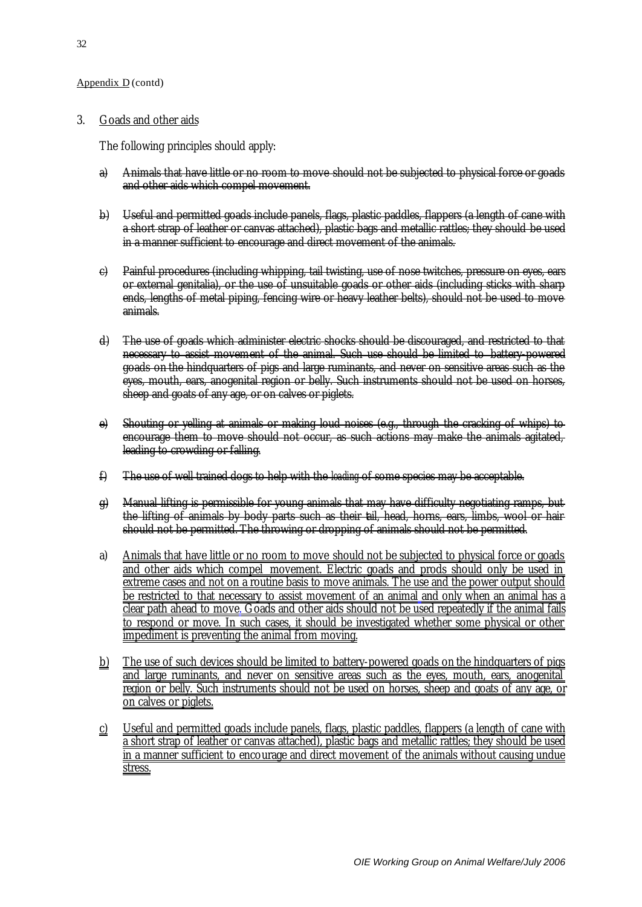### 3. Goads and other aids

The following principles should apply:

- a) Animals that have little or no room to move should not be subjected to physical force or goads and other aids which compel movement.
- b) Useful and permitted goads include panels, flags, plastic paddles, flappers (a length of cane with a short strap of leather or canvas attached), plastic bags and metallic rattles; they should be used in a manner sufficient to encourage and direct movement of the animals.
- c) Painful procedures (including whipping, tail twisting, use of nose twitches, pressure on eyes, ears or external genitalia), or the use of unsuitable goads or other aids (including sticks with sharp ends, lengths of metal piping, fencing wire or heavy leather belts), should not be used to move animals.
- d) The use of goads which administer electric shocks should be discouraged, and restricted to that necessary to assist movement of the animal. Such use should be limited to battery-powered goads on the hindquarters of pigs and large ruminants, and never on sensitive areas such as the eyes, mouth, ears, anogenital region or belly. Such instruments should not be used on horses, sheep and goats of any age, or on calves or piglets.
- e) Shouting or yelling at animals or making loud noises (e.g., through the cracking of whips) to encourage them to move should not occur, as such actions may make the animals agitated, leading to crowding or falling.
- f) The use of well trained dogs to help with the *loading* of some species may be acceptable.
- g) Manual lifting is permissible for young animals that may have difficulty negotiating ramps, but the lifting of animals by body parts such as their tail, head, horns, ears, limbs, wool or hair should not be permitted. The throwing or dropping of animals should not be permitted.
- a) Animals that have little or no room to move should not be subjected to physical force or goads and other aids which compel movement. Electric goads and prods should only be used in extreme cases and not on a routine basis to move animals. The use and the power output should be restricted to that necessary to assist movement of an animal and only when an animal has a clear path ahead to move. Goads and other aids should not be used repeatedly if the animal fails to respond or move. In such cases, it should be investigated whether some physical or other impediment is preventing the animal from moving.
- b) The use of such devices should be limited to battery-powered goads on the hindquarters of pigs and large ruminants, and never on sensitive areas such as the eyes, mouth, ears, anogenital region or belly. Such instruments should not be used on horses, sheep and goats of any age, or on calves or piglets.
- c) Useful and permitted goads include panels, flags, plastic paddles, flappers (a length of cane with a short strap of leather or canvas attached), plastic bags and metallic rattles; they should be used in a manner sufficient to encourage and direct movement of the animals without causing undue stress.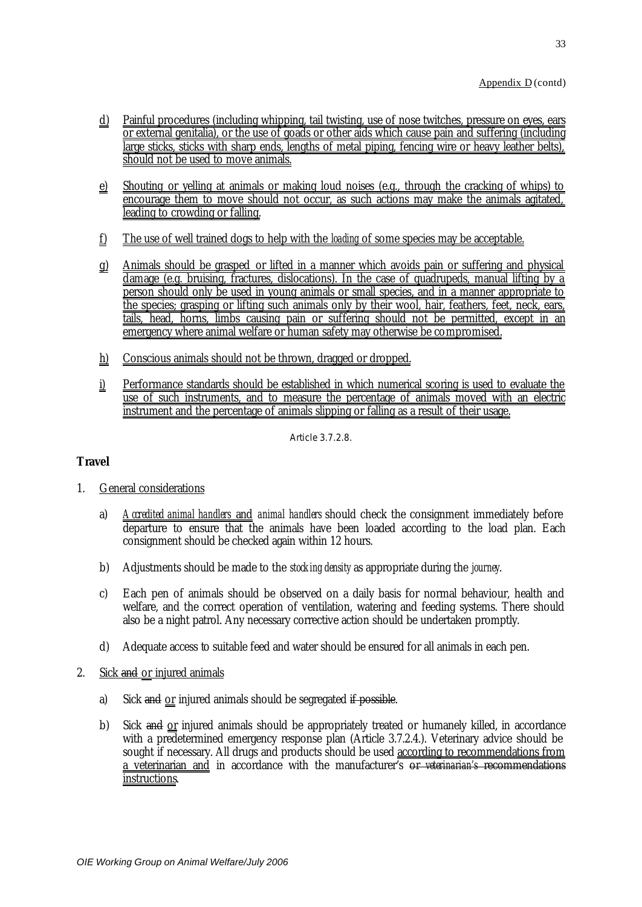- d) Painful procedures (including whipping, tail twisting, use of nose twitches, pressure on eyes, ears or external genitalia), or the use of goads or other aids which cause pain and suffering (including large sticks, sticks with sharp ends, lengths of metal piping, fencing wire or heavy leather belts), should not be used to move animals.
- e) Shouting or yelling at animals or making loud noises (e.g., through the cracking of whips) to encourage them to move should not occur, as such actions may make the animals agitated, leading to crowding or falling.
- f) The use of well trained dogs to help with the *loading* of some species may be acceptable.
- g) Animals should be grasped or lifted in a manner which avoids pain or suffering and physical damage (e.g. bruising, fractures, dislocations). In the case of quadrupeds, manual lifting by a person should only be used in young animals or small species, and in a manner appropriate to the species; grasping or lifting such animals only by their wool, hair, feathers, feet, neck, ears, tails, head, horns, limbs causing pain or suffering should not be permitted, except in an emergency where animal welfare or human safety may otherwise be compromised.
- h) Conscious animals should not be thrown, dragged or dropped.
- i) Performance standards should be established in which numerical scoring is used to evaluate the use of such instruments, and to measure the percentage of animals moved with an electric instrument and the percentage of animals slipping or falling as a result of their usage.

Article 3.7.2.8.

# **Travel**

- 1. General considerations
	- a) *Accredited animal handlers* and *animal handlers* should check the consignment immediately before departure to ensure that the animals have been loaded according to the load plan. Each consignment should be checked again within 12 hours.
	- b) Adjustments should be made to the *stocking density* as appropriate during the *journey*.
	- c) Each pen of animals should be observed on a daily basis for normal behaviour, health and welfare, and the correct operation of ventilation, watering and feeding systems. There should also be a night patrol. Any necessary corrective action should be undertaken promptly.
	- d) Adequate access to suitable feed and water should be ensured for all animals in each pen.
- 2. Sick and or injured animals
	- a) Sick and or injured animals should be segregated if possible.
	- b) Sick and or injured animals should be appropriately treated or humanely killed, in accordance with a predetermined emergency response plan (Article 3.7.2.4.). Veterinary advice should be sought if necessary. All drugs and products should be used according to recommendations from a veterinarian and in accordance with the manufacturer's or *veterinarian's* recommendations instructions.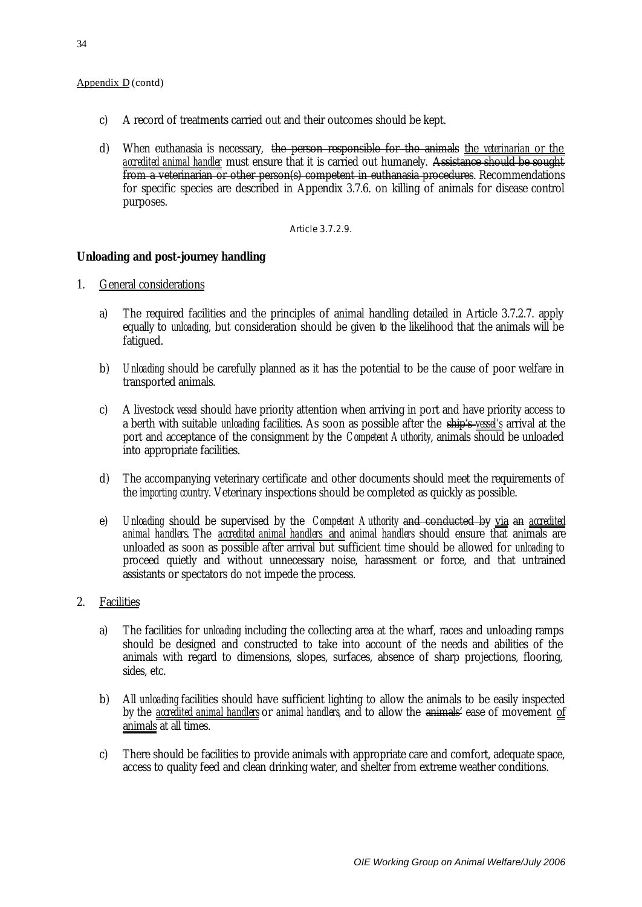- c) A record of treatments carried out and their outcomes should be kept.
- d) When euthanasia is necessary, the person responsible for the animals the *veterinarian* or the *accredited animal handler* must ensure that it is carried out humanely. Assistance should be sought from a veterinarian or other person(s) competent in euthanasia procedures. Recommendations for specific species are described in Appendix 3.7.6. on killing of animals for disease control purposes.

Article 3.7.2.9.

### **Unloading and post-journey handling**

- 1. General considerations
	- a) The required facilities and the principles of animal handling detailed in Article 3.7.2.7. apply equally to *unloading*, but consideration should be given to the likelihood that the animals will be fatigued.
	- b) *Unloading* should be carefully planned as it has the potential to be the cause of poor welfare in transported animals.
	- c) A livestock *vessel* should have priority attention when arriving in port and have priority access to a berth with suitable *unloading* facilities. As soon as possible after the ship's *vessel's* arrival at the port and acceptance of the consignment by the *Competent Authority*, animals should be unloaded into appropriate facilities.
	- d) The accompanying veterinary certificate and other documents should meet the requirements of the *importing country*. Veterinary inspections should be completed as quickly as possible.
	- e) *Unloading* should be supervised by the *Competent Authority* and conducted by via an *accredited animal handlers*. The *accredited animal handlers* and *animal handlers* should ensure that animals are unloaded as soon as possible after arrival but sufficient time should be allowed for *unloading* to proceed quietly and without unnecessary noise, harassment or force, and that untrained assistants or spectators do not impede the process.

### 2. Facilities

- a) The facilities for *unloading* including the collecting area at the wharf, races and unloading ramps should be designed and constructed to take into account of the needs and abilities of the animals with regard to dimensions, slopes, surfaces, absence of sharp projections, flooring, sides, etc.
- b) All *unloading* facilities should have sufficient lighting to allow the animals to be easily inspected by the *accredited animal handlers* or *animal handlers*, and to allow the animals' ease of movement of animals at all times.
- c) There should be facilities to provide animals with appropriate care and comfort, adequate space, access to quality feed and clean drinking water, and shelter from extreme weather conditions.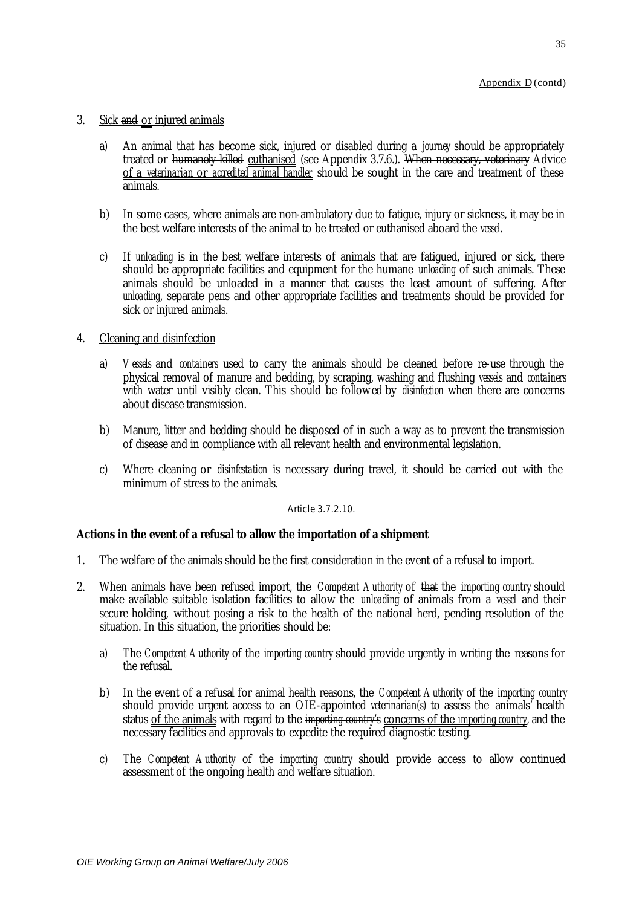# 3. Sick and or injured animals

- a) An animal that has become sick, injured or disabled during a *journey* should be appropriately treated or humanely killed euthanised (see Appendix 3.7.6.). When necessary, veterinary Advice of a *veterinarian* or *accredited animal handler* should be sought in the care and treatment of these animals.
- b) In some cases, where animals are non-ambulatory due to fatigue, injury or sickness, it may be in the best welfare interests of the animal to be treated or euthanised aboard the *vessel*.
- c) If *unloading* is in the best welfare interests of animals that are fatigued, injured or sick, there should be appropriate facilities and equipment for the humane *unloading* of such animals. These animals should be unloaded in a manner that causes the least amount of suffering. After *unloading*, separate pens and other appropriate facilities and treatments should be provided for sick or injured animals.

# 4. Cleaning and disinfection

- a) *Vessels* and *containers* used to carry the animals should be cleaned before re-use through the physical removal of manure and bedding, by scraping, washing and flushing *vessels* and *containers* with water until visibly clean. This should be followed by *disinfection* when there are concerns about disease transmission.
- b) Manure, litter and bedding should be disposed of in such a way as to prevent the transmission of disease and in compliance with all relevant health and environmental legislation.
- c) Where cleaning or *disinfestation* is necessary during travel, it should be carried out with the minimum of stress to the animals.

Article 3.7.2.10.

# **Actions in the event of a refusal to allow the importation of a shipment**

- 1. The welfare of the animals should be the first consideration in the event of a refusal to import.
- 2. When animals have been refused import, the *Competent Authority* of that the *importing country* should make available suitable isolation facilities to allow the *unloading* of animals from a *vessel* and their secure holding, without posing a risk to the health of the national herd, pending resolution of the situation. In this situation, the priorities should be:
	- a) The *Competent Authority* of the *importing country* should provide urgently in writing the reasons for the refusal.
	- b) In the event of a refusal for animal health reasons, the *Competent Authority* of the *importing country* should provide urgent access to an OIE-appointed *veterinarian(s)* to assess the animals' health status of the animals with regard to the *importing country*'s concerns of the *importing country*, and the necessary facilities and approvals to expedite the required diagnostic testing.
	- c) The *Competent Authority* of the *importing country* should provide access to allow continued assessment of the ongoing health and welfare situation.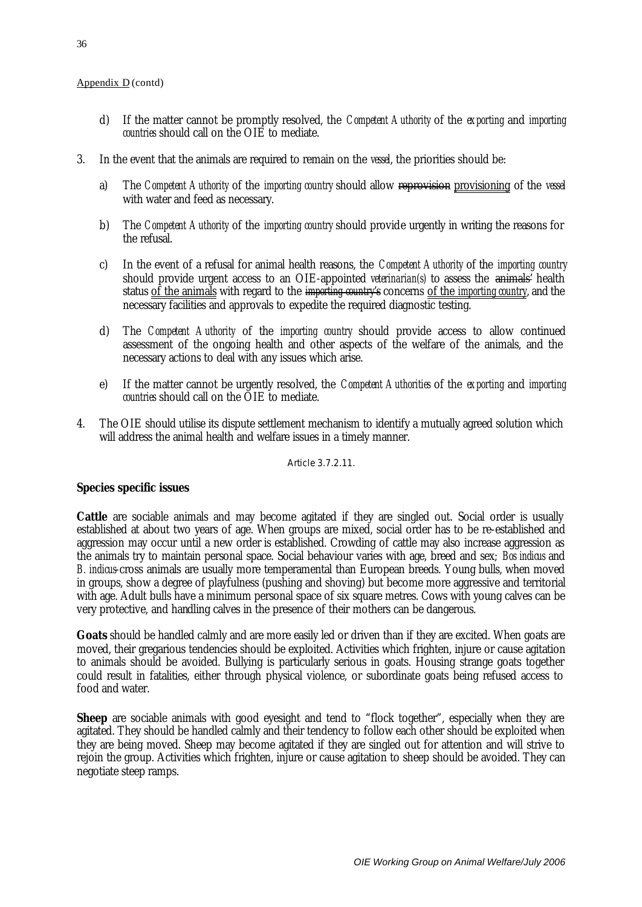- d) If the matter cannot be promptly resolved, the *Competent Authority* of the *exporting* and *importing countries* should call on the OIE to mediate.
- 3. In the event that the animals are required to remain on the *vessel*, the priorities should be:
	- a) The *Competent Authority* of the *importing country* should allow reprovision provisioning of the *vessel* with water and feed as necessary.
	- b) The *Competent Authority* of the *importing country* should provide urgently in writing the reasons for the refusal.
	- c) In the event of a refusal for animal health reasons, the *Competent Authority* of the *importing country* should provide urgent access to an OIE-appointed *veterinarian(s)* to assess the animals' health status of the animals with regard to the *importing country*'s concerns of the *importing country*, and the necessary facilities and approvals to expedite the required diagnostic testing.
	- d) The *Competent Authority* of the *importing country* should provide access to allow continued assessment of the ongoing health and other aspects of the welfare of the animals, and the necessary actions to deal with any issues which arise.
	- e) If the matter cannot be urgently resolved, the *Competent Authorities* of the *exporting* and *importing countries* should call on the OIE to mediate.
- 4. The OIE should utilise its dispute settlement mechanism to identify a mutually agreed solution which will address the animal health and welfare issues in a timely manner.

Article 3.7.2.11.

# **Species specific issues**

**Cattle** are sociable animals and may become agitated if they are singled out. Social order is usually established at about two years of age. When groups are mixed, social order has to be re-established and aggression may occur until a new order is established. Crowding of cattle may also increase aggression as the animals try to maintain personal space. Social behaviour varies with age, breed and sex; *Bos indicus* and *B. indicus*-cross animals are usually more temperamental than European breeds. Young bulls, when moved in groups, show a degree of playfulness (pushing and shoving) but become more aggressive and territorial with age. Adult bulls have a minimum personal space of six square metres. Cows with young calves can be very protective, and handling calves in the presence of their mothers can be dangerous.

Goats should be handled calmly and are more easily led or driven than if they are excited. When goats are moved, their gregarious tendencies should be exploited. Activities which frighten, injure or cause agitation to animals should be avoided. Bullying is particularly serious in goats. Housing strange goats together could result in fatalities, either through physical violence, or subordinate goats being refused access to food and water.

**Sheep** are sociable animals with good eyesight and tend to "flock together", especially when they are agitated. They should be handled calmly and their tendency to follow each other should be exploited when they are being moved. Sheep may become agitated if they are singled out for attention and will strive to rejoin the group. Activities which frighten, injure or cause agitation to sheep should be avoided. They can negotiate steep ramps.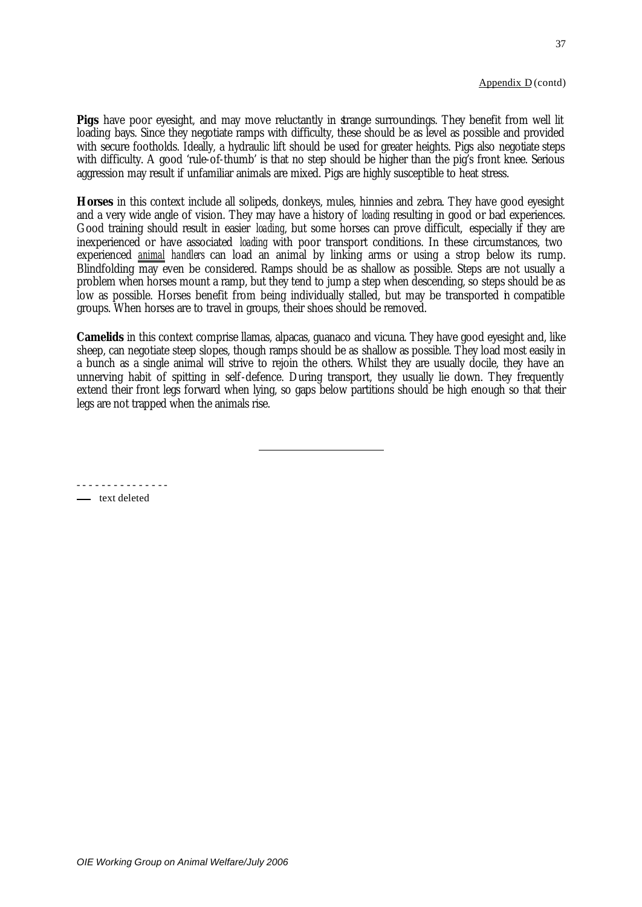**Pigs** have poor eyesight, and may move reluctantly in strange surroundings. They benefit from well lit loading bays. Since they negotiate ramps with difficulty, these should be as level as possible and provided with secure footholds. Ideally, a hydraulic lift should be used for greater heights. Pigs also negotiate steps with difficulty. A good 'rule-of-thumb' is that no step should be higher than the pig's front knee. Serious aggression may result if unfamiliar animals are mixed. Pigs are highly susceptible to heat stress.

**Horses** in this context include all solipeds, donkeys, mules, hinnies and zebra. They have good eyesight and a very wide angle of vision. They may have a history of *loading* resulting in good or bad experiences. Good training should result in easier *loading*, but some horses can prove difficult, especially if they are inexperienced or have associated *loading* with poor transport conditions. In these circumstances, two experienced *animal handlers* can load an animal by linking arms or using a strop below its rump. Blindfolding may even be considered. Ramps should be as shallow as possible. Steps are not usually a problem when horses mount a ramp, but they tend to jump a step when descending, so steps should be as low as possible. Horses benefit from being individually stalled, but may be transported in compatible groups. When horses are to travel in groups, their shoes should be removed.

**Camelids** in this context comprise llamas, alpacas, guanaco and vicuna. They have good eyesight and, like sheep, can negotiate steep slopes, though ramps should be as shallow as possible. They load most easily in a bunch as a single animal will strive to rejoin the others. Whilst they are usually docile, they have an unnerving habit of spitting in self-defence. During transport, they usually lie down. They frequently extend their front legs forward when lying, so gaps below partitions should be high enough so that their legs are not trapped when the animals rise.

- - - - - - - - - - - - - - - - text deleted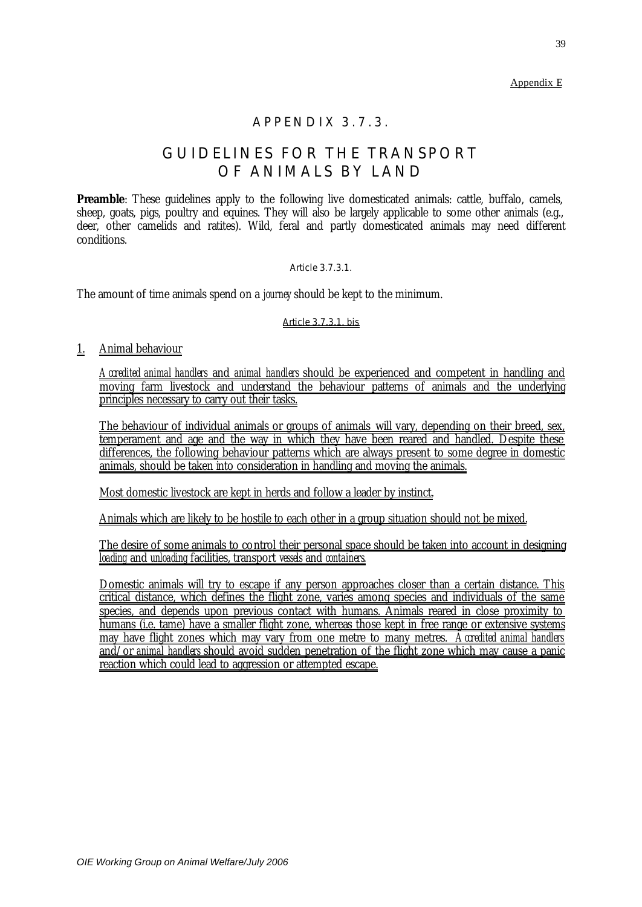Appendix E

## APPENDIX 3.7.3.

# GUIDELINES FOR THE TRANSPORT OF ANIMALS BY LAND

**Preamble**: These guidelines apply to the following live domesticated animals: cattle, buffalo, camels, sheep, goats, pigs, poultry and equines. They will also be largely applicable to some other animals (e.g., deer, other camelids and ratites). Wild, feral and partly domesticated animals may need different conditions.

#### Article 3.7.3.1.

The amount of time animals spend on a *journey* should be kept to the minimum.

#### Article 3.7.3.1. bis

## Animal behaviour

*Accredited animal handlers* and *animal handlers* should be experienced and competent in handling and moving farm livestock and understand the behaviour patterns of animals and the underlying principles necessary to carry out their tasks.

The behaviour of individual animals or groups of animals will vary, depending on their breed, sex, temperament and age and the way in which they have been reared and handled. Despite these differences, the following behaviour patterns which are always present to some degree in domestic animals, should be taken into consideration in handling and moving the animals.

Most domestic livestock are kept in herds and follow a leader by instinct.

Animals which are likely to be hostile to each other in a group situation should not be mixed.

The desire of some animals to control their personal space should be taken into account in designing *loading* and *unloading* facilities, transport *vessels* and *containers*.

Domestic animals will try to escape if any person approaches closer than a certain distance. This critical distance, which defines the flight zone, varies among species and individuals of the same species, and depends upon previous contact with humans. Animals reared in close proximity to humans (i.e. tame) have a smaller flight zone, whereas those kept in free range or extensive systems may have flight zones which may vary from one metre to many metres. *Accredited animal handlers*  and/or *animal handlers* should avoid sudden penetration of the flight zone which may cause a panic reaction which could lead to aggression or attempted escape.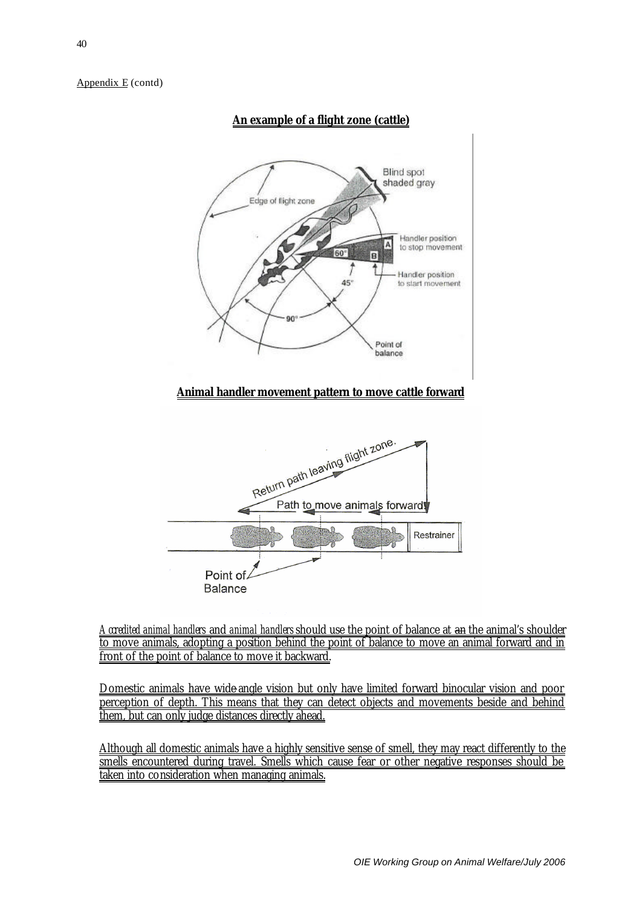#### **An example of a flight zone (cattle)**



*Accredited animal handlers* and *animal handlers* should use the point of balance at an the animal's shoulder to move animals, adopting a position behind the point of balance to move an animal forward and in front of the point of balance to move it backward.

Domestic animals have wide-angle vision but only have limited forward binocular vision and poor perception of depth. This means that they can detect objects and movements beside and behind them, but can only judge distances directly ahead.

Although all domestic animals have a highly sensitive sense of smell, they may react differently to the smells encountered during travel. Smells which cause fear or other negative responses should be taken into consideration when managing animals.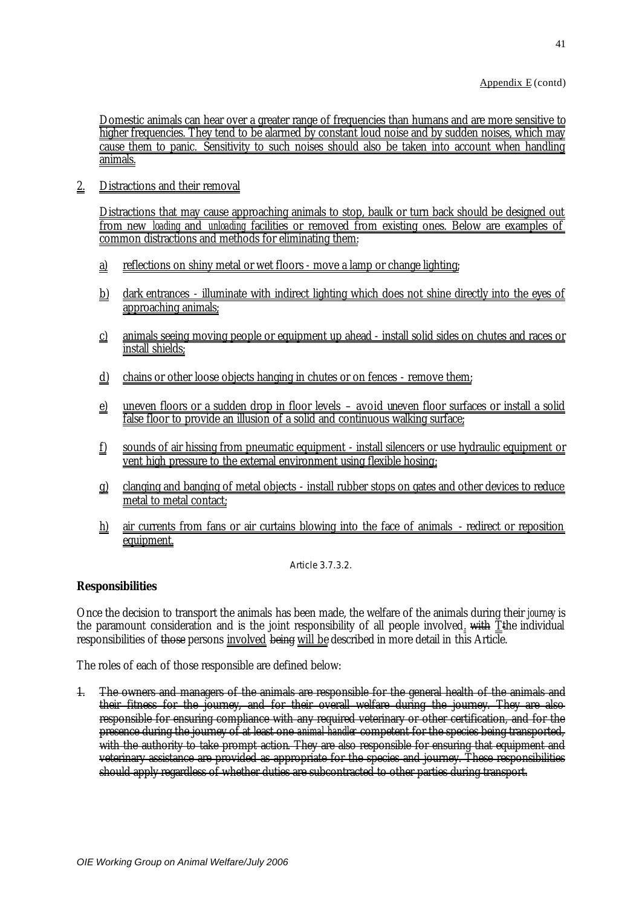Domestic animals can hear over a greater range of frequencies than humans and are more sensitive to higher frequencies. They tend to be alarmed by constant loud noise and by sudden noises, which may cause them to panic. Sensitivity to such noises should also be taken into account when handling animals.

2. Distractions and their removal

Distractions that may cause approaching animals to stop, baulk or turn back should be designed out from new *loading* and *unloading* facilities or removed from existing ones. Below are examples of common distractions and methods for eliminating them:

- a) reflections on shiny metal or wet floors move a lamp or change lighting;
- b) dark entrances illuminate with indirect lighting which does not shine directly into the eyes of approaching animals;
- c) animals seeing moving people or equipment up ahead install solid sides on chutes and races or install shields;
- d) chains or other loose objects hanging in chutes or on fences remove them;
- e) uneven floors or a sudden drop in floor levels avoid uneven floor surfaces or install a solid false floor to provide an illusion of a solid and continuous walking surface;
- f) sounds of air hissing from pneumatic equipment install silencers or use hydraulic equipment or vent high pressure to the external environment using flexible hosing;
- g) clanging and banging of metal objects install rubber stops on gates and other devices to reduce metal to metal contact;
- h) air currents from fans or air curtains blowing into the face of animals redirect or reposition equipment.

Article 3.7.3.2.

## **Responsibilities**

Once the decision to transport the animals has been made, the welfare of the animals during their *journey* is the paramount consideration and is the joint responsibility of all people involved. with  $\overline{T}$ the individual responsibilities of those persons involved being will be described in more detail in this Article.

The roles of each of those responsible are defined below:

1. The owners and managers of the animals are responsible for the general health of the animals and their fitness for the journey, and for their overall welfare during the journey. They are also responsible for ensuring compliance with any required veterinary or other certification, and for the presence during the journey of at least one *animal handler* competent for the species being transported, with the authority to take prompt action. They are also responsible for ensuring that equipment and veterinary assistance are provided as appropriate for the species and journey. These responsibilities should apply regardless of whether duties are subcontracted to other parties during transport.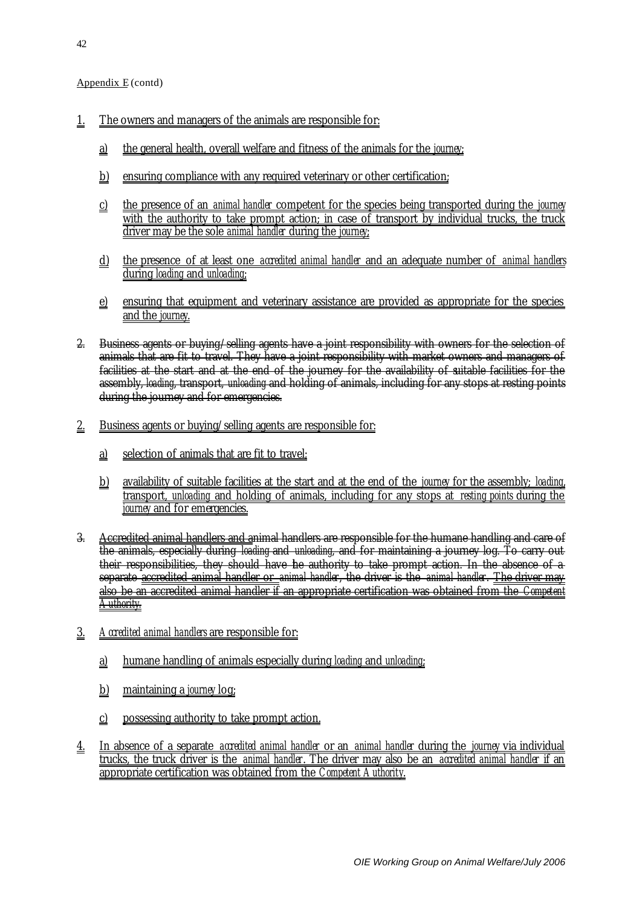- The owners and managers of the animals are responsible for:
	- a) the general health, overall welfare and fitness of the animals for the *journey*;
	- b) ensuring compliance with any required veterinary or other certification;
	- c) the presence of an *animal handler* competent for the species being transported during the *journey* with the authority to take prompt action; in case of transport by individual trucks, the truck driver may be the sole *animal handler* during the *journey*;
	- d) the presence of at least one *accredited animal handler* and an adequate number of *animal handlers* during *loading* and *unloading*;
	- e) ensuring that equipment and veterinary assistance are provided as appropriate for the species and the *journey*.
- 2. Business agents or buying/selling agents have a joint responsibility with owners for the selection of animals that are fit to travel. They have a joint responsibility with market owners and managers of facilities at the start and at the end of the journey for the availability of suitable facilities for the assembly, *loading*, transport, *unloading* and holding of animals, including for any stops at resting points during the journey and for emergencies.
- 2. Business agents or buying/selling agents are responsible for:
	- a) selection of animals that are fit to travel;
	- b) availability of suitable facilities at the start and at the end of the *journey* for the assembly; *loading*, transport, *unloading* and holding of animals, including for any stops at *resting points* during the *journey* and for emergencies.
- 3. Accredited animal handlers and animal handlers are responsible for the humane handling and care of the animals, especially during *loading* and *unloading*, and for maintaining a journey log. To carry out their responsibilities, they should have he authority to take prompt action. In the absence of a separate accredited animal handler or *animal handler*, the driver is the *animal handler*. The driver may also be an accredited animal handler if an appropriate certification was obtained from the *Competent Authority.*
- 3. *Accredited animal handlers* are responsible for:
	- a) humane handling of animals especially during *loading* and *unloading*;
	- b) maintaining a *journey* log;
	- c) possessing authority to take prompt action.
- 4. In absence of a separate *accredited animal handler* or an *animal handler* during the *journey* via individual trucks, the truck driver is the *animal handler*. The driver may also be an *accredited animal handler* if an appropriate certification was obtained from the *Competent Authority*.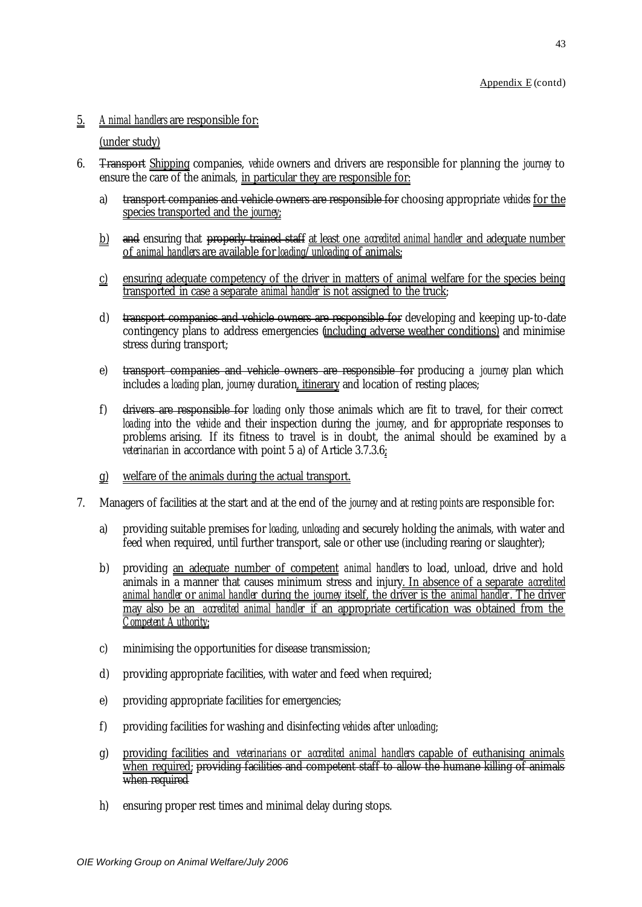## 5. *Animal handlers* are responsible for:

## (under study)

- 6. Transport Shipping companies, *vehicle* owners and drivers are responsible for planning the *journey* to ensure the care of the animals, in particular they are responsible for:
	- a) transport companies and vehicle owners are responsible for choosing appropriate *vehicles* for the species transported and the *journey*;
	- b) and ensuring that properly trained staff at least one *accredited animal handler* and adequate number of *animal handlers* are available for *loading*/*unloading* of animals;
	- c) ensuring adequate competency of the driver in matters of animal welfare for the species being transported in case a separate *animal handler* is not assigned to the truck;
	- d) transport companies and vehicle owners are responsible for developing and keeping up-to-date contingency plans to address emergencies *(including adverse weather conditions)* and minimise stress during transport;
	- e) transport companies and vehicle owners are responsible for producing a *journey* plan which includes a *loading* plan, *journey* duration, itinerary and location of resting places;
	- f) drivers are responsible for *loading* only those animals which are fit to travel, for their correct *loading* into the *vehicle* and their inspection during the *journey*, and for appropriate responses to problems arising. If its fitness to travel is in doubt, the animal should be examined by a *veterinarian* in accordance with point 5 a) of Article 3.7.3.6;
	- g) welfare of the animals during the actual transport.
- 7. Managers of facilities at the start and at the end of the *journey* and at *resting points* are responsible for:
	- a) providing suitable premises for *loading*, *unloading* and securely holding the animals, with water and feed when required, until further transport, sale or other use (including rearing or slaughter);
	- b) providing an adequate number of competent *animal handlers* to load, unload, drive and hold animals in a manner that causes minimum stress and injury. In absence of a separate *accredited animal handler* or *animal handler* during the *journey* itself, the driver is the *animal handler*. The driver may also be an *accredited animal handler* if an appropriate certification was obtained from the *Competent Authority*;
	- c) minimising the opportunities for disease transmission;
	- d) providing appropriate facilities, with water and feed when required;
	- e) providing appropriate facilities for emergencies;
	- f) providing facilities for washing and disinfecting *vehicles* after *unloading*;
	- g) providing facilities and *veterinarians* or *accredited animal handlers* capable of euthanising animals when required; providing facilities and competent staff to allow the humane killing of animals when required
	- h) ensuring proper rest times and minimal delay during stops.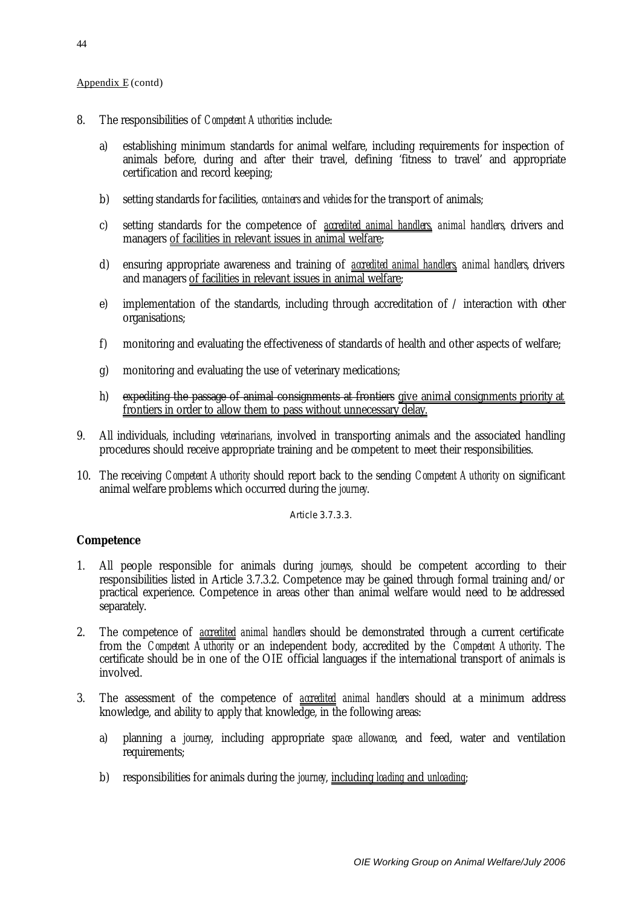- 8. The responsibilities of *Competent Authorities* include:
	- a) establishing minimum standards for animal welfare, including requirements for inspection of animals before, during and after their travel, defining 'fitness to travel' and appropriate certification and record keeping;
	- b) setting standards for facilities, *containers* and *vehicles* for the transport of animals;
	- c) setting standards for the competence of *accredited animal handlers*, *animal handlers*, drivers and managers of facilities in relevant issues in animal welfare;
	- d) ensuring appropriate awareness and training of *accredited animal handlers*, *animal handlers*, drivers and managers of facilities in relevant issues in animal welfare;
	- e) implementation of the standards, including through accreditation of  $\ell$  interaction with other organisations;
	- f) monitoring and evaluating the effectiveness of standards of health and other aspects of welfare;
	- g) monitoring and evaluating the use of veterinary medications;
	- h) expediting the passage of animal consignments at frontiers give animal consignments priority at frontiers in order to allow them to pass without unnecessary delay.
- 9. All individuals, including *veterinarians*, involved in transporting animals and the associated handling procedures should receive appropriate training and be competent to meet their responsibilities.
- 10. The receiving *Competent Authority* should report back to the sending *Competent Authority* on significant animal welfare problems which occurred during the *journey*.

Article 3.7.3.3.

#### **Competence**

- 1. All people responsible for animals during *journeys*, should be competent according to their responsibilities listed in Article 3.7.3.2. Competence may be gained through formal training and/or practical experience. Competence in areas other than animal welfare would need to be addressed separately.
- 2. The competence of *accredited animal handlers* should be demonstrated through a current certificate from the *Competent Authority* or an independent body, accredited by the *Competent Authority*. The certificate should be in one of the OIE official languages if the international transport of animals is involved.
- 3. The assessment of the competence of *accredited animal handlers* should at a minimum address knowledge, and ability to apply that knowledge, in the following areas:
	- a) planning a *journey*, including appropriate *space allowance*, and feed, water and ventilation requirements;
	- b) responsibilities for animals during the *journey*, including *loading* and *unloading*;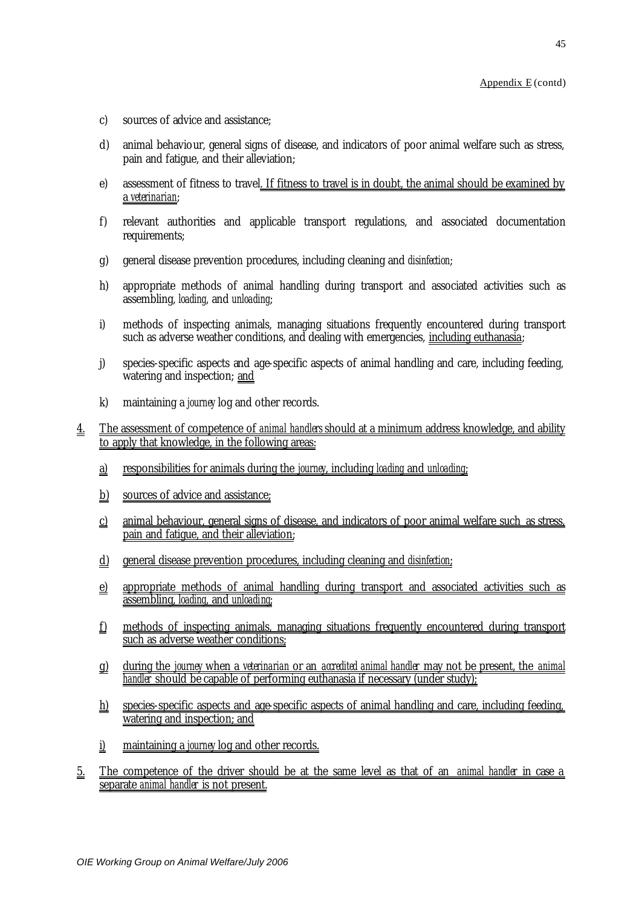- c) sources of advice and assistance;
- d) animal behaviour, general signs of disease, and indicators of poor animal welfare such as stress, pain and fatigue, and their alleviation;
- e) assessment of fitness to travel. If fitness to travel is in doubt, the animal should be examined by a *veterinarian*;
- f) relevant authorities and applicable transport regulations, and associated documentation requirements;
- g) general disease prevention procedures, including cleaning and *disinfection*;
- h) appropriate methods of animal handling during transport and associated activities such as assembling, *loading*, and *unloading*;
- i) methods of inspecting animals, managing situations frequently encountered during transport such as adverse weather conditions, and dealing with emergencies, including euthanasia;
- j) species-specific aspects and age-specific aspects of animal handling and care, including feeding, watering and inspection; and
- k) maintaining a *journey* log and other records.
- 4. The assessment of competence of *animal handlers* should at a minimum address knowledge, and ability to apply that knowledge, in the following areas:
	- a) responsibilities for animals during the *journey*, including *loading* and *unloading*;
	- b) sources of advice and assistance;
	- c) animal behaviour, general signs of disease, and indicators of poor animal welfare such as stress, pain and fatigue, and their alleviation;
	- d) general disease prevention procedures, including cleaning and *disinfection*;
	- e) appropriate methods of animal handling during transport and associated activities such as assembling, *loading*, and *unloading*;
	- f) methods of inspecting animals, managing situations frequently encountered during transport such as adverse weather conditions;
	- g) during the *journey* when a *veterinarian* or an *accredited animal handler* may not be present, the *animal handler* should be capable of performing euthanasia if necessary (under study);
	- h) species-specific aspects and age-specific aspects of animal handling and care, including feeding, watering and inspection; and
	- i) maintaining a *journey* log and other records.
- 5. The competence of the driver should be at the same level as that of an *animal handler* in case a separate *animal handler* is not present.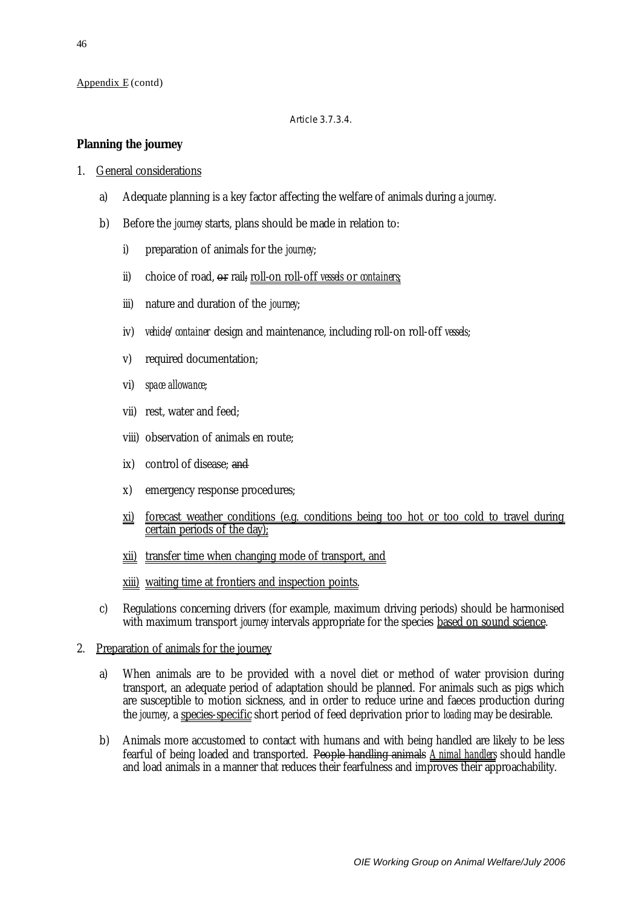#### Article 3.7.3.4.

#### **Planning the journey**

#### 1. General considerations

- a) Adequate planning is a key factor affecting the welfare of animals during a *journey*.
- b) Before the *journey* starts, plans should be made in relation to:
	- i) preparation of animals for the *journey*;
	- ii) choice of road,  $er$  rail; <u>roll-on roll-off *vessels* or *containers*</u>
	- iii) nature and duration of the *journey*;
	- iv) *vehicle*/*container* design and maintenance, including roll-on roll-off *vessels*;
	- v) required documentation;
	- vi) *space allowance*;
	- vii) rest, water and feed;
	- viii) observation of animals en route;
	- ix) control of disease; and
	- x) emergency response procedures;
	- xi) forecast weather conditions (e.g. conditions being too hot or too cold to travel during certain periods of the day);
	- xii) transfer time when changing mode of transport, and
	- xiii) waiting time at frontiers and inspection points.
- c) Regulations concerning drivers (for example, maximum driving periods) should be harmonised with maximum transport *journey* intervals appropriate for the species based on sound science.

#### 2. Preparation of animals for the journey

- a) When animals are to be provided with a novel diet or method of water provision during transport, an adequate period of adaptation should be planned. For animals such as pigs which are susceptible to motion sickness, and in order to reduce urine and faeces production during the *journey*, a species-specific short period of feed deprivation prior to *loading* may be desirable.
- b) Animals more accustomed to contact with humans and with being handled are likely to be less fearful of being loaded and transported. People handling animals *Animal handlers* should handle and load animals in a manner that reduces their fearfulness and improves their approachability.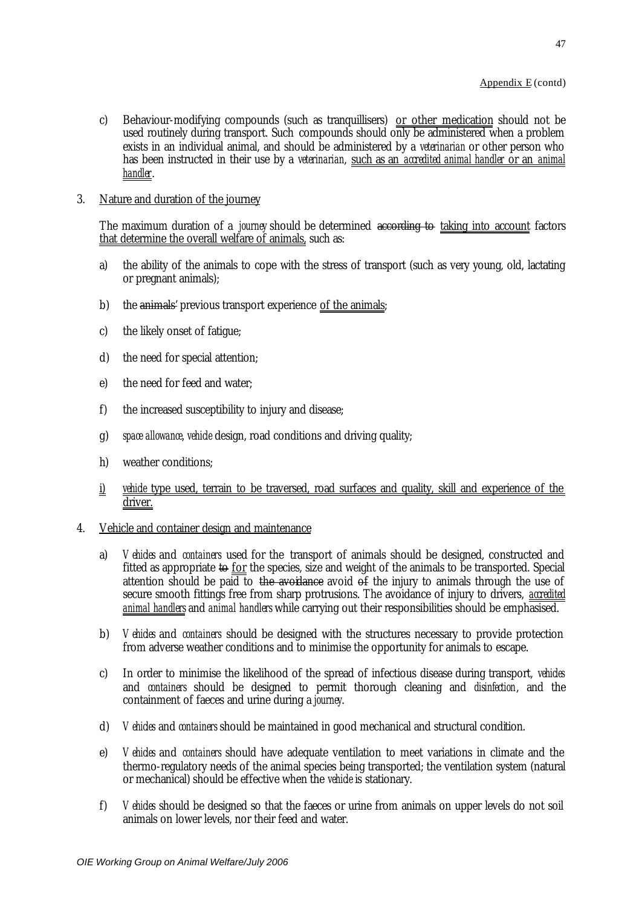c) Behaviour-modifying compounds (such as tranquillisers) or other medication should not be used routinely during transport. Such compounds should only be administered when a problem exists in an individual animal, and should be administered by a *veterinarian* or other person who has been instructed in their use by a *veterinarian*, such as an *accredited animal handler* or an *animal handler*.

## 3. Nature and duration of the journey

The maximum duration of a *journey* should be determined according to taking into account factors that determine the overall welfare of animals, such as:

- a) the ability of the animals to cope with the stress of transport (such as very young, old, lactating or pregnant animals);
- b) the **animals'** previous transport experience of the animals;
- c) the likely onset of fatigue;
- d) the need for special attention;
- e) the need for feed and water;
- f) the increased susceptibility to injury and disease;
- g) *space allowance*, *vehicle* design, road conditions and driving quality;
- h) weather conditions;
- i) *vehicle* type used, terrain to be traversed, road surfaces and quality, skill and experience of the driver.
- 4. Vehicle and container design and maintenance
	- a) *Vehicles* and *containers* used for the transport of animals should be designed, constructed and fitted as appropriate  $\leftrightarrow$  for the species, size and weight of the animals to be transported. Special attention should be paid to the avoidance avoid of the injury to animals through the use of secure smooth fittings free from sharp protrusions. The avoidance of injury to drivers, *accredited animal handlers* and *animal handlers* while carrying out their responsibilities should be emphasised.
	- b) *Vehicles* and *containers* should be designed with the structures necessary to provide protection from adverse weather conditions and to minimise the opportunity for animals to escape.
	- c) In order to minimise the likelihood of the spread of infectious disease during transport, *vehicles* and *containers* should be designed to permit thorough cleaning and *disinfection*, and the containment of faeces and urine during a *journey*.
	- d) *Vehicles* and *containers* should be maintained in good mechanical and structural condition.
	- e) *Vehicles* and *containers* should have adequate ventilation to meet variations in climate and the thermo-regulatory needs of the animal species being transported; the ventilation system (natural or mechanical) should be effective when the *vehicle* is stationary.
	- f) *Vehicles* should be designed so that the faeces or urine from animals on upper levels do not soil animals on lower levels, nor their feed and water.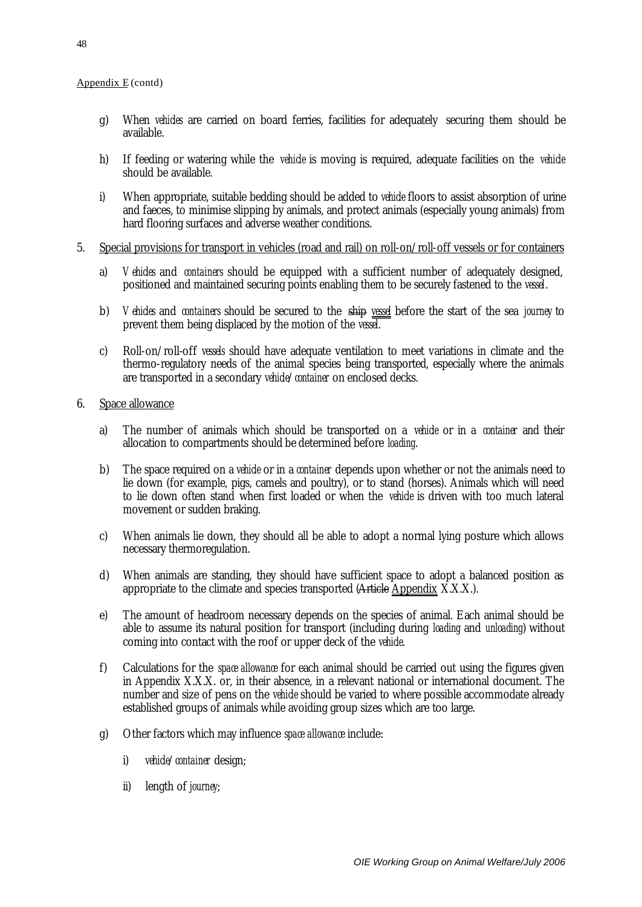- g) When *vehicles* are carried on board ferries, facilities for adequately securing them should be available.
- h) If feeding or watering while the *vehicle* is moving is required, adequate facilities on the *vehicle* should be available.
- i) When appropriate, suitable bedding should be added to *vehicle* floors to assist absorption of urine and faeces, to minimise slipping by animals, and protect animals (especially young animals) from hard flooring surfaces and adverse weather conditions.
- 5. Special provisions for transport in vehicles (road and rail) on roll-on/roll-off vessels or for containers
	- a) *Vehicles* and *containers* should be equipped with a sufficient number of adequately designed, positioned and maintained securing points enabling them to be securely fastened to the *vessel*.
	- b) *Vehicles* and *containers* should be secured to the ship *vessel* before the start of the sea *journey* to prevent them being displaced by the motion of the *vessel*.
	- c) Roll-on/roll-off *vessels* should have adequate ventilation to meet variations in climate and the thermo-regulatory needs of the animal species being transported, especially where the animals are transported in a secondary *vehicle*/*container* on enclosed decks.
- 6. Space allowance
	- a) The number of animals which should be transported on a *vehicle* or in a *container* and their allocation to compartments should be determined before *loading*.
	- b) The space required on a *vehicle* or in a *container* depends upon whether or not the animals need to lie down (for example, pigs, camels and poultry), or to stand (horses). Animals which will need to lie down often stand when first loaded or when the *vehicle* is driven with too much lateral movement or sudden braking.
	- c) When animals lie down, they should all be able to adopt a normal lying posture which allows necessary thermoregulation.
	- d) When animals are standing, they should have sufficient space to adopt a balanced position as appropriate to the climate and species transported  $(A$ rticle Appendix  $\overline{X}$ , $\overline{X}$ , $\overline{X}$ ,
	- e) The amount of headroom necessary depends on the species of animal. Each animal should be able to assume its natural position for transport (including during *loading* and *unloading*) without coming into contact with the roof or upper deck of the *vehicle*.
	- f) Calculations for the *space allowance* for each animal should be carried out using the figures given in Appendix X.X.X. or, in their absence, in a relevant national or international document. The number and size of pens on the *vehicle* should be varied to where possible accommodate already established groups of animals while avoiding group sizes which are too large.
	- g) Other factors which may influence *space allowance* include:
		- i) *vehicle*/*container* design;
		- ii) length of *journey*;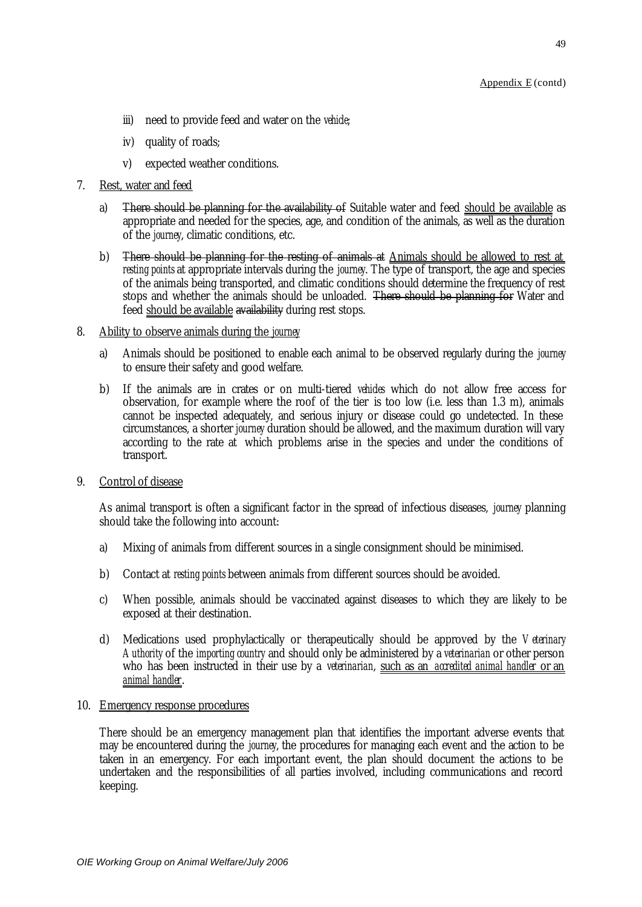- iii) need to provide feed and water on the *vehicle*;
- iv) quality of roads;
- v) expected weather conditions.

#### 7. Rest, water and feed

- a) There should be planning for the availability of Suitable water and feed should be available as appropriate and needed for the species, age, and condition of the animals, as well as the duration of the *journey*, climatic conditions, etc.
- b) There should be planning for the resting of animals at Animals should be allowed to rest at *resting points* at appropriate intervals during the *journey*. The type of transport, the age and species of the animals being transported, and climatic conditions should determine the frequency of rest stops and whether the animals should be unloaded. There should be planning for Water and feed should be available availability during rest stops.

#### 8. Ability to observe animals during the *journey*

- a) Animals should be positioned to enable each animal to be observed regularly during the *journey* to ensure their safety and good welfare.
- b) If the animals are in crates or on multi-tiered *vehicles* which do not allow free access for observation, for example where the roof of the tier is too low (i.e. less than 1.3 m), animals cannot be inspected adequately, and serious injury or disease could go undetected. In these circumstances, a shorter *journey* duration should be allowed, and the maximum duration will vary according to the rate at which problems arise in the species and under the conditions of transport.

#### 9. Control of disease

As animal transport is often a significant factor in the spread of infectious diseases, *journey* planning should take the following into account:

- a) Mixing of animals from different sources in a single consignment should be minimised.
- b) Contact at *resting points* between animals from different sources should be avoided.
- c) When possible, animals should be vaccinated against diseases to which they are likely to be exposed at their destination.
- d) Medications used prophylactically or therapeutically should be approved by the *Veterinary Authority* of the *importing country* and should only be administered by a *veterinarian* or other person who has been instructed in their use by a *veterinarian*, such as an *accredited animal handler* or an *animal handler*.

#### 10. Emergency response procedures

There should be an emergency management plan that identifies the important adverse events that may be encountered during the *journey*, the procedures for managing each event and the action to be taken in an emergency. For each important event, the plan should document the actions to be undertaken and the responsibilities of all parties involved, including communications and record keeping.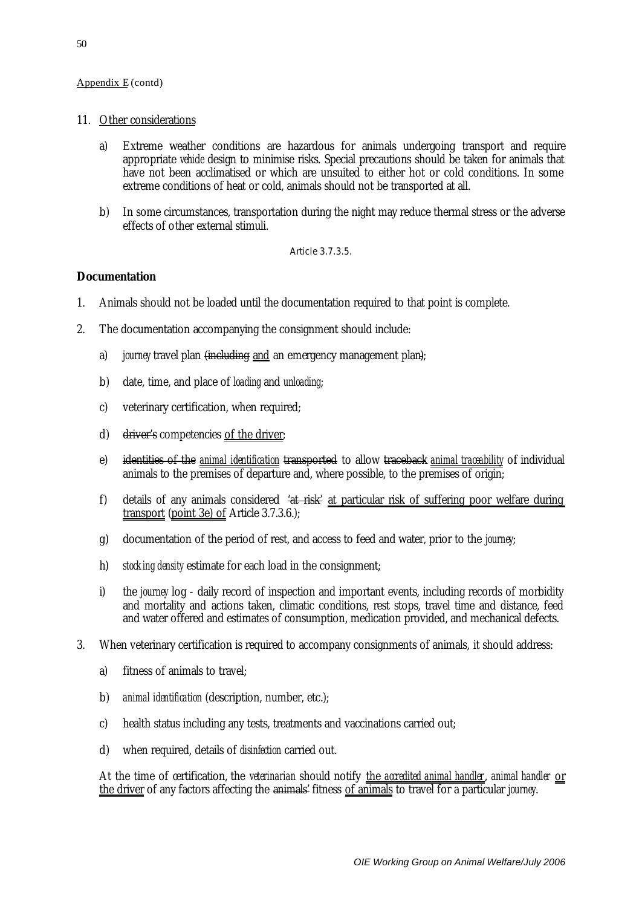#### 11. Other considerations

- a) Extreme weather conditions are hazardous for animals undergoing transport and require appropriate *vehicle* design to minimise risks. Special precautions should be taken for animals that have not been acclimatised or which are unsuited to either hot or cold conditions. In some extreme conditions of heat or cold, animals should not be transported at all.
- b) In some circumstances, transportation during the night may reduce thermal stress or the adverse effects of other external stimuli.

Article 3.7.3.5.

## **Documentation**

- 1. Animals should not be loaded until the documentation required to that point is complete.
- 2. The documentation accompanying the consignment should include:
	- a) *journey* travel plan (including and an emergency management plan);
	- b) date, time, and place of *loading* and *unloading*;
	- c) veterinary certification, when required;
	- d) <del>driver's</del> competencies of the driver;
	- e) identities of the *animal identification* transported to allow traceback *animal traceability* of individual animals to the premises of departure and, where possible, to the premises of origin;
	- f) details of any animals considered 'at risk' at particular risk of suffering poor welfare during transport (point 3e) of Article 3.7.3.6.);
	- g) documentation of the period of rest, and access to feed and water, prior to the *journey*;
	- h) *stocking density* estimate for each load in the consignment;
	- i) the *journey* log daily record of inspection and important events, including records of morbidity and mortality and actions taken, climatic conditions, rest stops, travel time and distance, feed and water offered and estimates of consumption, medication provided, and mechanical defects.
- 3. When veterinary certification is required to accompany consignments of animals, it should address:
	- a) fitness of animals to travel;
	- b) *animal identification* (description, number, etc.);
	- c) health status including any tests, treatments and vaccinations carried out;
	- d) when required, details of *disinfection* carried out.

At the time of certification, the *veterinarian* should notify the *accredited animal handler*, *animal handler* or the driver of any factors affecting the animals' fitness of animals to travel for a particular *journey*.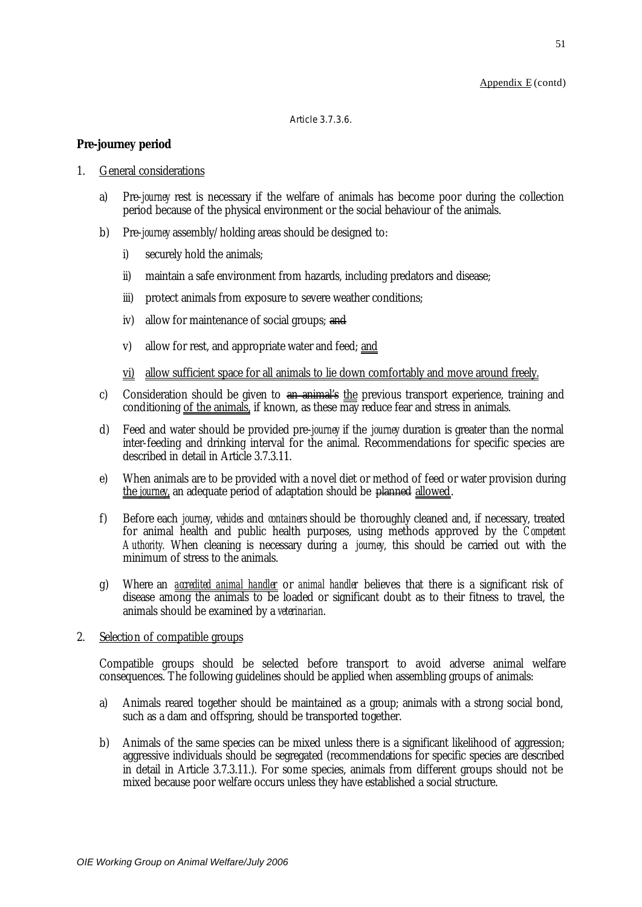#### Article 3.7.3.6.

## **Pre-journey period**

## 1. General considerations

- a) Pre-*journey* rest is necessary if the welfare of animals has become poor during the collection period because of the physical environment or the social behaviour of the animals.
- b) Pre-*journey* assembly/holding areas should be designed to:
	- i) securely hold the animals;
	- ii) maintain a safe environment from hazards, including predators and disease;
	- iii) protect animals from exposure to severe weather conditions;
	- iv) allow for maintenance of social groups; and
	- v) allow for rest, and appropriate water and feed; and
	- vi) allow sufficient space for all animals to lie down comfortably and move around freely.
- c) Consideration should be given to an animal's the previous transport experience, training and conditioning of the animals, if known, as these may reduce fear and stress in animals.
- d) Feed and water should be provided pre-*journey* if the *journey* duration is greater than the normal inter-feeding and drinking interval for the animal. Recommendations for specific species are described in detail in Article 3.7.3.11.
- e) When animals are to be provided with a novel diet or method of feed or water provision during the *journey* an adequate period of adaptation should be planned allowed.
- f) Before each *journey*, *vehicles* and *containers* should be thoroughly cleaned and, if necessary, treated for animal health and public health purposes, using methods approved by the *Competent Authority.* When cleaning is necessary during a *journey*, this should be carried out with the minimum of stress to the animals.
- g) Where an *accredited animal handler* or *animal handler* believes that there is a significant risk of disease among the animals to be loaded or significant doubt as to their fitness to travel, the animals should be examined by a *veterinarian*.

#### 2. Selection of compatible groups

Compatible groups should be selected before transport to avoid adverse animal welfare consequences. The following guidelines should be applied when assembling groups of animals:

- a) Animals reared together should be maintained as a group; animals with a strong social bond, such as a dam and offspring, should be transported together.
- b) Animals of the same species can be mixed unless there is a significant likelihood of aggression; aggressive individuals should be segregated (recommendations for specific species are described in detail in Article 3.7.3.11.). For some species, animals from different groups should not be mixed because poor welfare occurs unless they have established a social structure.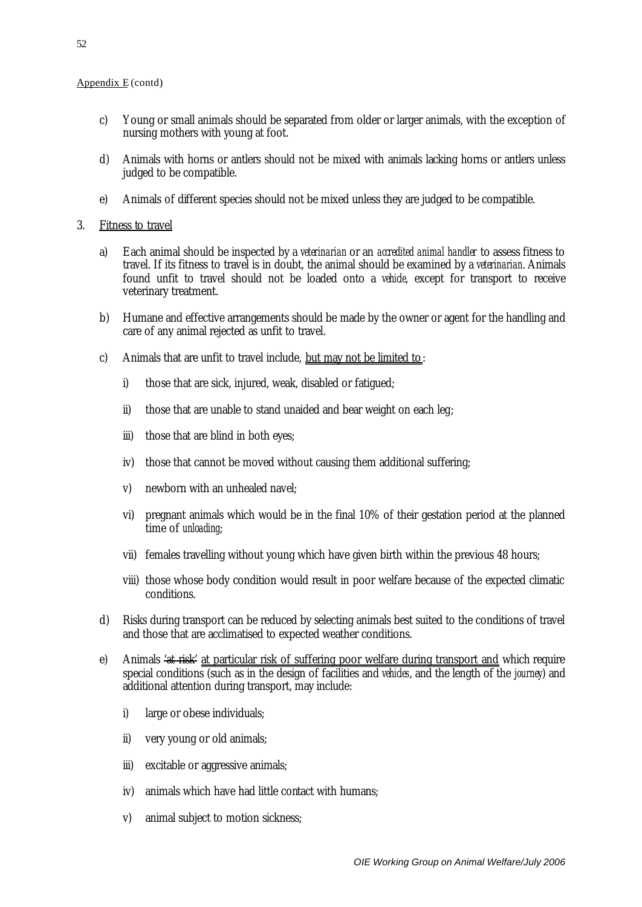- c) Young or small animals should be separated from older or larger animals, with the exception of nursing mothers with young at foot.
- d) Animals with horns or antlers should not be mixed with animals lacking horns or antlers unless judged to be compatible.
- e) Animals of different species should not be mixed unless they are judged to be compatible.

#### 3. Fitness to travel

- a) Each animal should be inspected by a *veterinarian* or an *accredited animal handler* to assess fitness to travel. If its fitness to travel is in doubt, the animal should be examined by a *veterinarian*. Animals found unfit to travel should not be loaded onto a *vehicle*, except for transport to receive veterinary treatment.
- b) Humane and effective arrangements should be made by the owner or agent for the handling and care of any animal rejected as unfit to travel.
- c) Animals that are unfit to travel include, but may not be limited to:
	- i) those that are sick, injured, weak, disabled or fatigued;
	- ii) those that are unable to stand unaided and bear weight on each leg;
	- iii) those that are blind in both eyes;
	- iv) those that cannot be moved without causing them additional suffering;
	- v) newborn with an unhealed navel;
	- vi) pregnant animals which would be in the final 10% of their gestation period at the planned time of *unloading*;
	- vii) females travelling without young which have given birth within the previous 48 hours;
	- viii) those whose body condition would result in poor welfare because of the expected climatic conditions.
- d) Risks during transport can be reduced by selecting animals best suited to the conditions of travel and those that are acclimatised to expected weather conditions.
- e) Animals 'at risk' at particular risk of suffering poor welfare during transport and which require special conditions (such as in the design of facilities and *vehicles*, and the length of the *journey*) and additional attention during transport, may include:
	- i) large or obese individuals;
	- ii) very young or old animals;
	- iii) excitable or aggressive animals;
	- iv) animals which have had little contact with humans;
	- v) animal subject to motion sickness;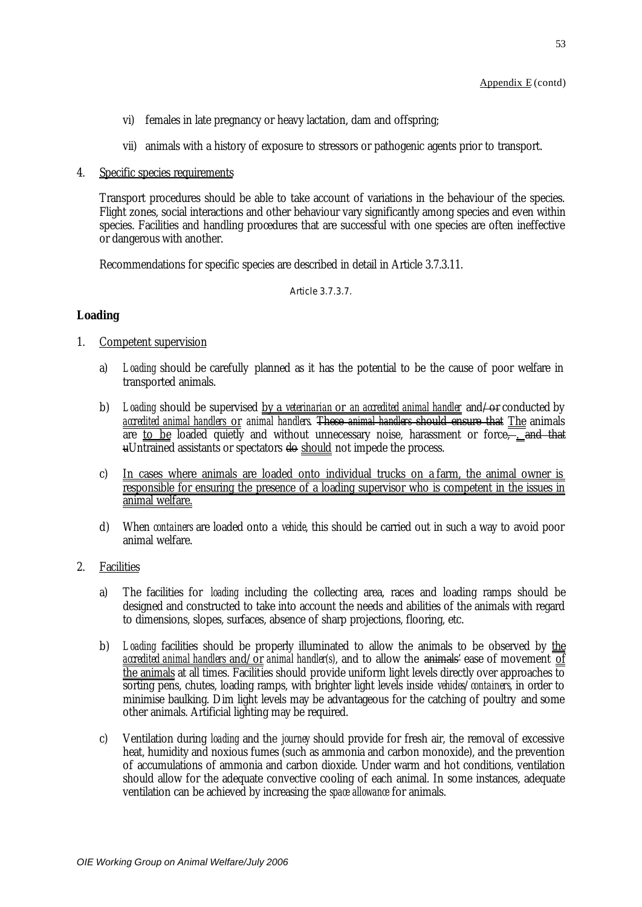- vi) females in late pregnancy or heavy lactation, dam and offspring;
- vii) animals with a history of exposure to stressors or pathogenic agents prior to transport.

#### 4. Specific species requirements

Transport procedures should be able to take account of variations in the behaviour of the species. Flight zones, social interactions and other behaviour vary significantly among species and even within species. Facilities and handling procedures that are successful with one species are often ineffective or dangerous with another.

Recommendations for specific species are described in detail in Article 3.7.3.11.

Article 3.7.3.7.

## **Loading**

- 1. Competent supervision
	- a) *Loading* should be carefully planned as it has the potential to be the cause of poor welfare in transported animals.
	- b) *Loading* should be supervised by a *veterinarian* or an accredited animal handler and  $\leftrightarrow$  conducted by *accredited animal handlers* or *animal handlers*. These *animal handlers* should ensure that The animals are to be loaded quietly and without unnecessary noise, harassment or force— and that uUntrained assistants or spectators do should not impede the process.
	- c) In cases where animals are loaded onto individual trucks on a farm, the animal owner is responsible for ensuring the presence of a loading supervisor who is competent in the issues in animal welfare.
	- d) When *containers* are loaded onto a *vehicle*, this should be carried out in such a way to avoid poor animal welfare.

## 2. Facilities

- a) The facilities for *loading* including the collecting area, races and loading ramps should be designed and constructed to take into account the needs and abilities of the animals with regard to dimensions, slopes, surfaces, absence of sharp projections, flooring, etc.
- b) *Loading* facilities should be properly illuminated to allow the animals to be observed by the *accredited animal handlers and/or animal handler(s)*, and to allow the animals' ease of movement of the animals at all times. Facilities should provide uniform light levels directly over approaches to sorting pens, chutes, loading ramps, with brighter light levels inside *vehicles*/*containers*, in order to minimise baulking. Dim light levels may be advantageous for the catching of poultry and some other animals. Artificial lighting may be required.
- c) Ventilation during *loading* and the *journey* should provide for fresh air, the removal of excessive heat, humidity and noxious fumes (such as ammonia and carbon monoxide), and the prevention of accumulations of ammonia and carbon dioxide. Under warm and hot conditions, ventilation should allow for the adequate convective cooling of each animal. In some instances, adequate ventilation can be achieved by increasing the *space allowance* for animals.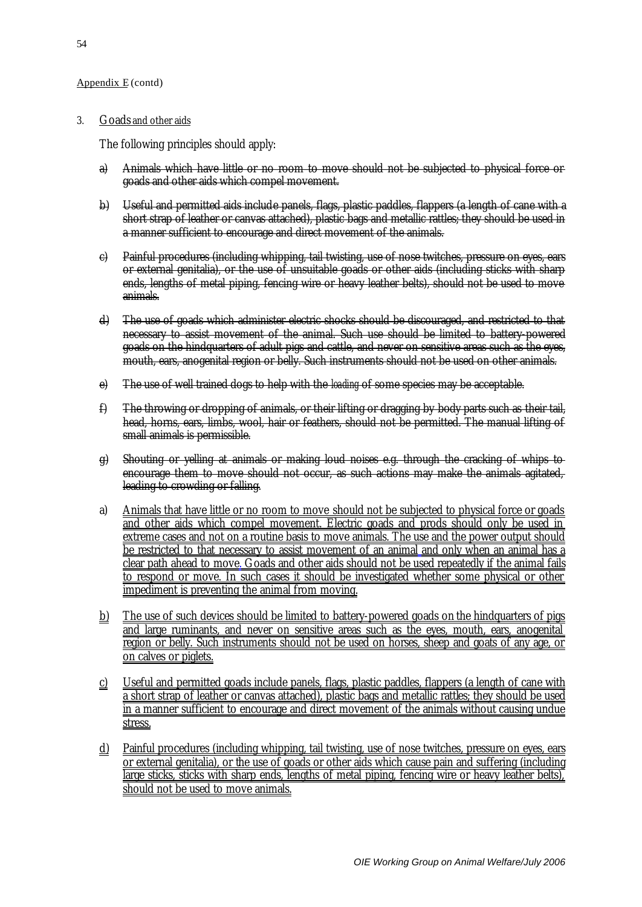#### 3. Goads and other aids

The following principles should apply:

- a) Animals which have little or no room to move should not be subjected to physical force or goads and other aids which compel movement.
- b) Useful and permitted aids include panels, flags, plastic paddles, flappers (a length of cane with a short strap of leather or canvas attached), plastic bags and metallic rattles; they should be used in a manner sufficient to encourage and direct movement of the animals.
- c) Painful procedures (including whipping, tail twisting, use of nose twitches, pressure on eyes, ears or external genitalia), or the use of unsuitable goads or other aids (including sticks with sharp ends, lengths of metal piping, fencing wire or heavy leather belts), should not be used to move animals.
- d) The use of goads which administer electric shocks should be discouraged, and restricted to that necessary to assist movement of the animal. Such use should be limited to battery-powered goads on the hindquarters of adult pigs and cattle, and never on sensitive areas such as the eyes, mouth, ears, anogenital region or belly. Such instruments should not be used on other animals.
- e) The use of well trained dogs to help with the *loading* of some species may be acceptable.
- f) The throwing or dropping of animals, or their lifting or dragging by body parts such as their tail, head, horns, ears, limbs, wool, hair or feathers, should not be permitted. The manual lifting of small animals is permissible.
- g) Shouting or yelling at animals or making loud noises e.g. through the cracking of whips to encourage them to move should not occur, as such actions may make the animals agitated, leading to crowding or falling.
- a) Animals that have little or no room to move should not be subjected to physical force or goads and other aids which compel movement. Electric goads and prods should only be used in extreme cases and not on a routine basis to move animals. The use and the power output should be restricted to that necessary to assist movement of an animal and only when an animal has a clear path ahead to move. Goads and other aids should not be used repeatedly if the animal fails to respond or move. In such cases it should be investigated whether some physical or other impediment is preventing the animal from moving.
- b) The use of such devices should be limited to battery-powered goads on the hindquarters of pigs and large ruminants, and never on sensitive areas such as the eyes, mouth, ears, anogenital region or belly. Such instruments should not be used on horses, sheep and goats of any age, or on calves or piglets.
- c) Useful and permitted goads include panels, flags, plastic paddles, flappers (a length of cane with a short strap of leather or canvas attached), plastic bags and metallic rattles; they should be used in a manner sufficient to encourage and direct movement of the animals without causing undue stress.
- d) Painful procedures (including whipping, tail twisting, use of nose twitches, pressure on eyes, ears or external genitalia), or the use of goads or other aids which cause pain and suffering (including large sticks, sticks with sharp ends, lengths of metal piping, fencing wire or heavy leather belts), should not be used to move animals.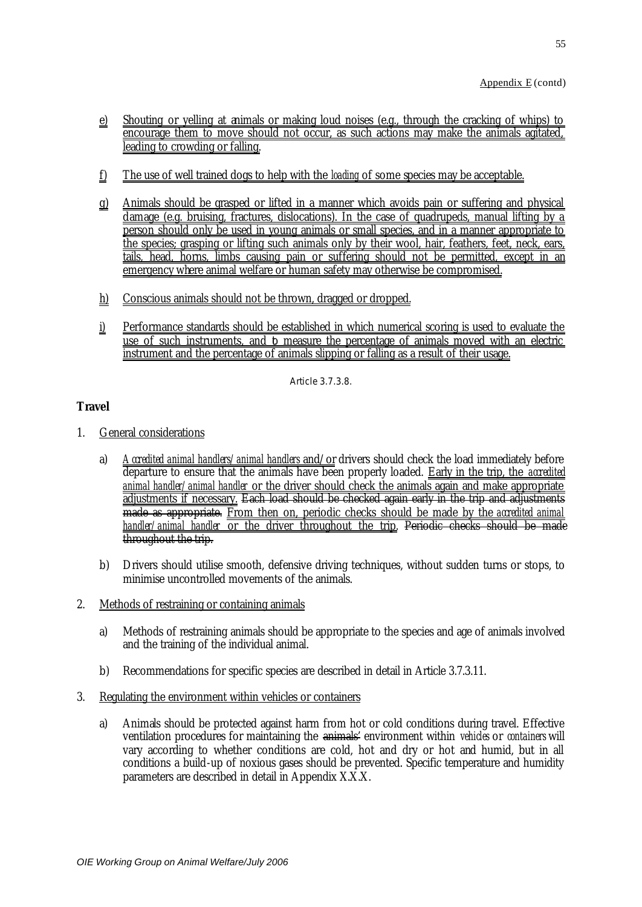- e) Shouting or yelling at animals or making loud noises (e.g., through the cracking of whips) to encourage them to move should not occur, as such actions may make the animals agitated, leading to crowding or falling.
- f) The use of well trained dogs to help with the *loading* of some species may be acceptable.
- g) Animals should be grasped or lifted in a manner which avoids pain or suffering and physical damage (e.g. bruising, fractures, dislocations). In the case of quadrupeds, manual lifting by a person should only be used in young animals or small species, and in a manner appropriate to the species; grasping or lifting such animals only by their wool, hair, feathers, feet, neck, ears, tails, head, horns, limbs causing pain or suffering should not be permitted, except in an emergency where animal welfare or human safety may otherwise be compromised.
- h) Conscious animals should not be thrown, dragged or dropped.
- i) Performance standards should be established in which numerical scoring is used to evaluate the use of such instruments, and b measure the percentage of animals moved with an electric instrument and the percentage of animals slipping or falling as a result of their usage.

Article 3.7.3.8.

## **Travel**

- 1. General considerations
	- a) *Accredited animal handlers/animal handlers* and/or drivers should check the load immediately before departure to ensure that the animals have been properly loaded. Early in the trip, the *accredited animal handler/animal handler* or the driver should check the animals again and make appropriate adjustments if necessary. Each load should be checked again early in the trip and adjustments made as appropriate. From then on, periodic checks should be made by the *accredited animal*  handler/animal handler or the driver throughout the trip. Periodic checks should be made throughout the trip.
	- b) Drivers should utilise smooth, defensive driving techniques, without sudden turns or stops, to minimise uncontrolled movements of the animals.
- 2. Methods of restraining or containing animals
	- a) Methods of restraining animals should be appropriate to the species and age of animals involved and the training of the individual animal.
	- b) Recommendations for specific species are described in detail in Article 3.7.3.11.
- 3. Regulating the environment within vehicles or containers
	- a) Animals should be protected against harm from hot or cold conditions during travel. Effective ventilation procedures for maintaining the animals' environment within *vehicles* or *containers* will vary according to whether conditions are cold, hot and dry or hot and humid, but in all conditions a build-up of noxious gases should be prevented. Specific temperature and humidity parameters are described in detail in Appendix X.X.X.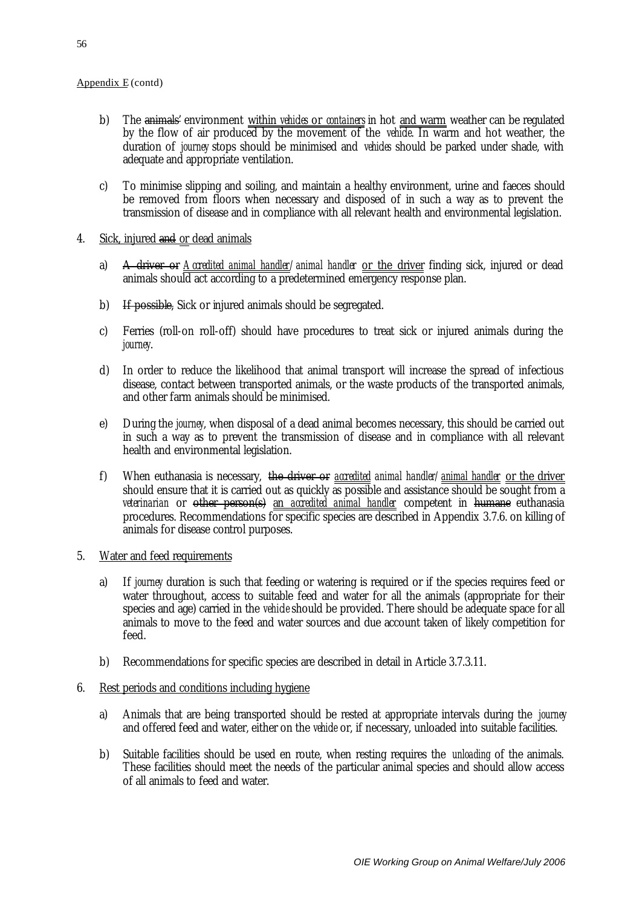- b) The animals' environment within *vehicles* or *containers* in hot and warm weather can be regulated by the flow of air produced by the movement of the *vehicle*. In warm and hot weather, the duration of *journey* stops should be minimised and *vehicles* should be parked under shade, with adequate and appropriate ventilation.
- c) To minimise slipping and soiling, and maintain a healthy environment, urine and faeces should be removed from floors when necessary and disposed of in such a way as to prevent the transmission of disease and in compliance with all relevant health and environmental legislation.

#### 4. Sick, injured and or dead animals

- a) A driver or *Accredited animal handler*/animal handler or the driver finding sick, injured or dead animals should act according to a predetermined emergency response plan.
- b) If possible, Sick or injured animals should be segregated.
- c) Ferries (roll-on roll-off) should have procedures to treat sick or injured animals during the *journey*.
- d) In order to reduce the likelihood that animal transport will increase the spread of infectious disease, contact between transported animals, or the waste products of the transported animals, and other farm animals should be minimised.
- e) During the *journey*, when disposal of a dead animal becomes necessary, this should be carried out in such a way as to prevent the transmission of disease and in compliance with all relevant health and environmental legislation.
- f) When euthanasia is necessary, the driver or *accredited animal handler/animal handler* or the driver should ensure that it is carried out as quickly as possible and assistance should be sought from a *veterinarian* or <del>other person(s)</del> an *accredited animal handler* competent in humane euthanasia procedures. Recommendations for specific species are described in Appendix 3.7.6. on killing of animals for disease control purposes.

#### 5. Water and feed requirements

- a) If *journey* duration is such that feeding or watering is required or if the species requires feed or water throughout, access to suitable feed and water for all the animals (appropriate for their species and age) carried in the *vehicle* should be provided. There should be adequate space for all animals to move to the feed and water sources and due account taken of likely competition for feed.
- b) Recommendations for specific species are described in detail in Article 3.7.3.11.

#### 6. Rest periods and conditions including hygiene

- a) Animals that are being transported should be rested at appropriate intervals during the *journey* and offered feed and water, either on the *vehicle* or, if necessary, unloaded into suitable facilities.
- b) Suitable facilities should be used en route, when resting requires the *unloading* of the animals. These facilities should meet the needs of the particular animal species and should allow access of all animals to feed and water.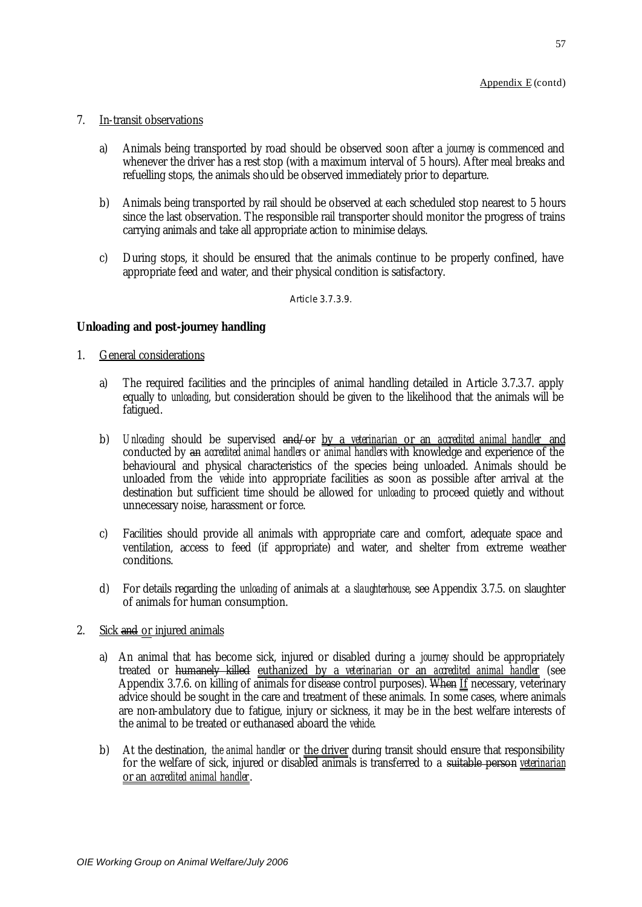## 7. In-transit observations

- a) Animals being transported by road should be observed soon after a *journey* is commenced and whenever the driver has a rest stop (with a maximum interval of 5 hours). After meal breaks and refuelling stops, the animals should be observed immediately prior to departure.
- b) Animals being transported by rail should be observed at each scheduled stop nearest to 5 hours since the last observation. The responsible rail transporter should monitor the progress of trains carrying animals and take all appropriate action to minimise delays.
- c) During stops, it should be ensured that the animals continue to be properly confined, have appropriate feed and water, and their physical condition is satisfactory.

Article 3.7.3.9.

## **Unloading and post-journey handling**

- 1. General considerations
	- a) The required facilities and the principles of animal handling detailed in Article 3.7.3.7. apply equally to *unloading*, but consideration should be given to the likelihood that the animals will be fatigued.
	- b) *Unloading* should be supervised and/or by a *veterinarian* or an *accredited animal handler* and conducted by an *accredited animal handlers* or *animal handlers* with knowledge and experience of the behavioural and physical characteristics of the species being unloaded. Animals should be unloaded from the *vehicle* into appropriate facilities as soon as possible after arrival at the destination but sufficient time should be allowed for *unloading* to proceed quietly and without unnecessary noise, harassment or force.
	- c) Facilities should provide all animals with appropriate care and comfort, adequate space and ventilation, access to feed (if appropriate) and water, and shelter from extreme weather conditions.
	- d) For details regarding the *unloading* of animals at a *slaughterhouse*, see Appendix 3.7.5. on slaughter of animals for human consumption.
- 2. Sick and or injured animals
	- a) An animal that has become sick, injured or disabled during a *journey* should be appropriately treated or humanely killed euthanized by a *veterinarian* or an *accredited animal handler* (see Appendix 3.7.6. on killing of animals for disease control purposes). When If necessary, veterinary advice should be sought in the care and treatment of these animals. In some cases, where animals are non-ambulatory due to fatigue, injury or sickness, it may be in the best welfare interests of the animal to be treated or euthanased aboard the *vehicle*.
	- b) At the destination, *the animal handler* or the driver during transit should ensure that responsibility for the welfare of sick, injured or disabled animals is transferred to a suitable person *veterinarian* or an *accredited animal handler*.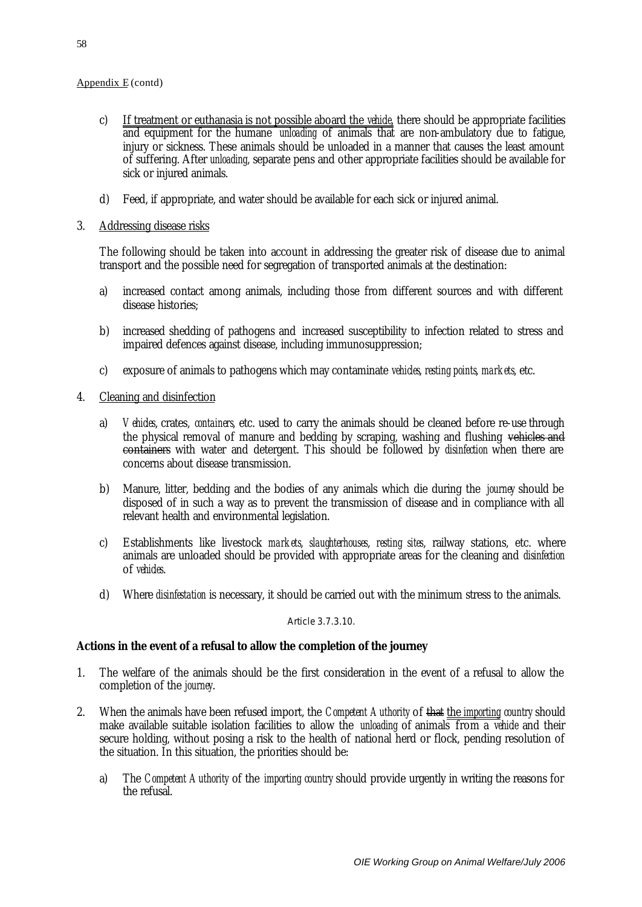- c) If treatment or euthanasia is not possible aboard the *vehicle*, there should be appropriate facilities and equipment for the humane *unloading* of animals that are non-ambulatory due to fatigue, injury or sickness. These animals should be unloaded in a manner that causes the least amount of suffering. After *unloading*, separate pens and other appropriate facilities should be available for sick or injured animals.
- d) Feed, if appropriate, and water should be available for each sick or injured animal.

#### 3. Addressing disease risks

The following should be taken into account in addressing the greater risk of disease due to animal transport and the possible need for segregation of transported animals at the destination:

- a) increased contact among animals, including those from different sources and with different disease histories;
- b) increased shedding of pathogens and increased susceptibility to infection related to stress and impaired defences against disease, including immunosuppression;
- c) exposure of animals to pathogens which may contaminate *vehicles*, *resting points*, *markets*, etc.

#### 4. Cleaning and disinfection

- a) *Vehicles*, crates, *containers*, etc. used to carry the animals should be cleaned before re-use through the physical removal of manure and bedding by scraping, washing and flushing vehicles and containers with water and detergent. This should be followed by *disinfection* when there are concerns about disease transmission.
- b) Manure, litter, bedding and the bodies of any animals which die during the *journey* should be disposed of in such a way as to prevent the transmission of disease and in compliance with all relevant health and environmental legislation.
- c) Establishments like livestock *markets*, *slaughterhouses*, *resting sites*, railway stations, etc. where animals are unloaded should be provided with appropriate areas for the cleaning and *disinfection* of *vehicles*.
- d) Where *disinfestation* is necessary, it should be carried out with the minimum stress to the animals.

#### Article 3.7.3.10.

#### **Actions in the event of a refusal to allow the completion of the journey**

- 1. The welfare of the animals should be the first consideration in the event of a refusal to allow the completion of the *journey*.
- 2. When the animals have been refused import, the *Competent Authority* of that the *importing country* should make available suitable isolation facilities to allow the *unloading* of animals from a *vehicle* and their secure holding, without posing a risk to the health of national herd or flock, pending resolution of the situation. In this situation, the priorities should be:
	- a) The *Competent Authority* of the *importing country* should provide urgently in writing the reasons for the refusal.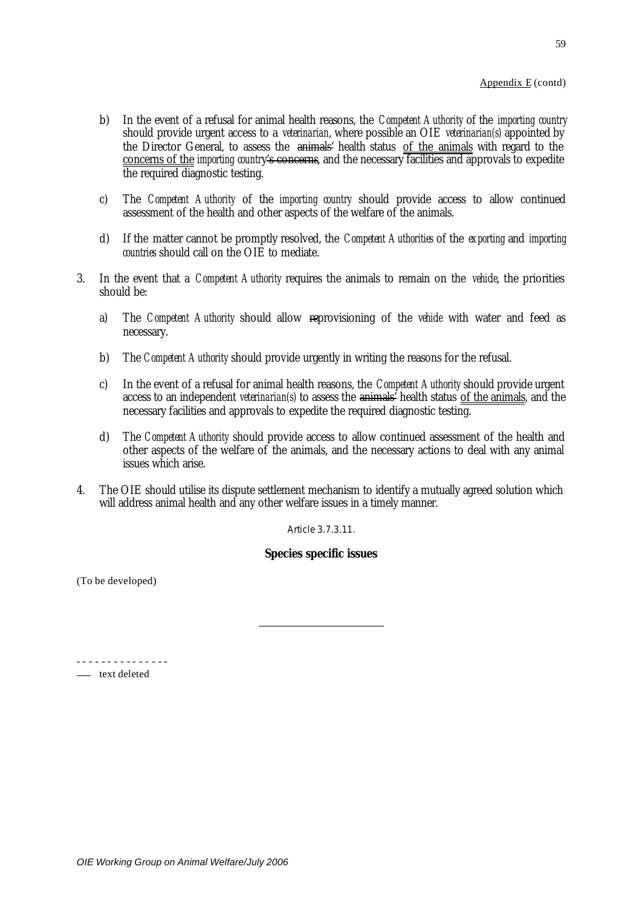- b) In the event of a refusal for animal health reasons, the *Competent Authority* of the *importing country* should provide urgent access to a *veterinarian*, where possible an OIE *veterinarian(s)* appointed by the Director General, to assess the animals' health status of the animals with regard to the concerns of the *importing countr*y's concerns, and the necessary facilities and approvals to expedite the required diagnostic testing.
- c) The *Competent Authority* of the *importing country* should provide access to allow continued assessment of the health and other aspects of the welfare of the animals.
- d) If the matter cannot be promptly resolved, the *Competent Authorities* of the *exporting* and *importing countries* should call on the OIE to mediate.
- 3. In the event that a *Competent Authority* requires the animals to remain on the *vehicle*, the priorities should be:
	- a) The *Competent Authority* should allow reprovisioning of the *vehicle* with water and feed as necessary.
	- b) The *Competent Authority* should provide urgently in writing the reasons for the refusal.
	- c) In the event of a refusal for animal health reasons, the *Competent Authority* should provide urgent access to an independent *veterinarian(s)* to assess the animals' health status of the animals, and the necessary facilities and approvals to expedite the required diagnostic testing.
	- d) The *Competent Authority* should provide access to allow continued assessment of the health and other aspects of the welfare of the animals, and the necessary actions to deal with any animal issues which arise.
- 4. The OIE should utilise its dispute settlement mechanism to identify a mutually agreed solution which will address animal health and any other welfare issues in a timely manner.

Article 3.7.3.11.

#### **Species specific issues**

(To be developed)

- - - - - - - - - - - - - - - - text deleted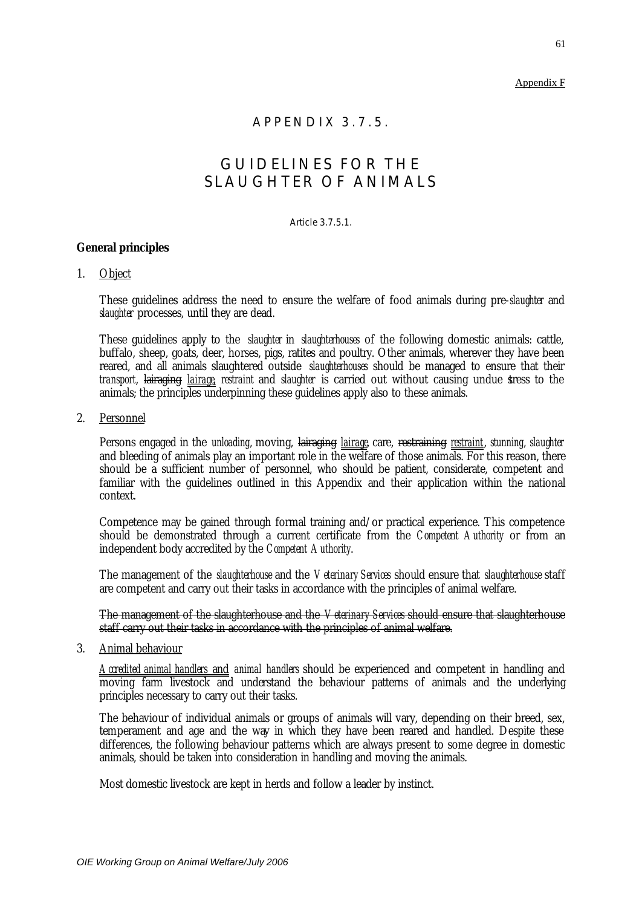Appendix F

# GUIDELINES FOR THE SLAUGHTER OF ANIMALS

Article 3.7.5.1.

#### **General principles**

#### 1. Object

These guidelines address the need to ensure the welfare of food animals during pre-*slaughter* and *slaughter* processes, until they are dead.

These guidelines apply to the *slaughter* in *slaughterhouses* of the following domestic animals: cattle, buffalo, sheep, goats, deer, horses, pigs, ratites and poultry. Other animals, wherever they have been reared, and all animals slaughtered outside *slaughterhouses* should be managed to ensure that their *transport*, lairaging *lairage*, *restraint* and *slaughter* is carried out without causing undue stress to the animals; the principles underpinning these guidelines apply also to these animals.

2. Personnel

Persons engaged in the *unloading*, moving, lairaging *lairage*, care, restraining *restraint*, *stunning*, *slaughter* and bleeding of animals play an important role in the welfare of those animals. For this reason, there should be a sufficient number of personnel, who should be patient, considerate, competent and familiar with the guidelines outlined in this Appendix and their application within the national context.

Competence may be gained through formal training and/or practical experience. This competence should be demonstrated through a current certificate from the *Competent Authority* or from an independent body accredited by the *Competent Authority*.

The management of the *slaughterhouse* and the *Veterinary Services* should ensure that *slaughterhouse* staff are competent and carry out their tasks in accordance with the principles of animal welfare.

The management of the slaughterhouse and the *Veterinary Services* should ensure that slaughterhouse staff carry out their tasks in accordance with the principles of animal welfare.

3. Animal behaviour

*Accredited animal handlers* and *animal handlers* should be experienced and competent in handling and moving farm livestock and understand the behaviour patterns of animals and the underlying principles necessary to carry out their tasks.

The behaviour of individual animals or groups of animals will vary, depending on their breed, sex, temperament and age and the way in which they have been reared and handled. Despite these differences, the following behaviour patterns which are always present to some degree in domestic animals, should be taken into consideration in handling and moving the animals.

Most domestic livestock are kept in herds and follow a leader by instinct.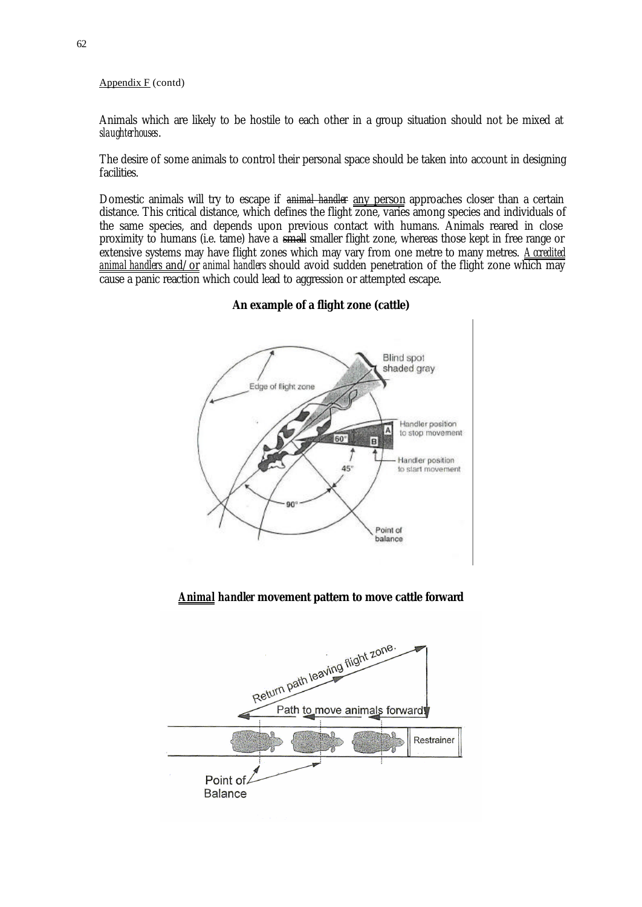Animals which are likely to be hostile to each other in a group situation should not be mixed at *slaughterhouses*.

The desire of some animals to control their personal space should be taken into account in designing facilities.

Domestic animals will try to escape if *animal handler* any person approaches closer than a certain distance. This critical distance, which defines the flight zone, varies among species and individuals of the same species, and depends upon previous contact with humans. Animals reared in close proximity to humans (i.e. tame) have a small smaller flight zone, whereas those kept in free range or extensive systems may have flight zones which may vary from one metre to many metres. *Accredited animal handlers* and/or *animal handlers* should avoid sudden penetration of the flight zone which may cause a panic reaction which could lead to aggression or attempted escape.

**An example of a flight zone (cattle)**



*Animal handler* **movement pattern to move cattle forward**

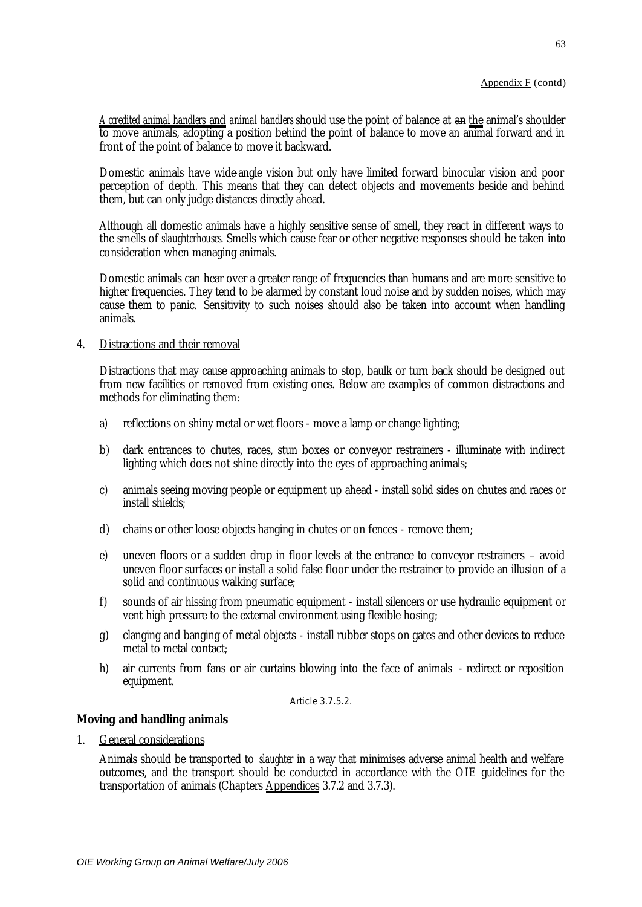63

*Accredited animal handlers* and *animal handlers* should use the point of balance at an the animal's shoulder to move animals, adopting a position behind the point of balance to move an animal forward and in front of the point of balance to move it backward.

Domestic animals have wide-angle vision but only have limited forward binocular vision and poor perception of depth. This means that they can detect objects and movements beside and behind them, but can only judge distances directly ahead.

Although all domestic animals have a highly sensitive sense of smell, they react in different ways to the smells of *slaughterhouses*. Smells which cause fear or other negative responses should be taken into consideration when managing animals.

Domestic animals can hear over a greater range of frequencies than humans and are more sensitive to higher frequencies. They tend to be alarmed by constant loud noise and by sudden noises, which may cause them to panic. Sensitivity to such noises should also be taken into account when handling animals.

#### 4. Distractions and their removal

Distractions that may cause approaching animals to stop, baulk or turn back should be designed out from new facilities or removed from existing ones. Below are examples of common distractions and methods for eliminating them:

- a) reflections on shiny metal or wet floors move a lamp or change lighting;
- b) dark entrances to chutes, races, stun boxes or conveyor restrainers illuminate with indirect lighting which does not shine directly into the eyes of approaching animals;
- c) animals seeing moving people or equipment up ahead install solid sides on chutes and races or install shields;
- d) chains or other loose objects hanging in chutes or on fences remove them;
- e) uneven floors or a sudden drop in floor levels at the entrance to conveyor restrainers avoid uneven floor surfaces or install a solid false floor under the restrainer to provide an illusion of a solid and continuous walking surface;
- f) sounds of air hissing from pneumatic equipment install silencers or use hydraulic equipment or vent high pressure to the external environment using flexible hosing;
- g) clanging and banging of metal objects install rubber stops on gates and other devices to reduce metal to metal contact;
- h) air currents from fans or air curtains blowing into the face of animals redirect or reposition equipment.

Article 3.7.5.2.

#### **Moving and handling animals**

1. General considerations

Animals should be transported to *slaughter* in a way that minimises adverse animal health and welfare outcomes, and the transport should be conducted in accordance with the OIE guidelines for the transportation of animals (Chapters Appendices 3.7.2 and 3.7.3).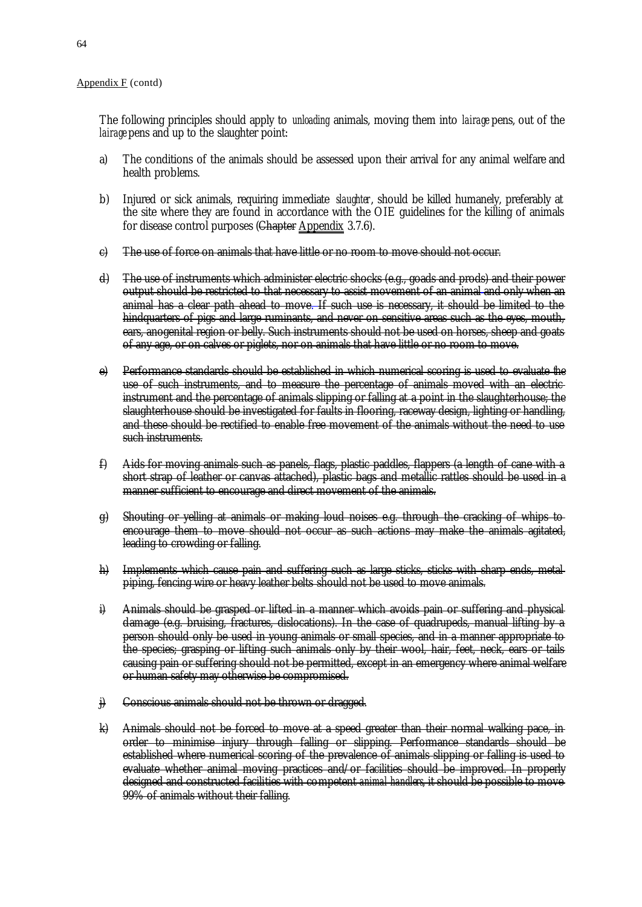The following principles should apply to *unloading* animals, moving them into *lairage* pens, out of the *lairage* pens and up to the slaughter point:

- a) The conditions of the animals should be assessed upon their arrival for any animal welfare and health problems.
- b) Injured or sick animals, requiring immediate *slaughter*, should be killed humanely, preferably at the site where they are found in accordance with the OIE guidelines for the killing of animals for disease control purposes (Chapter Appendix 3.7.6).
- c) The use of force on animals that have little or no room to move should not occur.
- d) The use of instruments which administer electric shocks (e.g., goads and prods) and their power output should be restricted to that necessary to assist movement of an animal and only when an animal has a clear path ahead to move. If such use is necessary, it should be limited to the hindquarters of pigs and large ruminants, and never on sensitive areas such as the eyes, mouth, ears, anogenital region or belly. Such instruments should not be used on horses, sheep and goats of any age, or on calves or piglets, nor on animals that have little or no room to move.
- e) Performance standards should be established in which numerical scoring is used to evaluate the use of such instruments, and to measure the percentage of animals moved with an electric instrument and the percentage of animals slipping or falling at a point in the slaughterhouse; the slaughterhouse should be investigated for faults in flooring, raceway design, lighting or handling, and these should be rectified to enable free movement of the animals without the need to use such instruments.
- f) Aids for moving animals such as panels, flags, plastic paddles, flappers (a length of cane with a short strap of leather or canvas attached), plastic bags and metallic rattles should be used in a manner sufficient to encourage and direct movement of the animals.
- g) Shouting or yelling at animals or making loud noises e.g. through the cracking of whips to encourage them to move should not occur as such actions may make the animals agitated, leading to crowding or falling.
- h) Implements which cause pain and suffering such as large sticks, sticks with sharp ends, metalpiping, fencing wire or heavy leather belts should not be used to move animals.
- i) Animals should be grasped or lifted in a manner which avoids pain or suffering and physical damage (e.g. bruising, fractures, dislocations). In the case of quadrupeds, manual lifting by a person should only be used in young animals or small species, and in a manner appropriate to the species; grasping or lifting such animals only by their wool, hair, feet, neck, ears or tails causing pain or suffering should not be permitted, except in an emergency where animal welfare or human safety may otherwise be compromised.
- j) Conscious animals should not be thrown or dragged.
- $k$ ) Animals should not be forced to move at a speed greater than their normal walking pace order to minimise injury through falling or slipping. Performance standards should be established where numerical scoring of the prevalence of animals slipping or falling is used to evaluate whether animal moving practices and/or facilities should be improved. In properly designed and constructed facilities with competent *animal handlers*, it should be possible to move 99% of animals without their falling.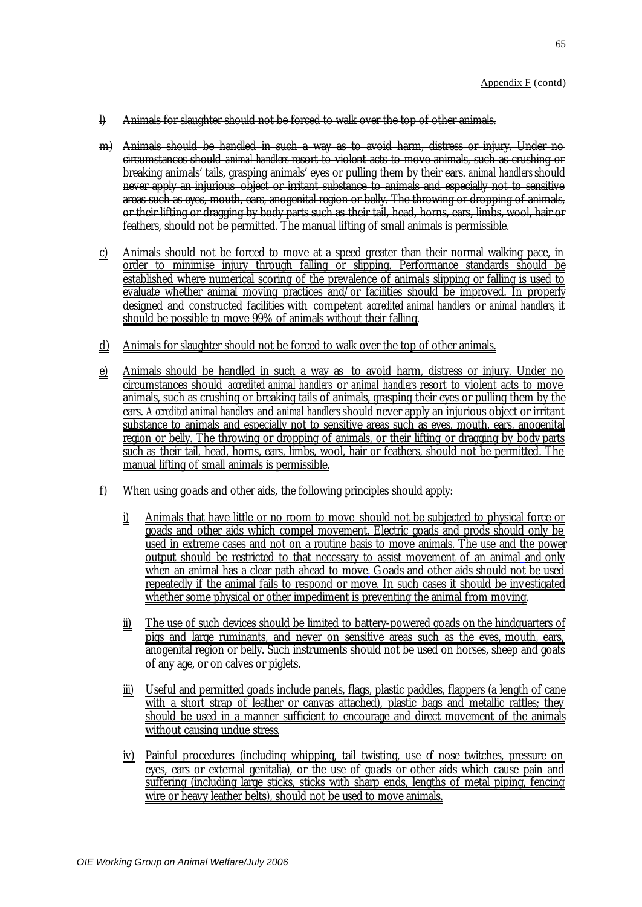- l) Animals for slaughter should not be forced to walk over the top of other animals.
- m) Animals should be handled in such a way as to avoid harm, distress or injury. Under no circumstances should *animal handlers* resort to violent acts to move animals, such as crushing or breaking animals' tails, grasping animals' eyes or pulling them by their ears. *animal handlers* should never apply an injurious object or irritant substance to animals and especially not to sensitive areas such as eyes, mouth, ears, anogenital region or belly. The throwing or dropping of animals, or their lifting or dragging by body parts such as their tail, head, horns, ears, limbs, wool, hair or feathers, should not be permitted. The manual lifting of small animals is permissible.
- c) Animals should not be forced to move at a speed greater than their normal walking pace, in order to minimise injury through falling or slipping. Performance standards should be established where numerical scoring of the prevalence of animals slipping or falling is used to evaluate whether animal moving practices and/or facilities should be improved. In properly designed and constructed facilities with competent *accredited animal handlers* or *animal handlers*, it should be possible to move 99% of animals without their falling.
- d) Animals for slaughter should not be forced to walk over the top of other animals.
- e) Animals should be handled in such a way as to avoid harm, distress or injury. Under no circumstances should *accredited animal handlers* or *animal handlers* resort to violent acts to move animals, such as crushing or breaking tails of animals, grasping their eyes or pulling them by the ears. *Accredited animal handlers* and *animal handlers* should never apply an injurious object or irritant substance to animals and especially not to sensitive areas such as eyes, mouth, ears, anogenital region or belly. The throwing or dropping of animals, or their lifting or dragging by body parts such as their tail, head, horns, ears, limbs, wool, hair or feathers, should not be permitted. The manual lifting of small animals is permissible.
- f) When using goads and other aids, the following principles should apply:
	- i) Animals that have little or no room to move should not be subjected to physical force or goads and other aids which compel movement. Electric goads and prods should only be used in extreme cases and not on a routine basis to move animals. The use and the power output should be restricted to that necessary to assist movement of an animal and only when an animal has a clear path ahead to move. Goads and other aids should not be used repeatedly if the animal fails to respond or move. In such cases it should be investigated whether some physical or other impediment is preventing the animal from moving.
	- ii) The use of such devices should be limited to battery-powered goads on the hindquarters of pigs and large ruminants, and never on sensitive areas such as the eyes, mouth, ears, anogenital region or belly. Such instruments should not be used on horses, sheep and goats of any age, or on calves or piglets.
	- iii) Useful and permitted goads include panels, flags, plastic paddles, flappers (a length of cane with a short strap of leather or canvas attached), plastic bags and metallic rattles; they should be used in a manner sufficient to encourage and direct movement of the animals without causing undue stress.
	- iv) Painful procedures (including whipping, tail twisting, use of nose twitches, pressure on eyes, ears or external genitalia), or the use of goads or other aids which cause pain and suffering (including large sticks, sticks with sharp ends, lengths of metal piping, fencing wire or heavy leather belts), should not be used to move animals.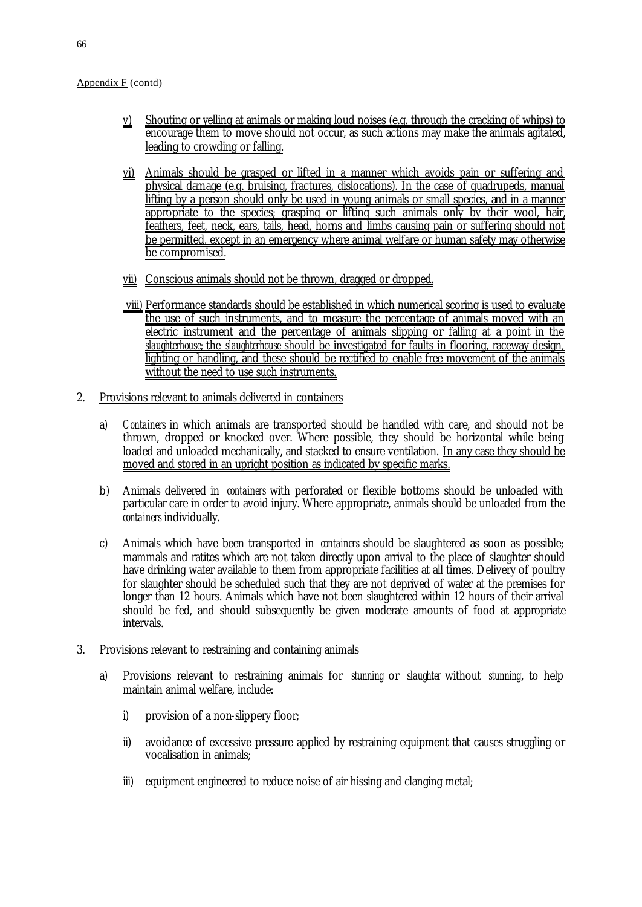- v) Shouting or yelling at animals or making loud noises (e.g. through the cracking of whips) to encourage them to move should not occur, as such actions may make the animals agitated, leading to crowding or falling.
- vi) Animals should be grasped or lifted in a manner which avoids pain or suffering and physical damage (e.g. bruising, fractures, dislocations). In the case of quadrupeds, manual lifting by a person should only be used in young animals or small species, and in a manner appropriate to the species; grasping or lifting such animals only by their wool, hair, feathers, feet, neck, ears, tails, head, horns and limbs causing pain or suffering should not be permitted, except in an emergency where animal welfare or human safety may otherwise be compromised.
- vii) Conscious animals should not be thrown, dragged or dropped.
- viii) Performance standards should be established in which numerical scoring is used to evaluate the use of such instruments, and to measure the percentage of animals moved with an electric instrument and the percentage of animals slipping or falling at a point in the *slaughterhouse*; the *slaughterhouse* should be investigated for faults in flooring, raceway design, lighting or handling, and these should be rectified to enable free movement of the animals without the need to use such instruments.
- 2. Provisions relevant to animals delivered in containers
	- a) *Containers* in which animals are transported should be handled with care, and should not be thrown, dropped or knocked over. Where possible, they should be horizontal while being loaded and unloaded mechanically, and stacked to ensure ventilation. In any case they should be moved and stored in an upright position as indicated by specific marks.
	- b) Animals delivered in *containers* with perforated or flexible bottoms should be unloaded with particular care in order to avoid injury. Where appropriate, animals should be unloaded from the *containers* individually.
	- c) Animals which have been transported in *containers* should be slaughtered as soon as possible; mammals and ratites which are not taken directly upon arrival to the place of slaughter should have drinking water available to them from appropriate facilities at all times. Delivery of poultry for slaughter should be scheduled such that they are not deprived of water at the premises for longer than 12 hours. Animals which have not been slaughtered within 12 hours of their arrival should be fed, and should subsequently be given moderate amounts of food at appropriate intervals.
- 3. Provisions relevant to restraining and containing animals
	- a) Provisions relevant to restraining animals for *stunning* or *slaughter* without *stunning*, to help maintain animal welfare, include:
		- i) provision of a non-slippery floor;
		- ii) avoidance of excessive pressure applied by restraining equipment that causes struggling or vocalisation in animals;
		- iii) equipment engineered to reduce noise of air hissing and clanging metal;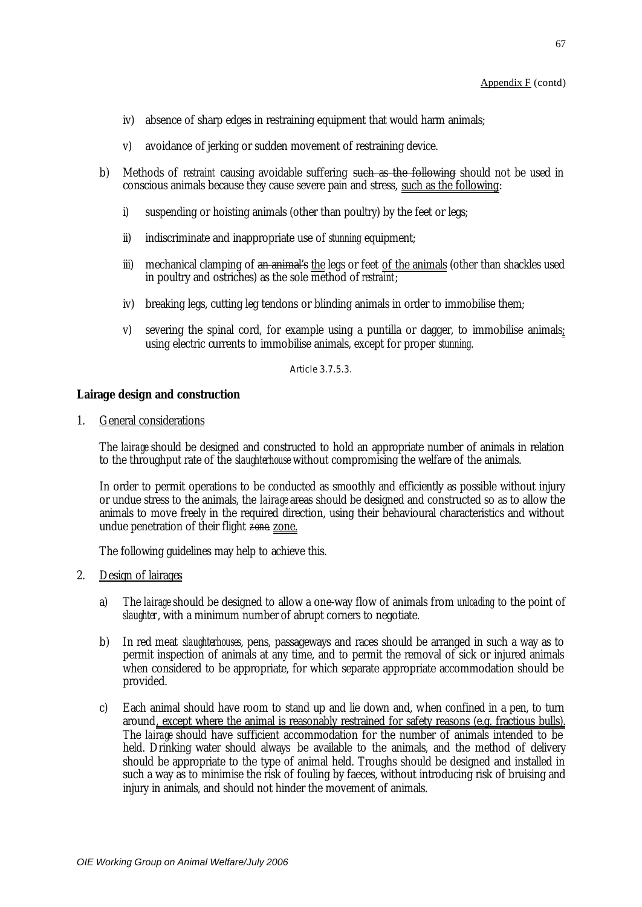- iv) absence of sharp edges in restraining equipment that would harm animals;
- v) avoidance of jerking or sudden movement of restraining device.
- b) Methods of *restraint* causing avoidable suffering such as the following should not be used in conscious animals because they cause severe pain and stress, such as the following:
	- i) suspending or hoisting animals (other than poultry) by the feet or legs;
	- ii) indiscriminate and inappropriate use of *stunning* equipment;
	- iii) mechanical clamping of an animal's the legs or feet of the animals (other than shackles used in poultry and ostriches) as the sole method of *restraint*;
	- iv) breaking legs, cutting leg tendons or blinding animals in order to immobilise them;
	- v) severing the spinal cord, for example using a puntilla or dagger, to immobilise animals; using electric currents to immobilise animals, except for proper *stunning*.

Article 3.7.5.3.

## **Lairage design and construction**

#### 1. General considerations

The *lairage* should be designed and constructed to hold an appropriate number of animals in relation to the throughput rate of the *slaughterhouse* without compromising the welfare of the animals.

In order to permit operations to be conducted as smoothly and efficiently as possible without injury or undue stress to the animals, the *lairage* areas should be designed and constructed so as to allow the animals to move freely in the required direction, using their behavioural characteristics and without undue penetration of their flight *zone*. zone.

The following guidelines may help to achieve this.

- 2. Design of lairages
	- a) The *lairage* should be designed to allow a one-way flow of animals from *unloading* to the point of *slaughter*, with a minimum number of abrupt corners to negotiate.
	- b) In red meat *slaughterhouses*, pens, passageways and races should be arranged in such a way as to permit inspection of animals at any time, and to permit the removal of sick or injured animals when considered to be appropriate, for which separate appropriate accommodation should be provided.
	- c) Each animal should have room to stand up and lie down and, when confined in a pen, to turn around, except where the animal is reasonably restrained for safety reasons (e.g. fractious bulls). The *lairage* should have sufficient accommodation for the number of animals intended to be held. Drinking water should always be available to the animals, and the method of delivery should be appropriate to the type of animal held. Troughs should be designed and installed in such a way as to minimise the risk of fouling by faeces, without introducing risk of bruising and injury in animals, and should not hinder the movement of animals.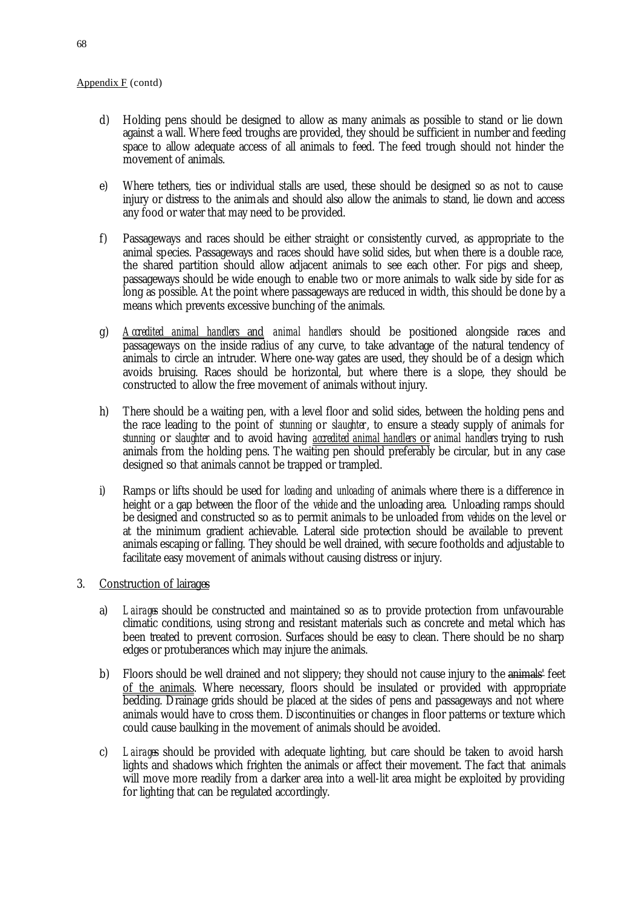- d) Holding pens should be designed to allow as many animals as possible to stand or lie down against a wall. Where feed troughs are provided, they should be sufficient in number and feeding space to allow adequate access of all animals to feed. The feed trough should not hinder the movement of animals.
- e) Where tethers, ties or individual stalls are used, these should be designed so as not to cause injury or distress to the animals and should also allow the animals to stand, lie down and access any food or water that may need to be provided.
- f) Passageways and races should be either straight or consistently curved, as appropriate to the animal species. Passageways and races should have solid sides, but when there is a double race, the shared partition should allow adjacent animals to see each other. For pigs and sheep, passageways should be wide enough to enable two or more animals to walk side by side for as long as possible. At the point where passageways are reduced in width, this should be done by a means which prevents excessive bunching of the animals.
- g) *Accredited animal handlers* and *animal handlers* should be positioned alongside races and passageways on the inside radius of any curve, to take advantage of the natural tendency of animals to circle an intruder. Where one-way gates are used, they should be of a design which avoids bruising. Races should be horizontal, but where there is a slope, they should be constructed to allow the free movement of animals without injury.
- h) There should be a waiting pen, with a level floor and solid sides, between the holding pens and the race leading to the point of *stunning* or *slaughter*, to ensure a steady supply of animals for *stunning* or *slaughter* and to avoid having *accredited animal handlers* or *animal handlers* trying to rush animals from the holding pens. The waiting pen should preferably be circular, but in any case designed so that animals cannot be trapped or trampled.
- i) Ramps or lifts should be used for *loading* and *unloading* of animals where there is a difference in height or a gap between the floor of the *vehicle* and the unloading area. Unloading ramps should be designed and constructed so as to permit animals to be unloaded from *vehicles* on the level or at the minimum gradient achievable. Lateral side protection should be available to prevent animals escaping or falling. They should be well drained, with secure footholds and adjustable to facilitate easy movement of animals without causing distress or injury.

#### 3. Construction of lairages

- a) *Lairages* should be constructed and maintained so as to provide protection from unfavourable climatic conditions, using strong and resistant materials such as concrete and metal which has been treated to prevent corrosion. Surfaces should be easy to clean. There should be no sharp edges or protuberances which may injure the animals.
- b) Floors should be well drained and not slippery; they should not cause injury to the animals feet of the animals. Where necessary, floors should be insulated or provided with appropriate bedding. Drainage grids should be placed at the sides of pens and passageways and not where animals would have to cross them. Discontinuities or changes in floor patterns or texture which could cause baulking in the movement of animals should be avoided.
- c) *Lairage*s should be provided with adequate lighting, but care should be taken to avoid harsh lights and shadows which frighten the animals or affect their movement. The fact that animals will move more readily from a darker area into a well-lit area might be exploited by providing for lighting that can be regulated accordingly.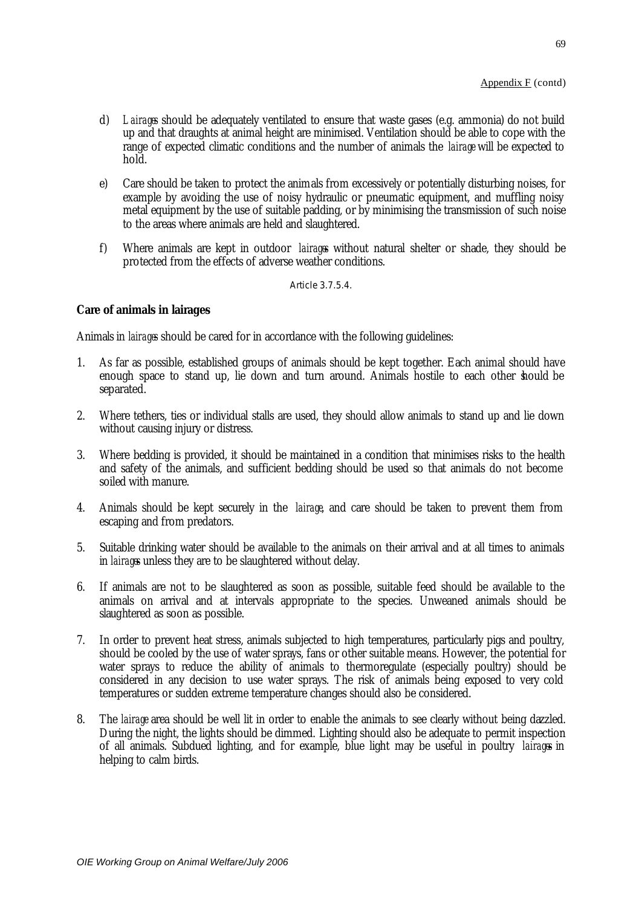- d) *Lairages* should be adequately ventilated to ensure that waste gases (e.g. ammonia) do not build up and that draughts at animal height are minimised. Ventilation should be able to cope with the range of expected climatic conditions and the number of animals the *lairage* will be expected to hold.
- e) Care should be taken to protect the animals from excessively or potentially disturbing noises, for example by avoiding the use of noisy hydraulic or pneumatic equipment, and muffling noisy metal equipment by the use of suitable padding, or by minimising the transmission of such noise to the areas where animals are held and slaughtered.
- f) Where animals are kept in outdoor *lairages* without natural shelter or shade, they should be protected from the effects of adverse weather conditions.

Article 3.7.5.4.

## **Care of animals in lairages**

Animals in *lairages* should be cared for in accordance with the following guidelines:

- 1. As far as possible, established groups of animals should be kept together. Each animal should have enough space to stand up, lie down and turn around. Animals hostile to each other should be separated.
- 2. Where tethers, ties or individual stalls are used, they should allow animals to stand up and lie down without causing injury or distress.
- 3. Where bedding is provided, it should be maintained in a condition that minimises risks to the health and safety of the animals, and sufficient bedding should be used so that animals do not become soiled with manure.
- 4. Animals should be kept securely in the *lairage*, and care should be taken to prevent them from escaping and from predators.
- 5. Suitable drinking water should be available to the animals on their arrival and at all times to animals in *lairages* unless they are to be slaughtered without delay.
- 6. If animals are not to be slaughtered as soon as possible, suitable feed should be available to the animals on arrival and at intervals appropriate to the species. Unweaned animals should be slaughtered as soon as possible.
- 7. In order to prevent heat stress, animals subjected to high temperatures, particularly pigs and poultry, should be cooled by the use of water sprays, fans or other suitable means. However, the potential for water sprays to reduce the ability of animals to thermoregulate (especially poultry) should be considered in any decision to use water sprays. The risk of animals being exposed to very cold temperatures or sudden extreme temperature changes should also be considered.
- 8. The *lairage* area should be well lit in order to enable the animals to see clearly without being dazzled. During the night, the lights should be dimmed. Lighting should also be adequate to permit inspection of all animals. Subdued lighting, and for example, blue light may be useful in poultry *lairages* in helping to calm birds.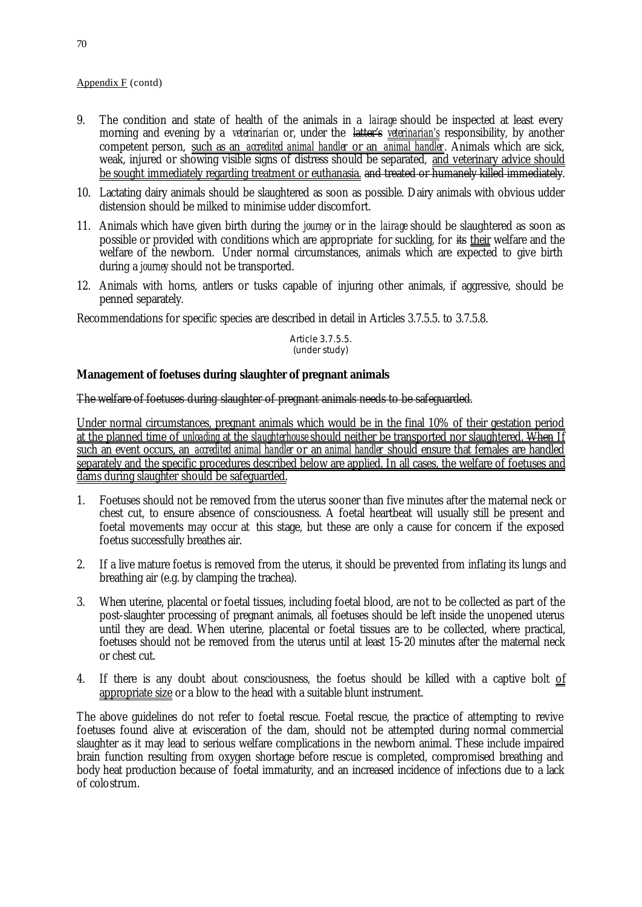- 9. The condition and state of health of the animals in a *lairage* should be inspected at least every morning and evening by a *veterinarian* or, under the latter's *veterinarian's* responsibility, by another competent person, such as an *accredited animal handler* or an *animal handler*. Animals which are sick, weak, injured or showing visible signs of distress should be separated, and veterinary advice should be sought immediately regarding treatment or euthanasia. and treated or humanely killed immediately.
- 10. Lactating dairy animals should be slaughtered as soon as possible. Dairy animals with obvious udder distension should be milked to minimise udder discomfort.
- 11. Animals which have given birth during the *journey* or in the *lairage* should be slaughtered as soon as possible or provided with conditions which are appropriate for suckling, for its their welfare and the welfare of the newborn. Under normal circumstances, animals which are expected to give birth during a *journey* should not be transported.
- 12. Animals with horns, antlers or tusks capable of injuring other animals, if aggressive, should be penned separately.

Recommendations for specific species are described in detail in Articles 3.7.5.5. to 3.7.5.8.

Article 3.7.5.5. (under study)

#### **Management of foetuses during slaughter of pregnant animals**

The welfare of foetuses during slaughter of pregnant animals needs to be safeguarded.

Under normal circumstances, pregnant animals which would be in the final 10% of their gestation period at the planned time of *unloading* at the *slaughterhouse* should neither be transported nor slaughtered. When If such an event occurs, an *accredited animal handler* or an *animal handler* should ensure that females are handled separately and the specific procedures described below are applied. In all cases, the welfare of foetuses and dams during slaughter should be safeguarded.

- 1. Foetuses should not be removed from the uterus sooner than five minutes after the maternal neck or chest cut, to ensure absence of consciousness. A foetal heartbeat will usually still be present and foetal movements may occur at this stage, but these are only a cause for concern if the exposed foetus successfully breathes air.
- 2. If a live mature foetus is removed from the uterus, it should be prevented from inflating its lungs and breathing air (e.g. by clamping the trachea).
- 3. When uterine, placental or foetal tissues, including foetal blood, are not to be collected as part of the post-slaughter processing of pregnant animals, all foetuses should be left inside the unopened uterus until they are dead. When uterine, placental or foetal tissues are to be collected, where practical, foetuses should not be removed from the uterus until at least 15-20 minutes after the maternal neck or chest cut.
- 4. If there is any doubt about consciousness, the foetus should be killed with a captive bolt of appropriate size or a blow to the head with a suitable blunt instrument.

The above guidelines do not refer to foetal rescue. Foetal rescue, the practice of attempting to revive foetuses found alive at evisceration of the dam, should not be attempted during normal commercial slaughter as it may lead to serious welfare complications in the newborn animal. These include impaired brain function resulting from oxygen shortage before rescue is completed, compromised breathing and body heat production because of foetal immaturity, and an increased incidence of infections due to a lack of colostrum.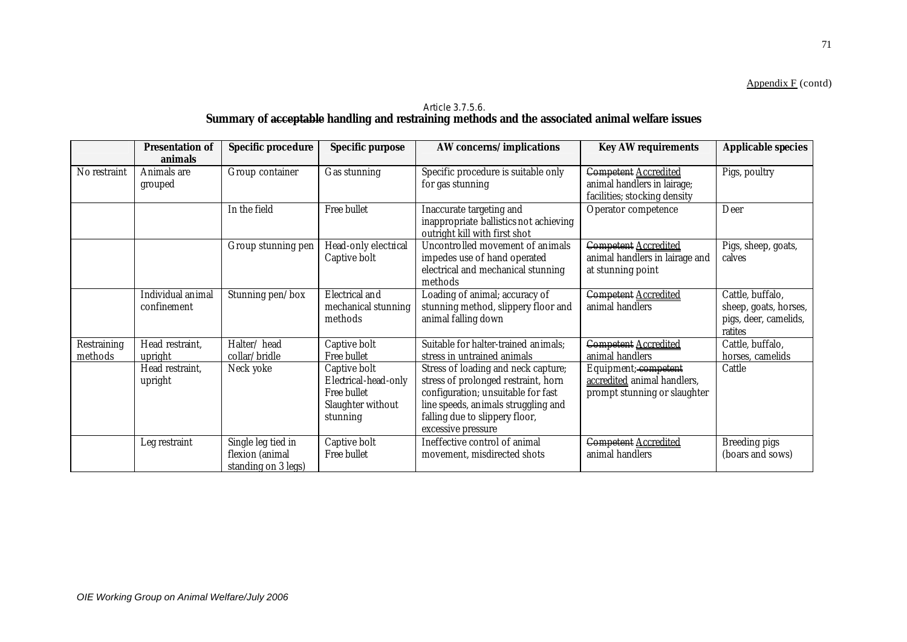| Article 3.7.5.6.                                                                                |
|-------------------------------------------------------------------------------------------------|
| Summary of acceptable handling and restraining methods and the associated animal welfare issues |

|                        | <b>Presentation of</b><br>animals | Specific procedure                                           | Specific purpose                                                                     | AW concerns/implications                                                                                                                                                                                        | <b>Key AW requirements</b>                                                                 | <b>Applicable species</b>                                                     |
|------------------------|-----------------------------------|--------------------------------------------------------------|--------------------------------------------------------------------------------------|-----------------------------------------------------------------------------------------------------------------------------------------------------------------------------------------------------------------|--------------------------------------------------------------------------------------------|-------------------------------------------------------------------------------|
| No restraint           | Animals are<br>grouped            | Group container                                              | Gas stunning                                                                         | Specific procedure is suitable only<br>for gas stunning                                                                                                                                                         | <b>Competent Accredited</b><br>animal handlers in lairage;<br>facilities; stocking density | Pigs, poultry                                                                 |
|                        |                                   | In the field                                                 | Free bullet                                                                          | Inaccurate targeting and<br>inappropriate ballistics not achieving<br>outright kill with first shot                                                                                                             | Operator competence                                                                        | Deer                                                                          |
|                        |                                   | Group stunning pen                                           | Head-only electrical<br>Captive bolt                                                 | Uncontrolled movement of animals<br>impedes use of hand operated<br>electrical and mechanical stunning<br>methods                                                                                               | <b>Competent Accredited</b><br>animal handlers in lairage and<br>at stunning point         | Pigs, sheep, goats,<br>calves                                                 |
|                        | Individual animal<br>confinement  | Stunning pen/box                                             | Electrical and<br>mechanical stunning<br>methods                                     | Loading of animal; accuracy of<br>stunning method, slippery floor and<br>animal falling down                                                                                                                    | <b>Competent Accredited</b><br>animal handlers                                             | Cattle, buffalo,<br>sheep, goats, horses,<br>pigs, deer, camelids,<br>ratites |
| Restraining<br>methods | Head restraint,<br>upright        | Halter/head<br>collar/bridle                                 | Captive bolt<br>Free bullet                                                          | Suitable for halter-trained animals;<br>stress in untrained animals                                                                                                                                             | <b>Competent Accredited</b><br>animal handlers                                             | Cattle, buffalo,<br>horses, camelids                                          |
|                        | Head restraint,<br>upright        | Neck yoke                                                    | Captive bolt<br>Electrical-head-only<br>Free bullet<br>Slaughter without<br>stunning | Stress of loading and neck capture;<br>stress of prolonged restraint, horn<br>configuration; unsuitable for fast<br>line speeds, animals struggling and<br>falling due to slippery floor,<br>excessive pressure | Equipment; competent<br>accredited animal handlers,<br>prompt stunning or slaughter        | Cattle                                                                        |
|                        | Leg restraint                     | Single leg tied in<br>flexion (animal<br>standing on 3 legs) | Captive bolt<br>Free bullet                                                          | Ineffective control of animal<br>movement, misdirected shots                                                                                                                                                    | <b>Competent Accredited</b><br>animal handlers                                             | <b>Breeding pigs</b><br>(boars and sows)                                      |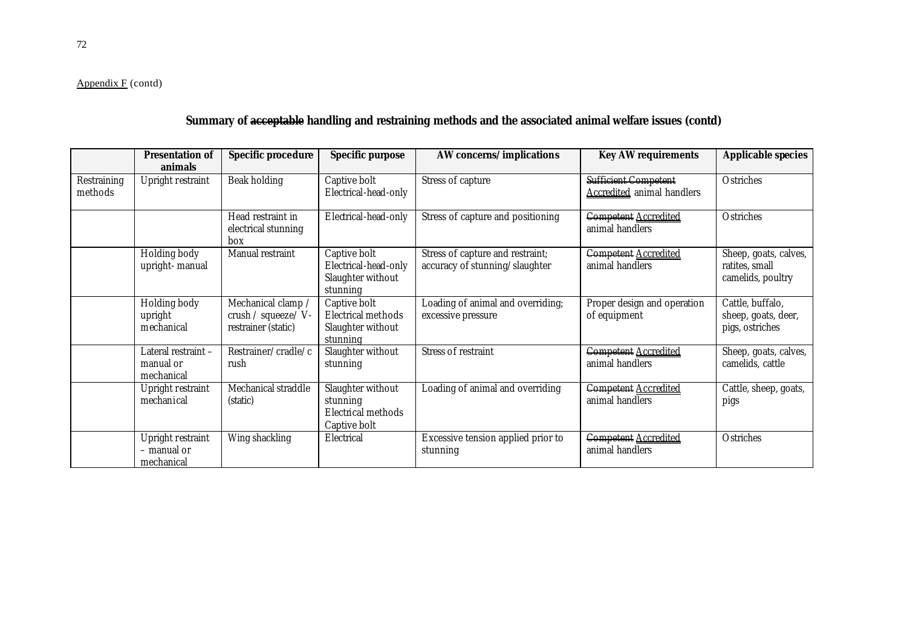# **Summary of acceptable handling and restraining methods and the associated animal welfare issues (contd)**

|                        | <b>Presentation of</b><br>animals              | Specific procedure                                               | Specific purpose                                                      | AW concerns/implications                                           | <b>Key AW requirements</b>                                       | <b>Applicable species</b>                                    |
|------------------------|------------------------------------------------|------------------------------------------------------------------|-----------------------------------------------------------------------|--------------------------------------------------------------------|------------------------------------------------------------------|--------------------------------------------------------------|
| Restraining<br>methods | Upright restraint                              | <b>Beak holding</b>                                              | Captive bolt<br>Electrical-head-only                                  | Stress of capture                                                  | <b>Sufficient Competent</b><br><b>Accredited animal handlers</b> | Ostriches                                                    |
|                        |                                                | Head restraint in<br>electrical stunning<br>box                  | Electrical-head-only                                                  | Stress of capture and positioning                                  | <b>Competent Accredited</b><br>animal handlers                   | Ostriches                                                    |
|                        | Holding body<br>upright-manual                 | Manual restraint                                                 | Captive bolt<br>Electrical-head-only<br>Slaughter without<br>stunning | Stress of capture and restraint;<br>accuracy of stunning/slaughter | <b>Competent Accredited</b><br>animal handlers                   | Sheep, goats, calves,<br>ratites, small<br>camelids, poultry |
|                        | Holding body<br>upright<br>mechanical          | Mechanical clamp /<br>crush / squeeze/ V-<br>restrainer (static) | Captive bolt<br>Electrical methods<br>Slaughter without<br>stunning   | Loading of animal and overriding;<br>excessive pressure            | Proper design and operation<br>of equipment                      | Cattle, buffalo,<br>sheep, goats, deer,<br>pigs, ostriches   |
|                        | Lateral restraint –<br>manual or<br>mechanical | Restrainer/cradle/c<br>rush                                      | Slaughter without<br>stunning                                         | <b>Stress of restraint</b>                                         | <b>Competent Accredited</b><br>animal handlers                   | Sheep, goats, calves,<br>camelids, cattle                    |
|                        | Upright restraint<br>mechanical                | Mechanical straddle<br>(static)                                  | Slaughter without<br>stunning<br>Electrical methods<br>Captive bolt   | Loading of animal and overriding                                   | <b>Competent Accredited</b><br>animal handlers                   | Cattle, sheep, goats,<br>pigs                                |
|                        | Upright restraint<br>- manual or<br>mechanical | Wing shackling                                                   | Electrical                                                            | Excessive tension applied prior to<br>stunning                     | <b>Competent Accredited</b><br>animal handlers                   | Ostriches                                                    |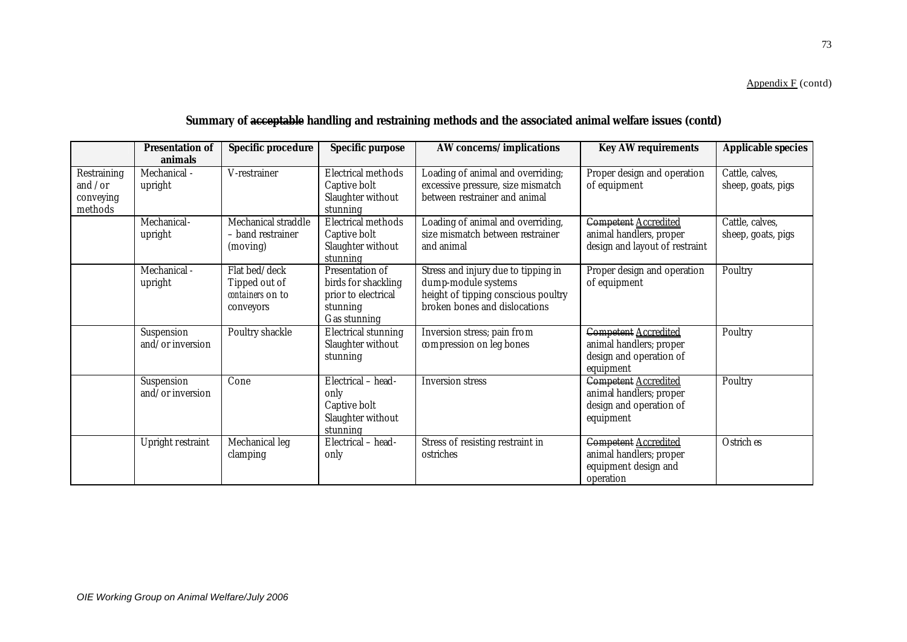## **Summary of acceptable handling and restraining methods and the associated animal welfare issues (contd)**

|                                                        | <b>Presentation of</b><br>animals | Specific procedure                                              | Specific purpose                                                                          | <b>AW</b> concerns/implications                                                                                                    | <b>Key AW requirements</b>                                                                     | <b>Applicable species</b>             |
|--------------------------------------------------------|-----------------------------------|-----------------------------------------------------------------|-------------------------------------------------------------------------------------------|------------------------------------------------------------------------------------------------------------------------------------|------------------------------------------------------------------------------------------------|---------------------------------------|
| Restraining<br>and $\sqrt{or}$<br>conveying<br>methods | Mechanical -<br>upright           | V-restrainer                                                    | Electrical methods<br>Captive bolt<br>Slaughter without<br>stunning                       | Loading of animal and overriding;<br>excessive pressure, size mismatch<br>between restrainer and animal                            | Proper design and operation<br>of equipment                                                    | Cattle, calves,<br>sheep, goats, pigs |
|                                                        | Mechanical-<br>upright            | Mechanical straddle<br>- band restrainer<br>(moving)            | Electrical methods<br>Captive bolt<br>Slaughter without<br>stunning                       | Loading of animal and overriding,<br>size mismatch between restrainer<br>and animal                                                | <b>Competent Accredited</b><br>animal handlers, proper<br>design and layout of restraint       | Cattle, calves,<br>sheep, goats, pigs |
|                                                        | Mechanical -<br>upright           | Flat bed/deck<br>Tipped out of<br>containers on to<br>conveyors | Presentation of<br>birds for shackling<br>prior to electrical<br>stunning<br>Gas stunning | Stress and injury due to tipping in<br>dump-module systems<br>height of tipping conscious poultry<br>broken bones and dislocations | Proper design and operation<br>of equipment                                                    | Poultry                               |
|                                                        | Suspension<br>and/or inversion    | Poultry shackle                                                 | <b>Electrical stunning</b><br>Slaughter without<br>stunning                               | Inversion stress; pain from<br>compression on leg bones                                                                            | <b>Competent Accredited</b><br>animal handlers; proper<br>design and operation of<br>equipment | Poultry                               |
|                                                        | Suspension<br>and/or inversion    | Cone                                                            | Electrical - head-<br>only<br>Captive bolt<br>Slaughter without<br>stunning               | <b>Inversion stress</b>                                                                                                            | <b>Competent Accredited</b><br>animal handlers; proper<br>design and operation of<br>equipment | Poultry                               |
|                                                        | Upright restraint                 | Mechanical leg<br>clamping                                      | Electrical - head-<br>only                                                                | Stress of resisting restraint in<br>ostriches                                                                                      | <b>Competent Accredited</b><br>animal handlers; proper<br>equipment design and<br>operation    | Ostrich es                            |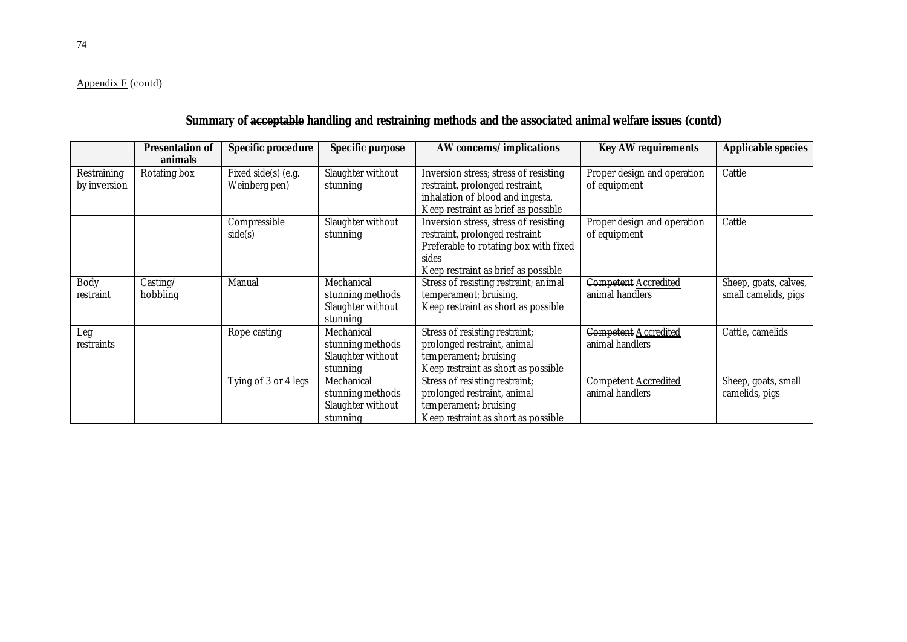# **Summary of acceptable handling and restraining methods and the associated animal welfare issues (contd)**

|                             | <b>Presentation of</b><br>animals | <b>Specific procedure</b>            | <b>Specific purpose</b>                                         | AW concerns/implications                                                                                                                                         | <b>Key AW requirements</b>                     | <b>Applicable species</b>                     |
|-----------------------------|-----------------------------------|--------------------------------------|-----------------------------------------------------------------|------------------------------------------------------------------------------------------------------------------------------------------------------------------|------------------------------------------------|-----------------------------------------------|
| Restraining<br>by inversion | Rotating box                      | Fixed side(s) (e.g.<br>Weinberg pen) | Slaughter without<br>stunning                                   | Inversion stress; stress of resisting<br>restraint, prolonged restraint,<br>inhalation of blood and ingesta.<br>Keep restraint as brief as possible              | Proper design and operation<br>of equipment    | Cattle                                        |
|                             |                                   | Compressible<br>side(s)              | Slaughter without<br>stunning                                   | Inversion stress, stress of resisting<br>restraint, prolonged restraint<br>Preferable to rotating box with fixed<br>sides<br>Keep restraint as brief as possible | Proper design and operation<br>of equipment    | Cattle                                        |
| Body<br>restraint           | Casting/<br>hobbling              | Manual                               | Mechanical<br>stunning methods<br>Slaughter without<br>stunning | Stress of resisting restraint; animal<br>temperament; bruising.<br>Keep restraint as short as possible                                                           | <b>Competent Accredited</b><br>animal handlers | Sheep, goats, calves,<br>small camelids, pigs |
| Leg<br>restraints           |                                   | Rope casting                         | Mechanical<br>stunning methods<br>Slaughter without<br>stunning | Stress of resisting restraint;<br>prolonged restraint, animal<br>temperament; bruising<br>Keep restraint as short as possible                                    | <b>Competent Accredited</b><br>animal handlers | Cattle, camelids                              |
|                             |                                   | Tying of 3 or 4 legs                 | Mechanical<br>stunning methods<br>Slaughter without<br>stunning | Stress of resisting restraint;<br>prolonged restraint, animal<br>temperament; bruising<br>Keep restraint as short as possible                                    | <b>Competent Accredited</b><br>animal handlers | Sheep, goats, small<br>camelids, pigs         |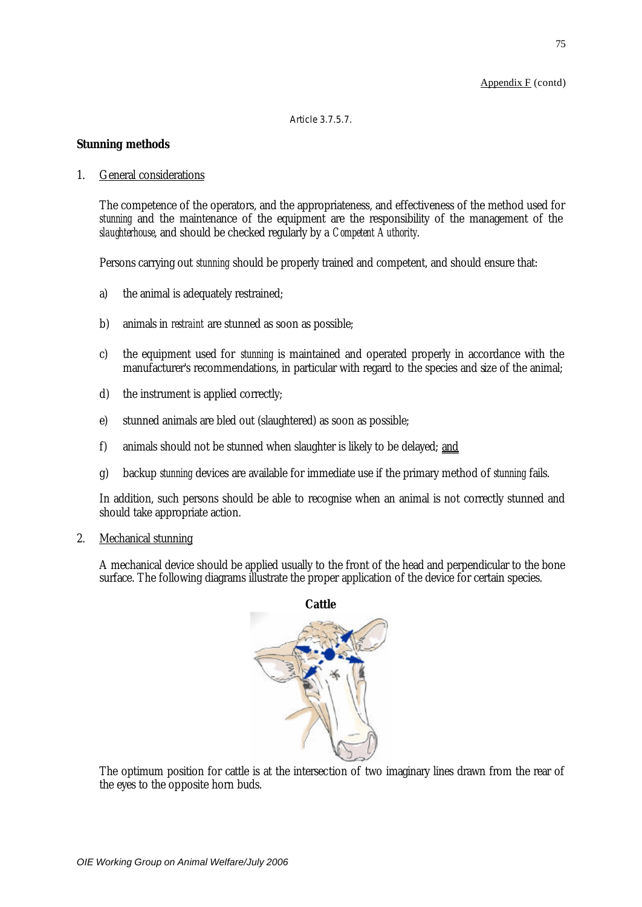75

#### Article 3.7.5.7.

### **Stunning methods**

### 1. General considerations

The competence of the operators, and the appropriateness, and effectiveness of the method used for *stunning* and the maintenance of the equipment are the responsibility of the management of the *slaughterhouse*, and should be checked regularly by a *Competent Authority*.

Persons carrying out *stunning* should be properly trained and competent, and should ensure that:

- a) the animal is adequately restrained;
- b) animals in *restraint* are stunned as soon as possible;
- c) the equipment used for *stunning* is maintained and operated properly in accordance with the manufacturer's recommendations, in particular with regard to the species and size of the animal;
- d) the instrument is applied correctly;
- e) stunned animals are bled out (slaughtered) as soon as possible;
- f) animals should not be stunned when slaughter is likely to be delayed; and
- g) backup *stunning* devices are available for immediate use if the primary method of *stunning* fails.

In addition, such persons should be able to recognise when an animal is not correctly stunned and should take appropriate action.

### 2. Mechanical stunning

A mechanical device should be applied usually to the front of the head and perpendicular to the bone surface. The following diagrams illustrate the proper application of the device for certain species.



The optimum position for cattle is at the intersection of two imaginary lines drawn from the rear of the eyes to the opposite horn buds.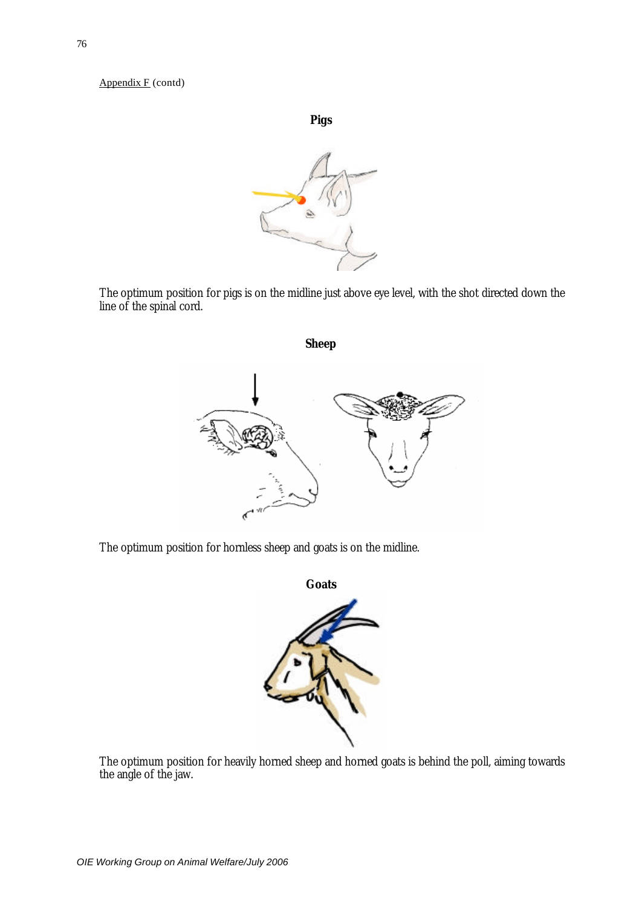

The optimum position for pigs is on the midline just above eye level, with the shot directed down the line of the spinal cord.



The optimum position for hornless sheep and goats is on the midline.



The optimum position for heavily horned sheep and horned goats is behind the poll, aiming towards the angle of the jaw.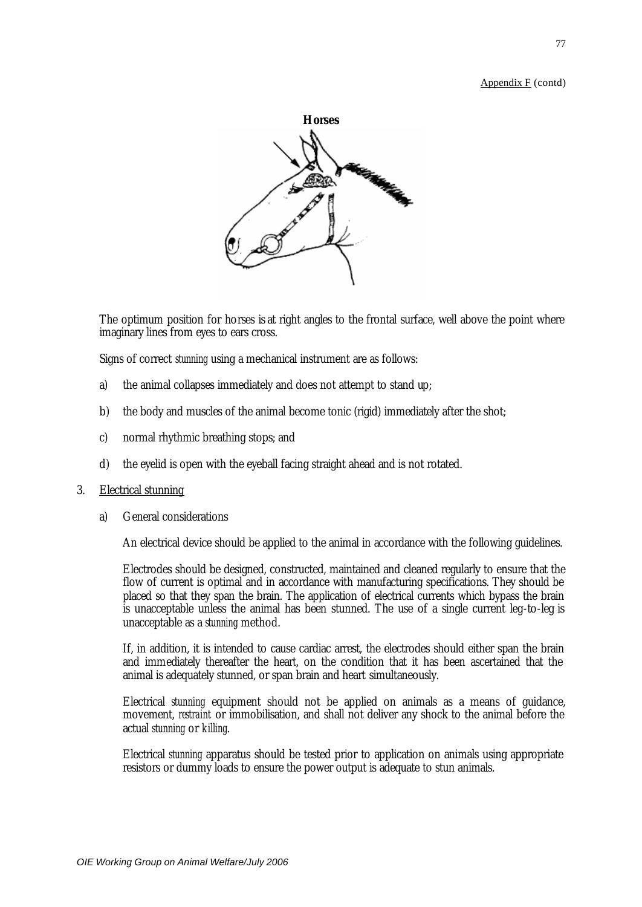

The optimum position for horses is at right angles to the frontal surface, well above the point where imaginary lines from eyes to ears cross.

Signs of correct *stunning* using a mechanical instrument are as follows:

- a) the animal collapses immediately and does not attempt to stand up;
- b) the body and muscles of the animal become tonic (rigid) immediately after the shot;
- c) normal rhythmic breathing stops; and
- d) the eyelid is open with the eyeball facing straight ahead and is not rotated.

### 3. Electrical stunning

a) General considerations

An electrical device should be applied to the animal in accordance with the following guidelines.

Electrodes should be designed, constructed, maintained and cleaned regularly to ensure that the flow of current is optimal and in accordance with manufacturing specifications. They should be placed so that they span the brain. The application of electrical currents which bypass the brain is unacceptable unless the animal has been stunned. The use of a single current leg-to-leg is unacceptable as a *stunning* method.

If, in addition, it is intended to cause cardiac arrest, the electrodes should either span the brain and immediately thereafter the heart, on the condition that it has been ascertained that the animal is adequately stunned, or span brain and heart simultaneously.

Electrical *stunning* equipment should not be applied on animals as a means of guidance, movement, *restraint* or immobilisation, and shall not deliver any shock to the animal before the actual *stunning* or *killing*.

Electrical *stunning* apparatus should be tested prior to application on animals using appropriate resistors or dummy loads to ensure the power output is adequate to stun animals.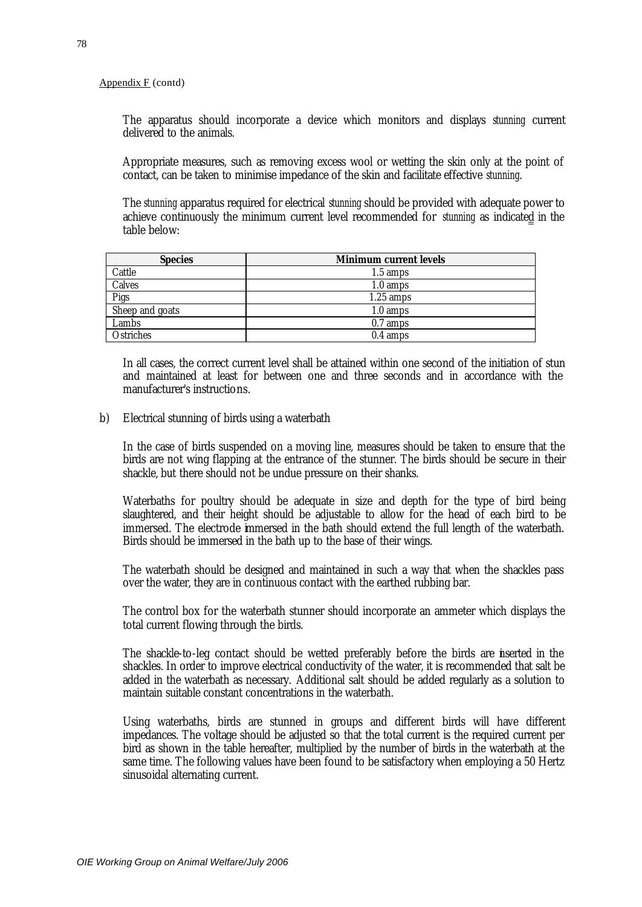The apparatus should incorporate a device which monitors and displays *stunning* current delivered to the animals.

Appropriate measures, such as removing excess wool or wetting the skin only at the point of contact, can be taken to minimise impedance of the skin and facilitate effective *stunning*.

The *stunning* apparatus required for electrical *stunning* should be provided with adequate power to achieve continuously the minimum current level recommended for *stunning* as indicated in the table below:

| <b>Species</b>  | <b>Minimum current levels</b> |
|-----------------|-------------------------------|
| Cattle          | $1.5 \text{ amps}$            |
| Calves          | $1.0 \text{ amps}$            |
| Pigs            | $1.25 \text{ amps}$           |
| Sheep and goats | $1.0 \text{ amps}$            |
| Lambs           | $0.7 \text{ amps}$            |
| Ostriches       | $0.4 \text{ amps}$            |

In all cases, the correct current level shall be attained within one second of the initiation of stun and maintained at least for between one and three seconds and in accordance with the manufacturer's instructions.

#### b) Electrical stunning of birds using a waterbath

In the case of birds suspended on a moving line, measures should be taken to ensure that the birds are not wing flapping at the entrance of the stunner. The birds should be secure in their shackle, but there should not be undue pressure on their shanks.

Waterbaths for poultry should be adequate in size and depth for the type of bird being slaughtered, and their height should be adjustable to allow for the head of each bird to be immersed. The electrode immersed in the bath should extend the full length of the waterbath. Birds should be immersed in the bath up to the base of their wings.

The waterbath should be designed and maintained in such a way that when the shackles pass over the water, they are in continuous contact with the earthed rubbing bar.

The control box for the waterbath stunner should incorporate an ammeter which displays the total current flowing through the birds.

The shackle-to-leg contact should be wetted preferably before the birds are inserted in the shackles. In order to improve electrical conductivity of the water, it is recommended that salt be added in the waterbath as necessary. Additional salt should be added regularly as a solution to maintain suitable constant concentrations in the waterbath.

Using waterbaths, birds are stunned in groups and different birds will have different impedances. The voltage should be adjusted so that the total current is the required current per bird as shown in the table hereafter, multiplied by the number of birds in the waterbath at the same time. The following values have been found to be satisfactory when employing a 50 Hertz sinusoidal alternating current.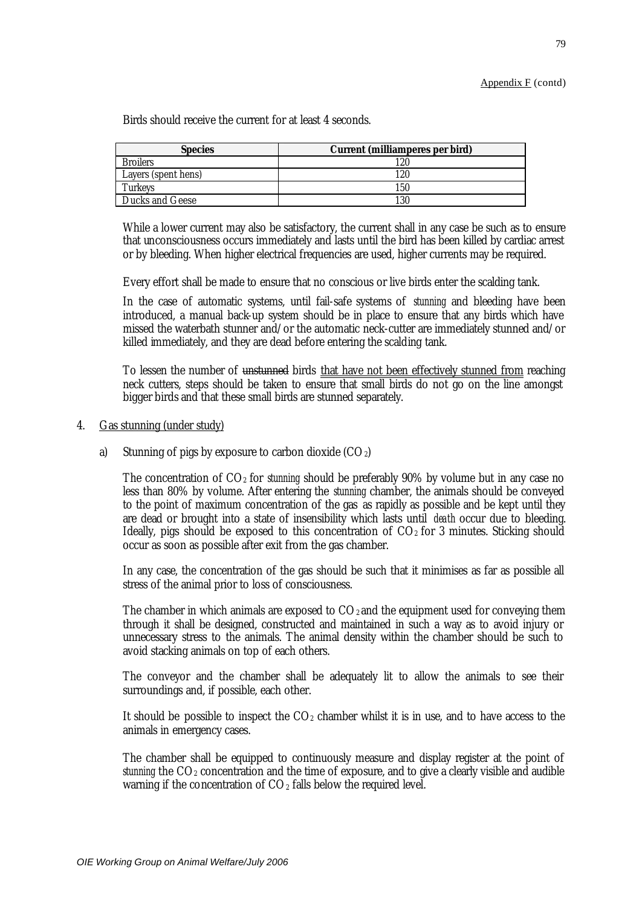Birds should receive the current for at least 4 seconds.

| <b>Species</b>      | <b>Current (milliamperes per bird)</b> |
|---------------------|----------------------------------------|
| <b>Broilers</b>     | 120                                    |
| Layers (spent hens) | 120                                    |
| Turkeys             | 150                                    |
| Ducks and Geese     | ı 30                                   |

While a lower current may also be satisfactory, the current shall in any case be such as to ensure that unconsciousness occurs immediately and lasts until the bird has been killed by cardiac arrest or by bleeding. When higher electrical frequencies are used, higher currents may be required.

Every effort shall be made to ensure that no conscious or live birds enter the scalding tank.

In the case of automatic systems, until fail-safe systems of *stunning* and bleeding have been introduced, a manual back-up system should be in place to ensure that any birds which have missed the waterbath stunner and/or the automatic neck-cutter are immediately stunned and/or killed immediately, and they are dead before entering the scalding tank.

To lessen the number of unstunned birds that have not been effectively stunned from reaching neck cutters, steps should be taken to ensure that small birds do not go on the line amongst bigger birds and that these small birds are stunned separately.

### 4. Gas stunning (under study)

a) Stunning of pigs by exposure to carbon dioxide  $(CO_2)$ 

The concentration of CO2 for *stunning* should be preferably 90% by volume but in any case no less than 80% by volume. After entering the *stunning* chamber, the animals should be conveyed to the point of maximum concentration of the gas as rapidly as possible and be kept until they are dead or brought into a state of insensibility which lasts until *death* occur due to bleeding. Ideally, pigs should be exposed to this concentration of  $CO<sub>2</sub>$  for 3 minutes. Sticking should occur as soon as possible after exit from the gas chamber.

In any case, the concentration of the gas should be such that it minimises as far as possible all stress of the animal prior to loss of consciousness.

The chamber in which animals are exposed to  $CO<sub>2</sub>$  and the equipment used for conveying them through it shall be designed, constructed and maintained in such a way as to avoid injury or unnecessary stress to the animals. The animal density within the chamber should be such to avoid stacking animals on top of each others.

The conveyor and the chamber shall be adequately lit to allow the animals to see their surroundings and, if possible, each other.

It should be possible to inspect the  $CO<sub>2</sub>$  chamber whilst it is in use, and to have access to the animals in emergency cases.

The chamber shall be equipped to continuously measure and display register at the point of *stunning* the  $CO<sub>2</sub>$  concentration and the time of exposure, and to give a clearly visible and audible warning if the concentration of  $CO<sub>2</sub>$  falls below the required level.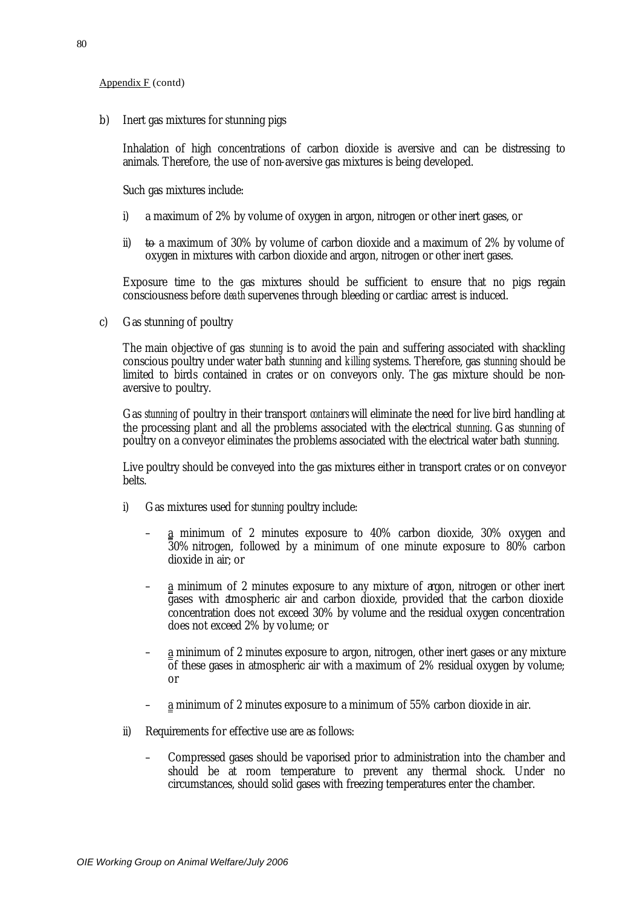b) Inert gas mixtures for stunning pigs

Inhalation of high concentrations of carbon dioxide is aversive and can be distressing to animals. Therefore, the use of non-aversive gas mixtures is being developed.

Such gas mixtures include:

- i) a maximum of 2% by volume of oxygen in argon, nitrogen or other inert gases, or
- ii) to a maximum of 30% by volume of carbon dioxide and a maximum of 2% by volume of oxygen in mixtures with carbon dioxide and argon, nitrogen or other inert gases.

Exposure time to the gas mixtures should be sufficient to ensure that no pigs regain consciousness before *death* supervenes through bleeding or cardiac arrest is induced.

c) Gas stunning of poultry

The main objective of gas *stunning* is to avoid the pain and suffering associated with shackling conscious poultry under water bath *stunning* and *killing* systems. Therefore, gas *stunning* should be limited to birds contained in crates or on conveyors only. The gas mixture should be nonaversive to poultry.

Gas *stunning* of poultry in their transport *containers* will eliminate the need for live bird handling at the processing plant and all the problems associated with the electrical *stunning*. Gas *stunning* of poultry on a conveyor eliminates the problems associated with the electrical water bath *stunning*.

Live poultry should be conveyed into the gas mixtures either in transport crates or on conveyor belts.

- i) Gas mixtures used for *stunning* poultry include:
	- a minimum of 2 minutes exposure to 40% carbon dioxide, 30% oxygen and 30% nitrogen, followed by a minimum of one minute exposure to 80% carbon dioxide in air; or
	- a minimum of 2 minutes exposure to any mixture of argon, nitrogen or other inert gases with atmospheric air and carbon dioxide, provided that the carbon dioxide concentration does not exceed 30% by volume and the residual oxygen concentration does not exceed 2% by volume; or
	- a minimum of 2 minutes exposure to argon, nitrogen, other inert gases or any mixture of these gases in atmospheric air with a maximum of 2% residual oxygen by volume; or
	- a minimum of 2 minutes exposure to a minimum of 55% carbon dioxide in air.
- ii) Requirements for effective use are as follows:
	- Compressed gases should be vaporised prior to administration into the chamber and should be at room temperature to prevent any thermal shock. Under no circumstances, should solid gases with freezing temperatures enter the chamber.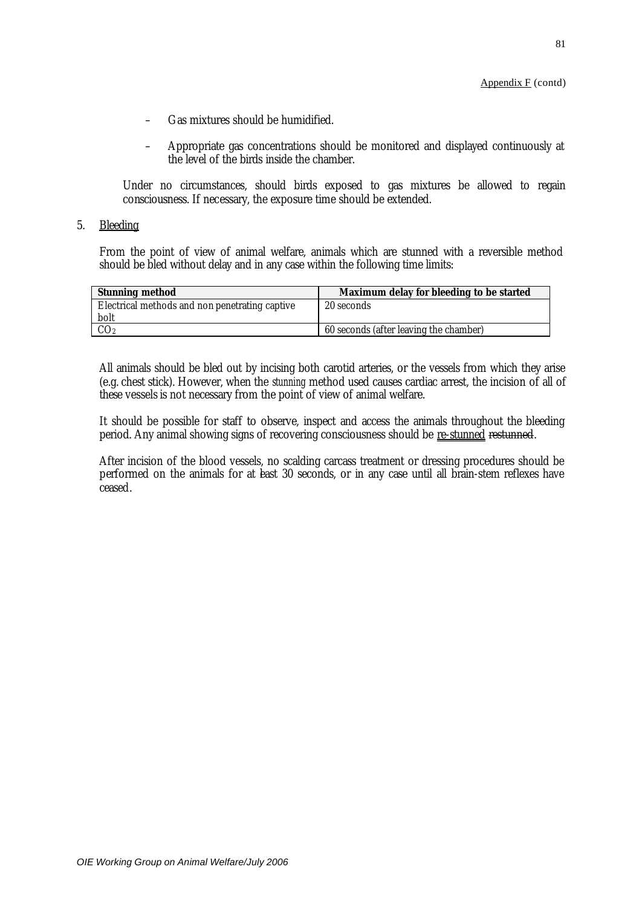81

- Gas mixtures should be humidified.
- Appropriate gas concentrations should be monitored and displayed continuously at the level of the birds inside the chamber.

Under no circumstances, should birds exposed to gas mixtures be allowed to regain consciousness. If necessary, the exposure time should be extended.

#### 5. Bleeding

From the point of view of animal welfare, animals which are stunned with a reversible method should be bled without delay and in any case within the following time limits:

| <b>Stunning method</b>                         | Maximum delay for bleeding to be started |
|------------------------------------------------|------------------------------------------|
| Electrical methods and non penetrating captive | 20 seconds                               |
| bolt                                           |                                          |
| CO <sub>2</sub>                                | 60 seconds (after leaving the chamber)   |

All animals should be bled out by incising both carotid arteries, or the vessels from which they arise (e.g. chest stick). However, when the *stunning* method used causes cardiac arrest, the incision of all of these vessels is not necessary from the point of view of animal welfare.

It should be possible for staff to observe, inspect and access the animals throughout the bleeding period. Any animal showing signs of recovering consciousness should be re-stunned restunned.

After incision of the blood vessels, no scalding carcass treatment or dressing procedures should be performed on the animals for at least 30 seconds, or in any case until all brain-stem reflexes have ceased.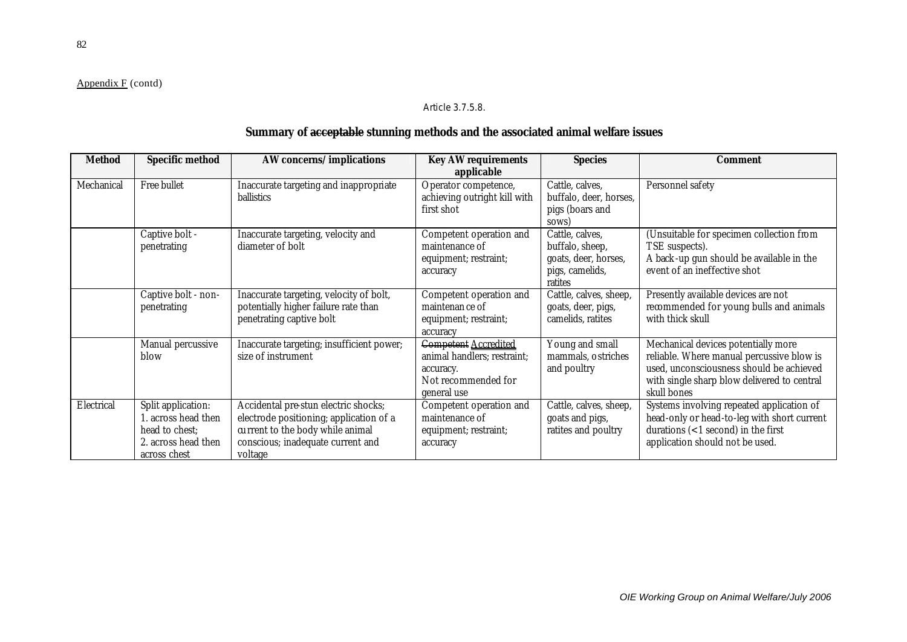### Article 3.7.5.8.

# **Summary of acceptable stunning methods and the associated animal welfare issues**

| <b>Method</b> | <b>Specific method</b>                                                                             | AW concerns/implications                                                                                                                                            | <b>Key AW requirements</b><br>applicable                                                                      | <b>Species</b>                                                                           | <b>Comment</b>                                                                                                                                                                             |
|---------------|----------------------------------------------------------------------------------------------------|---------------------------------------------------------------------------------------------------------------------------------------------------------------------|---------------------------------------------------------------------------------------------------------------|------------------------------------------------------------------------------------------|--------------------------------------------------------------------------------------------------------------------------------------------------------------------------------------------|
| Mechanical    | Free bullet                                                                                        | Inaccurate targeting and inappropriate<br>ballistics                                                                                                                | Operator competence,<br>achieving outright kill with<br>first shot                                            | Cattle, calves,<br>buffalo, deer, horses,<br>pigs (boars and<br>sows)                    | Personnel safety                                                                                                                                                                           |
|               | Captive bolt -<br>penetrating                                                                      | Inaccurate targeting, velocity and<br>diameter of bolt                                                                                                              | Competent operation and<br>maintenance of<br>equipment; restraint;<br>accuracy                                | Cattle, calves,<br>buffalo, sheep,<br>goats, deer, horses,<br>pigs, camelids,<br>ratites | (Unsuitable for specimen collection from<br>TSE suspects).<br>A back-up gun should be available in the<br>event of an ineffective shot                                                     |
|               | Captive bolt - non-<br>penetrating                                                                 | Inaccurate targeting, velocity of bolt,<br>potentially higher failure rate than<br>penetrating captive bolt                                                         | Competent operation and<br>maintenan ce of<br>equipment; restraint;<br>accuracy                               | Cattle, calves, sheep,<br>goats, deer, pigs,<br>camelids, ratites                        | Presently available devices are not<br>recommended for young bulls and animals<br>with thick skull                                                                                         |
|               | Manual percussive<br>blow                                                                          | Inaccurate targeting; insufficient power;<br>size of instrument                                                                                                     | <b>Competent Accredited</b><br>animal handlers; restraint;<br>accuracy.<br>Not recommended for<br>general use | Young and small<br>mammals, ostriches<br>and poultry                                     | Mechanical devices potentially more<br>reliable. Where manual percussive blow is<br>used, unconsciousness should be achieved<br>with single sharp blow delivered to central<br>skull bones |
| Electrical    | Split application:<br>1. across head then<br>head to chest;<br>2. across head then<br>across chest | Accidental pre-stun electric shocks;<br>electrode positioning; application of a<br>current to the body while animal<br>conscious; inadequate current and<br>voltage | Competent operation and<br>maintenance of<br>equipment; restraint;<br>accuracy                                | Cattle, calves, sheep,<br>goats and pigs,<br>ratites and poultry                         | Systems involving repeated application of<br>head-only or head-to-leg with short current<br>durations $(<1$ second) in the first<br>application should not be used.                        |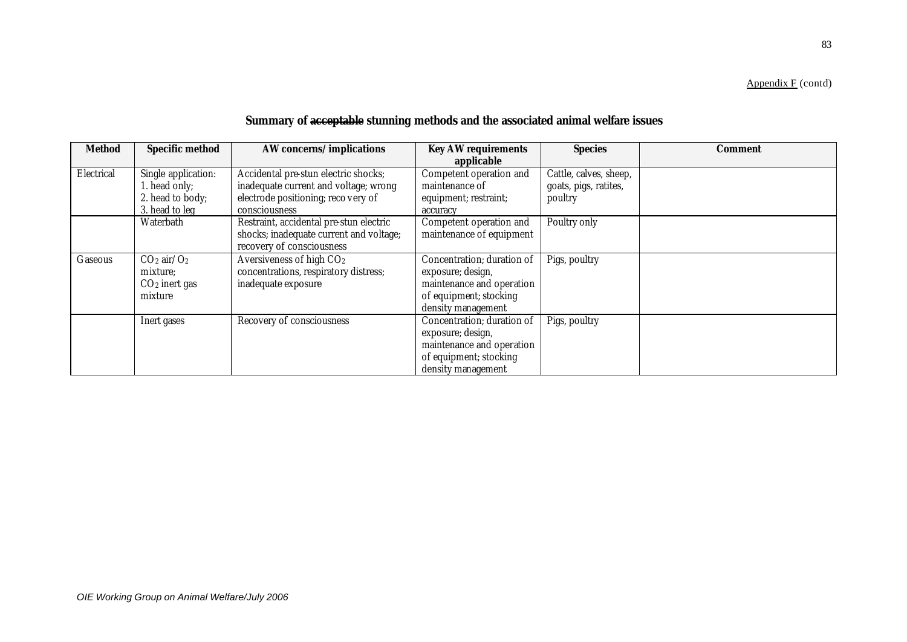# **Summary of acceptable stunning methods and the associated animal welfare issues**

| <b>Method</b> | <b>Specific method</b> | AW concerns/implications                | <b>Key AW requirements</b> | <b>Species</b>         | <b>Comment</b> |
|---------------|------------------------|-----------------------------------------|----------------------------|------------------------|----------------|
|               |                        |                                         | applicable                 |                        |                |
| Electrical    | Single application:    | Accidental pre-stun electric shocks;    | Competent operation and    | Cattle, calves, sheep, |                |
|               | 1. head only;          | inadequate current and voltage; wrong   | maintenance of             | goats, pigs, ratites,  |                |
|               | 2. head to body;       | electrode positioning; recovery of      | equipment; restraint;      | poultry                |                |
|               | 3. head to leg         | consciousness                           | accuracy                   |                        |                |
|               | Waterbath              | Restraint, accidental pre-stun electric | Competent operation and    | Poultry only           |                |
|               |                        | shocks; inadequate current and voltage; | maintenance of equipment   |                        |                |
|               |                        | recovery of consciousness               |                            |                        |                |
| Gaseous       | $CO2$ air/ $O2$        | Aversiveness of high CO <sub>2</sub>    | Concentration; duration of | Pigs, poultry          |                |
|               | mixture:               | concentrations, respiratory distress;   | exposure; design,          |                        |                |
|               | $CO2$ inert gas        | inadequate exposure                     | maintenance and operation  |                        |                |
|               | mixture                |                                         | of equipment; stocking     |                        |                |
|               |                        |                                         | density management         |                        |                |
|               | Inert gases            | Recovery of consciousness               | Concentration; duration of | Pigs, poultry          |                |
|               |                        |                                         | exposure; design,          |                        |                |
|               |                        |                                         | maintenance and operation  |                        |                |
|               |                        |                                         | of equipment; stocking     |                        |                |
|               |                        |                                         | density management         |                        |                |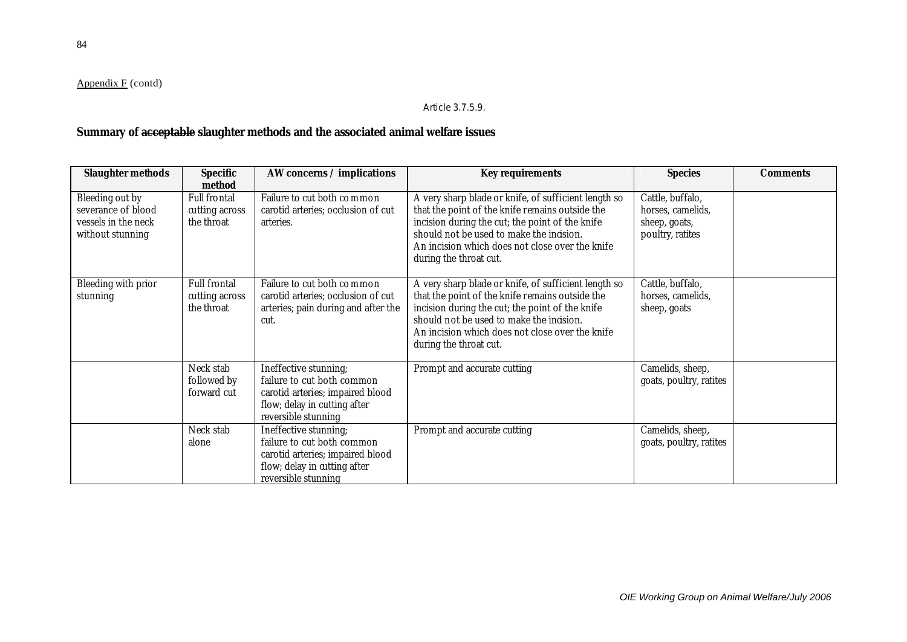### Article 3.7.5.9.

### **Summary of acceptable slaughter methods and the associated animal welfare issues**

| <b>Slaughter methods</b>                                                         | <b>Specific</b><br>method                    | AW concerns / implications                                                                                                                     | <b>Key requirements</b>                                                                                                                                                                                                                                                            | <b>Species</b>                                                             | <b>Comments</b> |
|----------------------------------------------------------------------------------|----------------------------------------------|------------------------------------------------------------------------------------------------------------------------------------------------|------------------------------------------------------------------------------------------------------------------------------------------------------------------------------------------------------------------------------------------------------------------------------------|----------------------------------------------------------------------------|-----------------|
| Bleeding out by<br>severance of blood<br>vessels in the neck<br>without stunning | Full frontal<br>cutting across<br>the throat | Failure to cut both common<br>carotid arteries; occlusion of cut<br>arteries.                                                                  | A very sharp blade or knife, of sufficient length so<br>that the point of the knife remains outside the<br>incision during the cut; the point of the knife<br>should not be used to make the indison.<br>An incision which does not close over the knife<br>during the throat cut. | Cattle, buffalo,<br>horses, camelids,<br>sheep, goats,<br>poultry, ratites |                 |
| Bleeding with prior<br>stunning                                                  | Full frontal<br>cutting across<br>the throat | Failure to cut both common<br>carotid arteries; occlusion of cut<br>arteries; pain during and after the<br>cut.                                | A very sharp blade or knife, of sufficient length so<br>that the point of the knife remains outside the<br>incision during the cut; the point of the knife<br>should not be used to make the indsion.<br>An incision which does not close over the knife<br>during the throat cut. | Cattle, buffalo,<br>horses, camelids,<br>sheep, goats                      |                 |
|                                                                                  | Neck stab<br>followed by<br>forward cut      | Ineffective stunning;<br>failure to cut both common<br>carotid arteries; impaired blood<br>flow; delay in cutting after<br>reversible stunning | Prompt and accurate cutting                                                                                                                                                                                                                                                        | Camelids, sheep,<br>goats, poultry, ratites                                |                 |
|                                                                                  | Neck stab<br>alone                           | Ineffective stunning;<br>failure to cut both common<br>carotid arteries; impaired blood<br>flow; delay in cutting after<br>reversible stunning | Prompt and accurate cutting                                                                                                                                                                                                                                                        | Camelids, sheep,<br>goats, poultry, ratites                                |                 |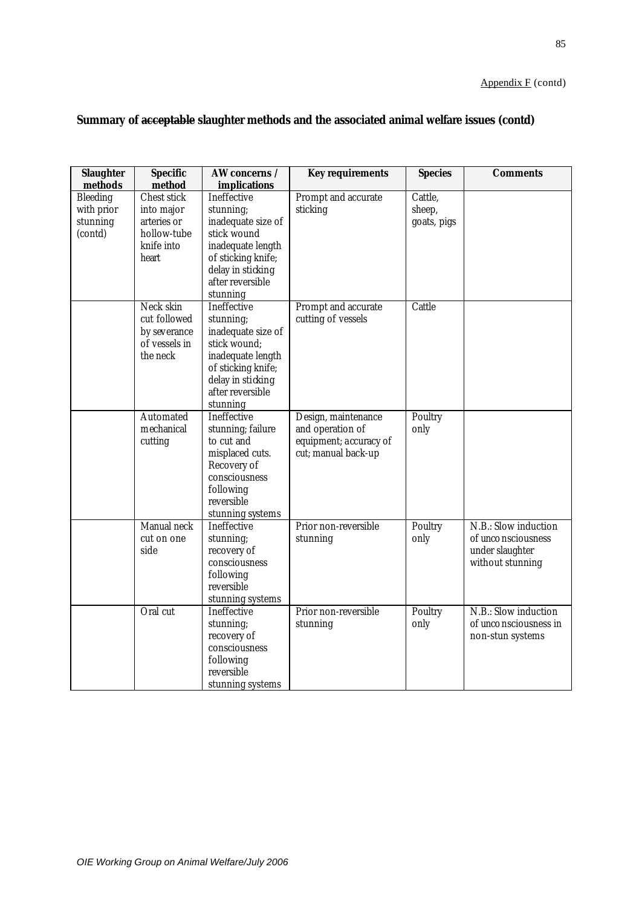# **Summary of acceptable slaughter methods and the associated animal welfare issues (contd)**

| <b>Slaughter</b>                              | <b>Specific</b>                                                                       | AW concerns /                                                                                                                                                  | <b>Key requirements</b>                                                                  | <b>Species</b>                   | <b>Comments</b>                                                                    |
|-----------------------------------------------|---------------------------------------------------------------------------------------|----------------------------------------------------------------------------------------------------------------------------------------------------------------|------------------------------------------------------------------------------------------|----------------------------------|------------------------------------------------------------------------------------|
| methods                                       | method                                                                                | implications                                                                                                                                                   |                                                                                          |                                  |                                                                                    |
| Bleeding<br>with prior<br>stunning<br>(contd) | <b>Chest stick</b><br>into major<br>arteries or<br>hollow-tube<br>knife into<br>heart | Ineffective<br>stunning;<br>inadequate size of<br>stick wound<br>inadequate length<br>of sticking knife;<br>delay in sticking<br>after reversible<br>stunning  | Prompt and accurate<br>sticking                                                          | Cattle,<br>sheep,<br>goats, pigs |                                                                                    |
|                                               | Neck skin<br>cut followed<br>by severance<br>of vessels in<br>the neck                | Ineffective<br>stunning;<br>inadequate size of<br>stick wound;<br>inadequate length<br>of sticking knife;<br>delay in sticking<br>after reversible<br>stunning | Prompt and accurate<br>cutting of vessels                                                | Cattle                           |                                                                                    |
|                                               | Automated<br>mechanical<br>cutting                                                    | Ineffective<br>stunning; failure<br>to cut and<br>misplaced cuts.<br>Recovery of<br>consciousness<br>following<br>reversible<br>stunning systems               | Design, maintenance<br>and operation of<br>equipment; accuracy of<br>cut; manual back-up | Poultry<br>only                  |                                                                                    |
|                                               | Manual neck<br>cut on one<br>side                                                     | Ineffective<br>stunning;<br>recovery of<br>consciousness<br>following<br>reversible<br>stunning systems                                                        | Prior non-reversible<br>stunning                                                         | Poultry<br>only                  | N.B.: Slow induction<br>of unco nsciousness<br>under slaughter<br>without stunning |
|                                               | Oral cut                                                                              | Ineffective<br>stunning;<br>recovery of<br>consciousness<br>following<br>reversible<br>stunning systems                                                        | Prior non-reversible<br>stunning                                                         | Poultry<br>only                  | N.B.: Slow induction<br>of unconsciousness in<br>non-stun systems                  |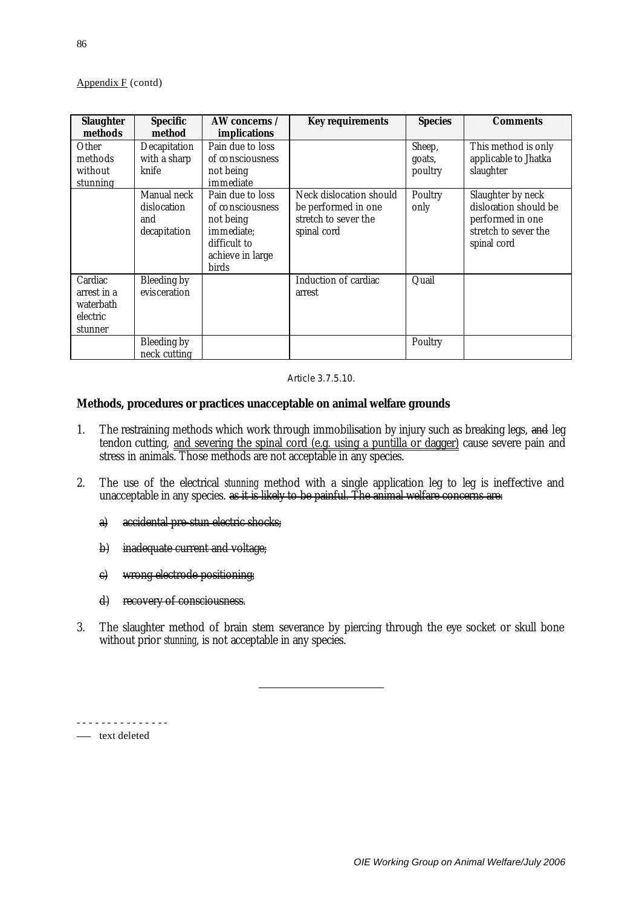| <b>Slaughter</b><br>methods                                | <b>Specific</b><br>method                         | AW concerns /<br>implications                                                                                       | <b>Key requirements</b>                                                               | <b>Species</b>              | <b>Comments</b>                                                                                       |
|------------------------------------------------------------|---------------------------------------------------|---------------------------------------------------------------------------------------------------------------------|---------------------------------------------------------------------------------------|-----------------------------|-------------------------------------------------------------------------------------------------------|
| Other<br>methods<br>without<br>stunning                    | Decapitation<br>with a sharp<br>knife             | Pain due to loss<br>of consciousness<br>not being<br>immediate                                                      |                                                                                       | Sheep,<br>goats,<br>poultry | This method is only<br>applicable to Jhatka<br>slaughter                                              |
|                                                            | Manual neck<br>dislocation<br>and<br>decapitation | Pain due to loss<br>of consciousness<br>not being<br>immediate:<br>difficult to<br>achieve in large<br><b>birds</b> | Neck dislocation should<br>be performed in one<br>stretch to sever the<br>spinal cord | Poultry<br>only             | Slaughter by neck<br>dislocation should be<br>performed in one<br>stretch to sever the<br>spinal cord |
| Cardiac<br>arrest in a<br>waterbath<br>electric<br>stunner | Bleeding by<br>evis ceration                      |                                                                                                                     | Induction of cardiac<br>arrest                                                        | Quail                       |                                                                                                       |
|                                                            | Bleeding by<br>neck cutting                       |                                                                                                                     |                                                                                       | Poultry                     |                                                                                                       |

Article 3.7.5.10.

### **Methods, procedures or practices unacceptable on animal welfare grounds**

- 1. The restraining methods which work through immobilisation by injury such as breaking legs, and leg tendon cutting, and severing the spinal cord (e.g. using a puntilla or dagger) cause severe pain and stress in animals. Those methods are not acceptable in any species.
- 2. The use of the electrical *stunning* method with a single application leg to leg is ineffective and unacceptable in any species. as it is likely to be painful. The animal welfare concerns are:
	- a) accidental pre-stun electric shocks;
	- b) inadequate current and voltage;
	- c) wrong electrode positioning;
	- d) recovery of consciousness.
- 3. The slaughter method of brain stem severance by piercing through the eye socket or skull bone without prior *stunning*, is not acceptable in any species.

- - - - - - - - - - - - - - - - text deleted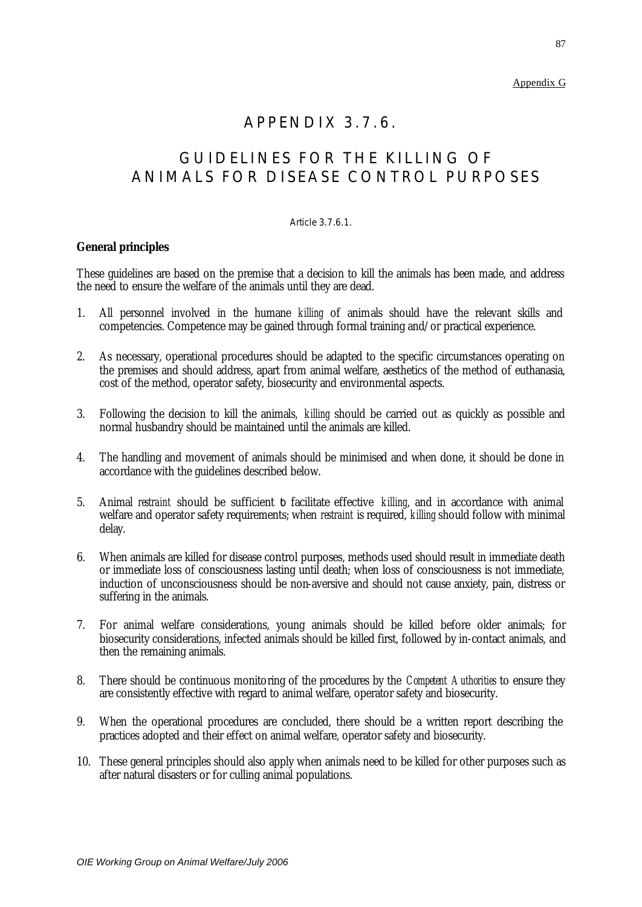Appendix G

87

# APPENDIX 3.7.6.

# GUIDELINES FOR THE KILLING OF ANIMALS FOR DISEASE CONTROL PURPOSES

#### Article 3.7.6.1.

#### **General principles**

These guidelines are based on the premise that a decision to kill the animals has been made, and address the need to ensure the welfare of the animals until they are dead.

- 1. All personnel involved in the humane *killing* of animals should have the relevant skills and competencies. Competence may be gained through formal training and/or practical experience.
- 2. As necessary, operational procedures should be adapted to the specific circumstances operating on the premises and should address, apart from animal welfare, aesthetics of the method of euthanasia, cost of the method, operator safety, biosecurity and environmental aspects.
- 3. Following the decision to kill the animals, *killing* should be carried out as quickly as possible and normal husbandry should be maintained until the animals are killed.
- 4. The handling and movement of animals should be minimised and when done, it should be done in accordance with the guidelines described below.
- 5. Animal *restraint* should be sufficient to facilitate effective *killing*, and in accordance with animal welfare and operator safety requirements; when *restraint* is required, *killing* should follow with minimal delay.
- 6. When animals are killed for disease control purposes, methods used should result in immediate death or immediate loss of consciousness lasting until death; when loss of consciousness is not immediate, induction of unconsciousness should be non-aversive and should not cause anxiety, pain, distress or suffering in the animals.
- 7. For animal welfare considerations, young animals should be killed before older animals; for biosecurity considerations, infected animals should be killed first, followed by in-contact animals, and then the remaining animals.
- 8. There should be continuous monitoring of the procedures by the *Competent Authorities* to ensure they are consistently effective with regard to animal welfare, operator safety and biosecurity.
- 9. When the operational procedures are concluded, there should be a written report describing the practices adopted and their effect on animal welfare, operator safety and biosecurity.
- 10. These general principles should also apply when animals need to be killed for other purposes such as after natural disasters or for culling animal populations.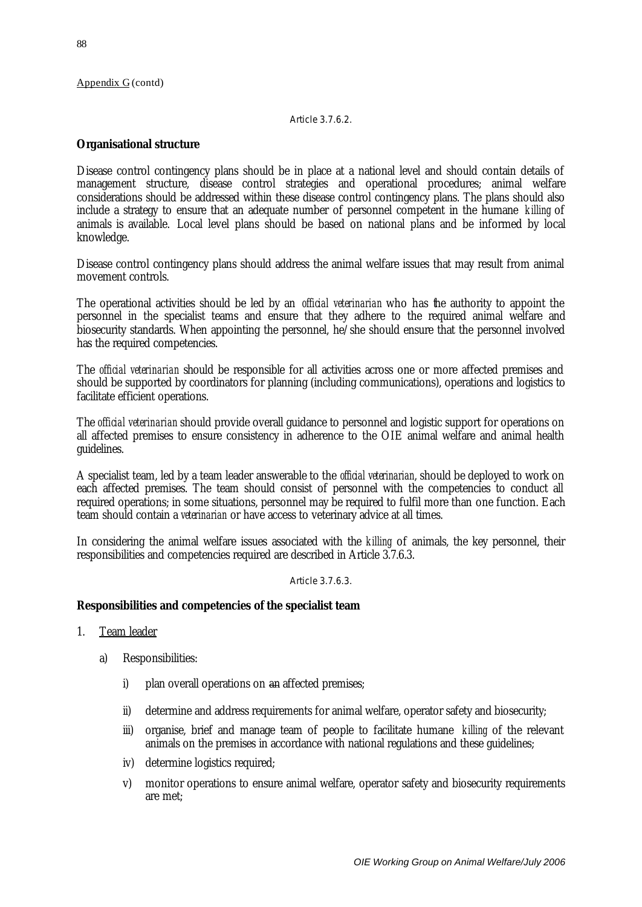#### Article 3.7.6.2.

#### **Organisational structure**

Disease control contingency plans should be in place at a national level and should contain details of management structure, disease control strategies and operational procedures; animal welfare considerations should be addressed within these disease control contingency plans. The plans should also include a strategy to ensure that an adequate number of personnel competent in the humane *killing* of animals is available. Local level plans should be based on national plans and be informed by local knowledge.

Disease control contingency plans should address the animal welfare issues that may result from animal movement controls.

The operational activities should be led by an *official veterinarian* who has the authority to appoint the personnel in the specialist teams and ensure that they adhere to the required animal welfare and biosecurity standards. When appointing the personnel, he/she should ensure that the personnel involved has the required competencies.

The *official veterinarian* should be responsible for all activities across one or more affected premises and should be supported by coordinators for planning (including communications), operations and logistics to facilitate efficient operations.

The *official veterinarian* should provide overall guidance to personnel and logistic support for operations on all affected premises to ensure consistency in adherence to the OIE animal welfare and animal health guidelines.

A specialist team, led by a team leader answerable to the *official veterinarian*, should be deployed to work on each affected premises. The team should consist of personnel with the competencies to conduct all required operations; in some situations, personnel may be required to fulfil more than one function. Each team should contain a *veterinarian* or have access to veterinary advice at all times.

In considering the animal welfare issues associated with the *killing* of animals, the key personnel, their responsibilities and competencies required are described in Article 3.7.6.3.

Article 3.7.6.3.

#### **Responsibilities and competencies of the specialist team**

- 1. Team leader
	- a) Responsibilities:
		- i) plan overall operations on an affected premises;
		- ii) determine and address requirements for animal welfare, operator safety and biosecurity;
		- iii) organise, brief and manage team of people to facilitate humane *killing* of the relevant animals on the premises in accordance with national regulations and these guidelines;
		- iv) determine logistics required;
		- v) monitor operations to ensure animal welfare, operator safety and biosecurity requirements are met;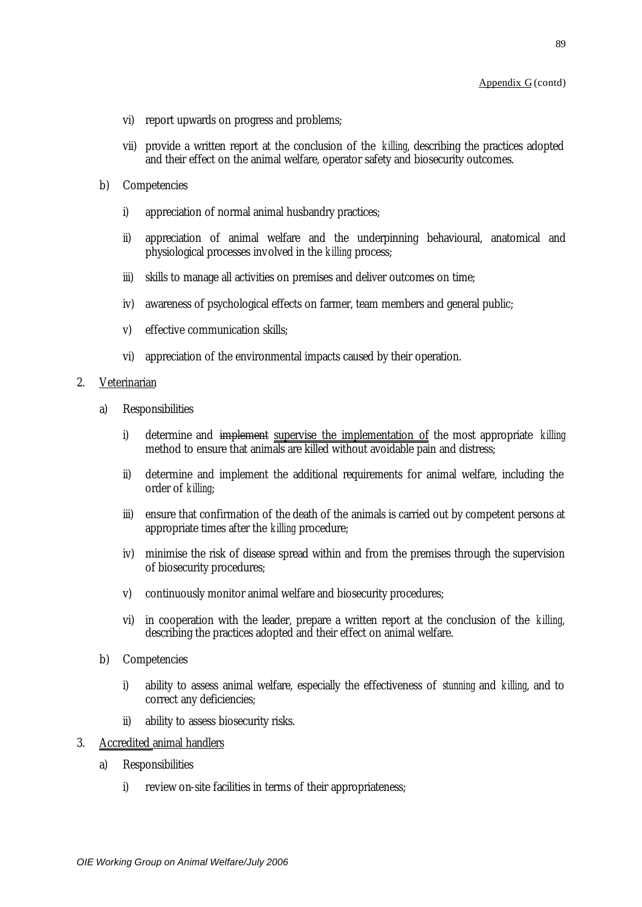- vi) report upwards on progress and problems;
- vii) provide a written report at the conclusion of the *killing*, describing the practices adopted and their effect on the animal welfare, operator safety and biosecurity outcomes.
- b) Competencies
	- i) appreciation of normal animal husbandry practices;
	- ii) appreciation of animal welfare and the underpinning behavioural, anatomical and physiological processes involved in the *killing* process;
	- iii) skills to manage all activities on premises and deliver outcomes on time;
	- iv) awareness of psychological effects on farmer, team members and general public;
	- v) effective communication skills;
	- vi) appreciation of the environmental impacts caused by their operation.

#### 2. Veterinarian

- a) Responsibilities
	- i) determine and implement supervise the implementation of the most appropriate *killing* method to ensure that animals are killed without avoidable pain and distress;
	- ii) determine and implement the additional requirements for animal welfare, including the order of *killing*;
	- iii) ensure that confirmation of the death of the animals is carried out by competent persons at appropriate times after the *killing* procedure;
	- iv) minimise the risk of disease spread within and from the premises through the supervision of biosecurity procedures;
	- v) continuously monitor animal welfare and biosecurity procedures;
	- vi) in cooperation with the leader, prepare a written report at the conclusion of the *killing*, describing the practices adopted and their effect on animal welfare.
- b) Competencies
	- i) ability to assess animal welfare, especially the effectiveness of *stunning* and *killing*, and to correct any deficiencies;
	- ii) ability to assess biosecurity risks.

#### 3. Accredited animal handlers

- a) Responsibilities
	- i) review on-site facilities in terms of their appropriateness;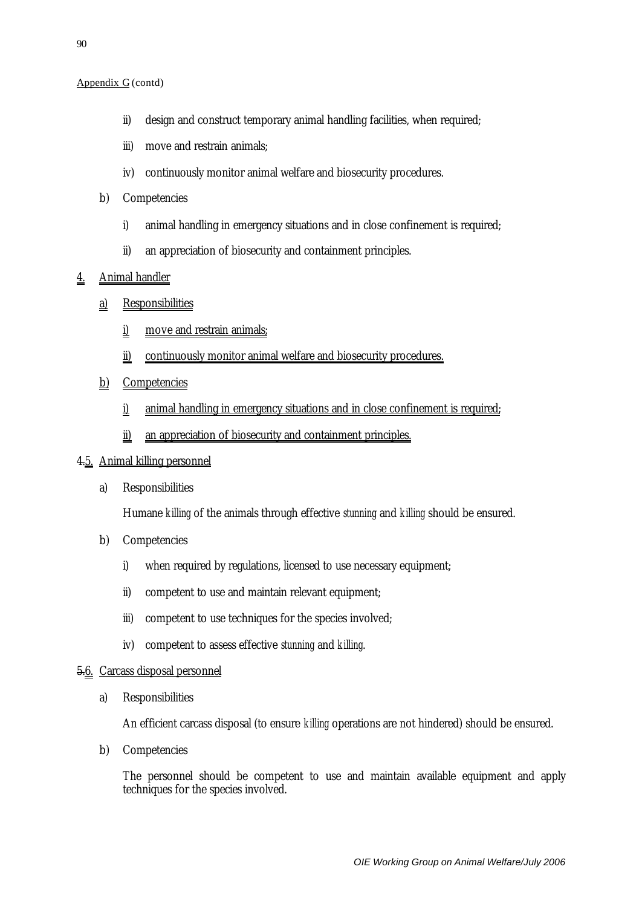- ii) design and construct temporary animal handling facilities, when required;
- iii) move and restrain animals;
- iv) continuously monitor animal welfare and biosecurity procedures.
- b) Competencies
	- i) animal handling in emergency situations and in close confinement is required;
	- ii) an appreciation of biosecurity and containment principles.

### 4. Animal handler

- a) Responsibilities
	- i) move and restrain animals;
	- ii) continuously monitor animal welfare and biosecurity procedures.
- b) Competencies
	- i) animal handling in emergency situations and in close confinement is required;
	- ii) an appreciation of biosecurity and containment principles.

### 4.5. Animal killing personnel

a) Responsibilities

Humane *killing* of the animals through effective *stunning* and *killing* should be ensured.

- b) Competencies
	- i) when required by regulations, licensed to use necessary equipment;
	- ii) competent to use and maintain relevant equipment;
	- iii) competent to use techniques for the species involved;
	- iv) competent to assess effective *stunning* and *killing*.

### 5.6. Carcass disposal personnel

a) Responsibilities

An efficient carcass disposal (to ensure *killing* operations are not hindered) should be ensured.

b) Competencies

The personnel should be competent to use and maintain available equipment and apply techniques for the species involved.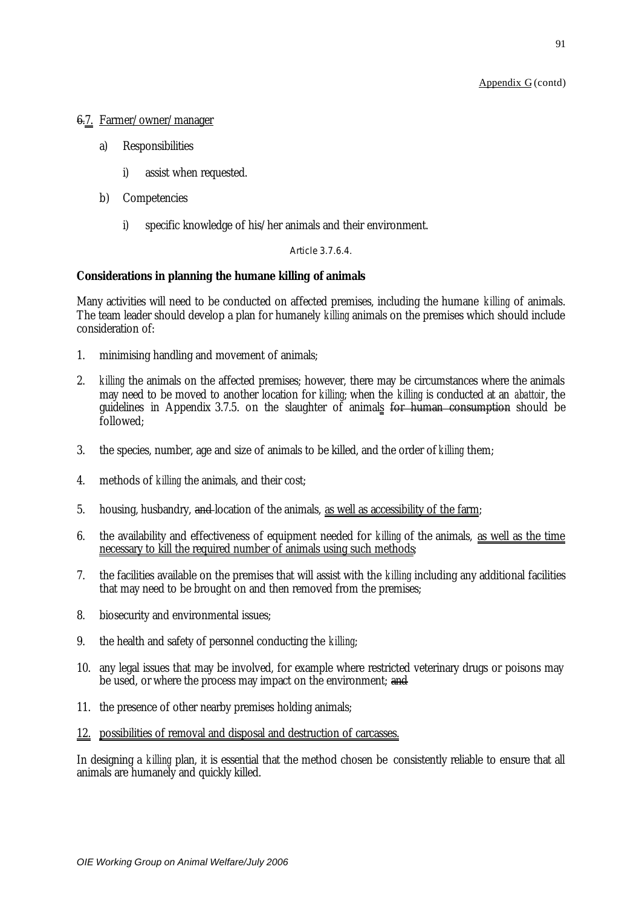### 6.7. Farmer/owner/manager

- a) Responsibilities
	- i) assist when requested.
- b) Competencies
	- i) specific knowledge of his/her animals and their environment.

Article 3.7.6.4.

### **Considerations in planning the humane killing of animals**

Many activities will need to be conducted on affected premises, including the humane *killing* of animals. The team leader should develop a plan for humanely *killing* animals on the premises which should include consideration of:

- 1. minimising handling and movement of animals;
- 2. *killing* the animals on the affected premises; however, there may be circumstances where the animals may need to be moved to another location for *killing*; when the *killing* is conducted at an *abattoir*, the guidelines in Appendix 3.7.5. on the slaughter of animals  $\overline{f}$  for human consumption should be followed;
- 3. the species, number, age and size of animals to be killed, and the order of *killing* them;
- 4. methods of *killing* the animals, and their cost;
- 5. housing, husbandry, and location of the animals, as well as accessibility of the farm;
- 6. the availability and effectiveness of equipment needed for *killing* of the animals, as well as the time necessary to kill the required number of animals using such methods;
- 7. the facilities available on the premises that will assist with the *killing* including any additional facilities that may need to be brought on and then removed from the premises;
- 8. biosecurity and environmental issues;
- 9. the health and safety of personnel conducting the *killing*;
- 10. any legal issues that may be involved, for example where restricted veterinary drugs or poisons may be used, or where the process may impact on the environment; and
- 11. the presence of other nearby premises holding animals;
- 12. possibilities of removal and disposal and destruction of carcasses.

In designing a *killing* plan, it is essential that the method chosen be consistently reliable to ensure that all animals are humanely and quickly killed.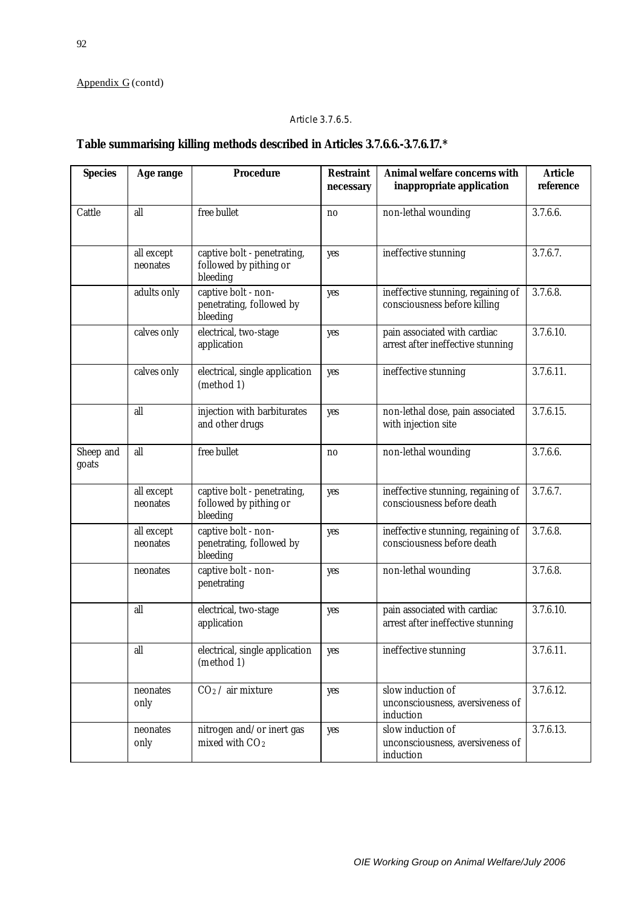### Article 3.7.6.5.

# **Table summarising killing methods described in Articles 3.7.6.6.-3.7.6.17.\***

| <b>Species</b>     | Age range              | <b>Procedure</b>                                                  | <b>Restraint</b> | Animal welfare concerns with                                       | <b>Article</b> |
|--------------------|------------------------|-------------------------------------------------------------------|------------------|--------------------------------------------------------------------|----------------|
|                    |                        |                                                                   | necessary        | inappropriate application                                          | reference      |
| Cattle             | all                    | free bullet                                                       | no               | non-lethal wounding                                                | 3.7.6.6.       |
|                    | all except<br>neonates | captive bolt - penetrating,<br>followed by pithing or<br>bleeding | yes              | ineffective stunning                                               | 3.7.6.7.       |
|                    | adults only            | captive bolt - non-<br>penetrating, followed by<br>bleeding       | yes              | ineffective stunning, regaining of<br>consciousness before killing | 3.7.6.8.       |
|                    | calves only            | electrical, two-stage<br>application                              | yes              | pain associated with cardiac<br>arrest after ineffective stunning  | 3.7.6.10.      |
|                    | calves only            | electrical, single application<br>(method 1)                      | yes              | ineffective stunning                                               | 3.7.6.11.      |
|                    | all                    | injection with barbiturates<br>and other drugs                    | yes              | non-lethal dose, pain associated<br>with injection site            | 3.7.6.15.      |
| Sheep and<br>goats | all                    | free bullet                                                       | no               | non-lethal wounding                                                | 3.7.6.6.       |
|                    | all except<br>neonates | captive bolt - penetrating,<br>followed by pithing or<br>bleeding | yes              | ineffective stunning, regaining of<br>consciousness before death   | 3.7.6.7.       |
|                    | all except<br>neonates | captive bolt - non-<br>penetrating, followed by<br>bleeding       | yes              | ineffective stunning, regaining of<br>consciousness before death   | 3.7.6.8.       |
|                    | neonates               | captive bolt - non-<br>penetrating                                | yes              | non-lethal wounding                                                | 3.7.6.8.       |
|                    | all                    | electrical, two-stage<br>application                              | yes              | pain associated with cardiac<br>arrest after ineffective stunning  | 3.7.6.10.      |
|                    | all                    | electrical, single application<br>(method 1)                      | yes              | ineffective stunning                                               | 3.7.6.11.      |
|                    | neonates<br>only       | $CO2$ / air mixture                                               | yes              | slow induction of<br>unconsciousness, aversiveness of<br>induction | 3.7.6.12.      |
|                    | neonates<br>only       | nitrogen and/or inert gas<br>mixed with $CO2$                     | yes              | slow induction of<br>unconsciousness, aversiveness of<br>induction | 3.7.6.13.      |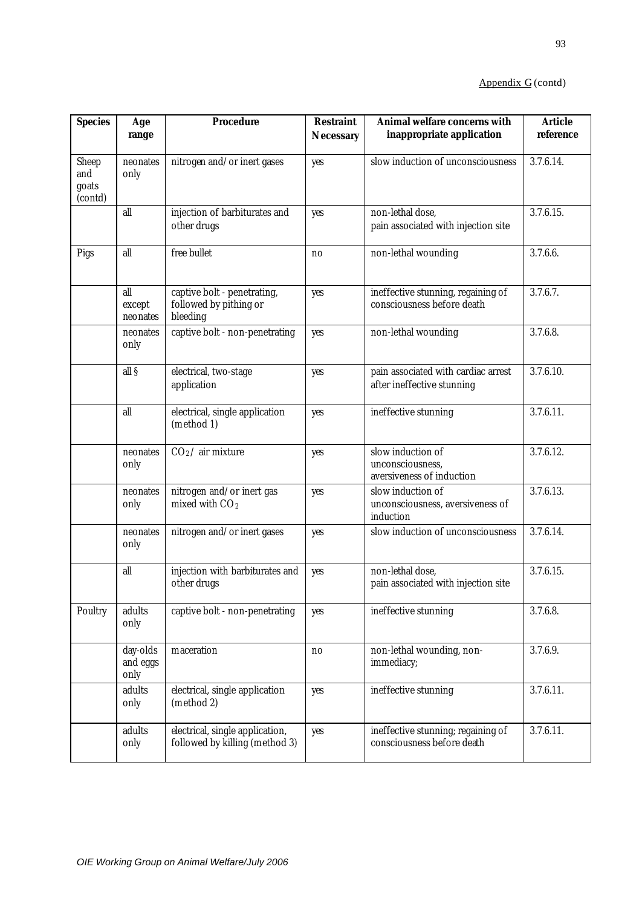| <b>Species</b>                                | Age<br>range                 | <b>Procedure</b>                                                  | <b>Restraint</b><br><b>Necessary</b> | Animal welfare concerns with<br>inappropriate application          | <b>Article</b><br>reference |
|-----------------------------------------------|------------------------------|-------------------------------------------------------------------|--------------------------------------|--------------------------------------------------------------------|-----------------------------|
| Sheep<br>and<br>goats<br>$\overline{(contd)}$ | neonates<br>only             | nitrogen and/or inert gases                                       | yes                                  | slow induction of unconsciousness                                  | 3.7.6.14.                   |
|                                               | all                          | injection of barbiturates and<br>other drugs                      | yes                                  | non-lethal dose,<br>pain associated with injection site            | 3.7.6.15.                   |
| Pigs                                          | all                          | free bullet                                                       | no                                   | non-lethal wounding                                                | 3.7.6.6.                    |
|                                               | all<br>except<br>neonates    | captive bolt - penetrating,<br>followed by pithing or<br>bleeding | yes                                  | ineffective stunning, regaining of<br>consciousness before death   | 3.7.6.7.                    |
|                                               | neonates<br>only             | captive bolt - non-penetrating                                    | yes                                  | non-lethal wounding                                                | 3.7.6.8.                    |
|                                               | all §                        | electrical, two-stage<br>application                              | yes                                  | pain associated with cardiac arrest<br>after ineffective stunning  | 3.7.6.10.                   |
|                                               | all                          | electrical, single application<br>(method 1)                      | yes                                  | ineffective stunning                                               | 3.7.6.11.                   |
|                                               | neonates<br>only             | $CO2$ / air mixture                                               | yes                                  | slow induction of<br>unconsciousness,<br>aversiveness of induction | 3.7.6.12.                   |
|                                               | neonates<br>only             | nitrogen and/or inert gas<br>mixed with $CO2$                     | yes                                  | slow induction of<br>unconsciousness, aversiveness of<br>induction | 3.7.6.13.                   |
|                                               | neonates<br>only             | nitrogen and/or inert gases                                       | yes                                  | slow induction of unconsciousness                                  | 3.7.6.14.                   |
|                                               | all                          | injection with barbiturates and<br>other drugs                    | yes                                  | non-lethal dose,<br>pain associated with injection site            | 3.7.6.15.                   |
| Poultry                                       | adults<br>only               | captive bolt - non-penetrating                                    | yes                                  | ineffective stunning                                               | 3.7.6.8.                    |
|                                               | day-olds<br>and eggs<br>only | maceration                                                        | no                                   | non-lethal wounding, non-<br>immediacy;                            | 3.7.6.9.                    |
|                                               | adults<br>only               | electrical, single application<br>(method 2)                      | yes                                  | ineffective stunning                                               | 3.7.6.11.                   |
|                                               | adults<br>only               | electrical, single application,<br>followed by killing (method 3) | yes                                  | ineffective stunning; regaining of<br>consciousness before death   | 3.7.6.11.                   |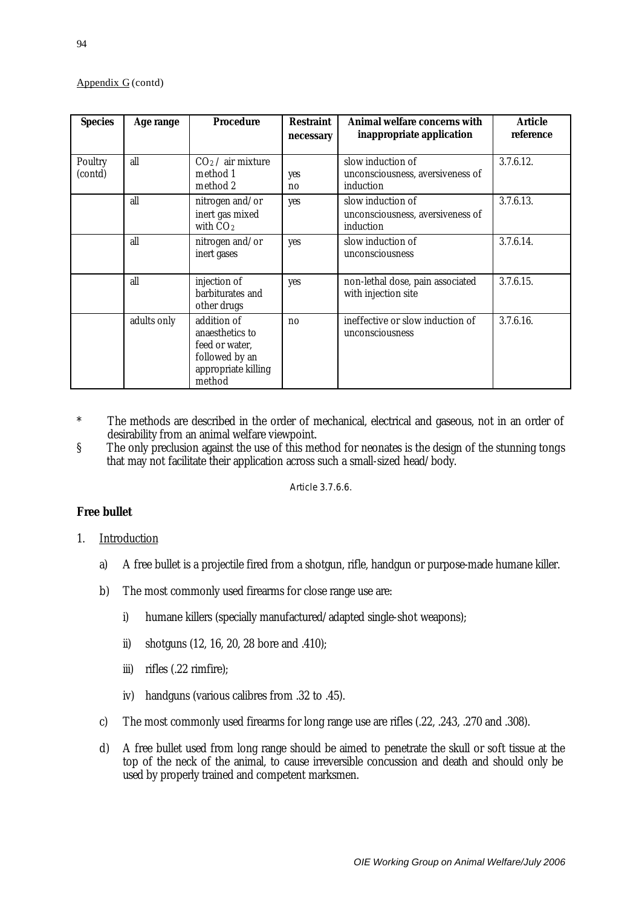| <b>Species</b>     | Age range   | <b>Procedure</b>                                                                                    | <b>Restraint</b><br>necessary | Animal welfare concerns with<br>inappropriate application          | <b>Article</b><br>reference |
|--------------------|-------------|-----------------------------------------------------------------------------------------------------|-------------------------------|--------------------------------------------------------------------|-----------------------------|
| Poultry<br>(contd) | all         | $CO2$ / air mixture<br>method 1<br>method 2                                                         | yes<br>no                     | slow induction of<br>unconsciousness, aversiveness of<br>induction | 3.7.6.12.                   |
|                    | all         | nitrogen and/or<br>inert gas mixed<br>with $CO2$                                                    | yes                           | slow induction of<br>unconsciousness, aversiveness of<br>induction | 3.7.6.13.                   |
|                    | all         | nitrogen and/or<br>inert gases                                                                      | yes                           | slow induction of<br>unconsciousness                               | 3.7.6.14.                   |
|                    | all         | injection of<br>barbiturates and<br>other drugs                                                     | yes                           | non-lethal dose, pain associated<br>with injection site            | 3.7.6.15.                   |
|                    | adults only | addition of<br>anaesthetics to<br>feed or water,<br>followed by an<br>appropriate killing<br>method | no                            | ineffective or slow induction of<br>unconsciousness                | 3.7.6.16.                   |

- \* The methods are described in the order of mechanical, electrical and gaseous, not in an order of desirability from an animal welfare viewpoint.
- § The only preclusion against the use of this method for neonates is the design of the stunning tongs that may not facilitate their application across such a small-sized head/body.

Article 3.7.6.6.

### **Free bullet**

### 1. Introduction

- a) A free bullet is a projectile fired from a shotgun, rifle, handgun or purpose-made humane killer.
- b) The most commonly used firearms for close range use are:
	- i) humane killers (specially manufactured/adapted single-shot weapons);
	- ii) shotguns (12, 16, 20, 28 bore and .410);
	- iii) rifles (.22 rimfire);
	- iv) handguns (various calibres from .32 to .45).
- c) The most commonly used firearms for long range use are rifles (.22, .243, .270 and .308).
- d) A free bullet used from long range should be aimed to penetrate the skull or soft tissue at the top of the neck of the animal, to cause irreversible concussion and death and should only be used by properly trained and competent marksmen.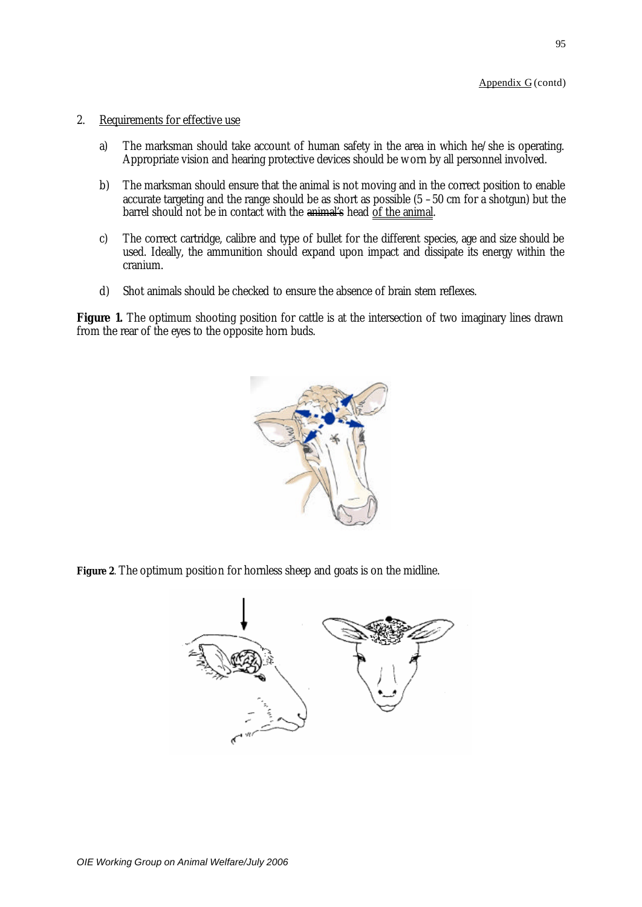95

### 2. Requirements for effective use

- a) The marksman should take account of human safety in the area in which he/she is operating. Appropriate vision and hearing protective devices should be worn by all personnel involved.
- b) The marksman should ensure that the animal is not moving and in the correct position to enable accurate targeting and the range should be as short as possible  $(5 - 50$  cm for a shotgun) but the barrel should not be in contact with the animal's head of the animal.
- c) The correct cartridge, calibre and type of bullet for the different species, age and size should be used. Ideally, the ammunition should expand upon impact and dissipate its energy within the cranium.
- d) Shot animals should be checked to ensure the absence of brain stem reflexes.

**Figure 1.** The optimum shooting position for cattle is at the intersection of two imaginary lines drawn from the rear of the eyes to the opposite horn buds.



**Figure 2**. The optimum position for hornless sheep and goats is on the midline.

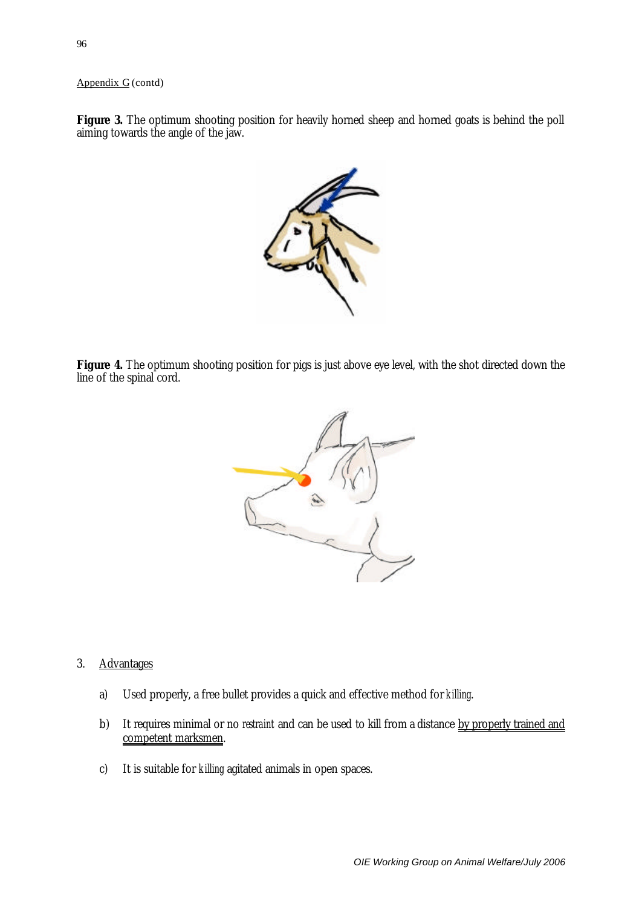Figure 3. The optimum shooting position for heavily horned sheep and horned goats is behind the poll aiming towards the angle of the jaw.



Figure 4. The optimum shooting position for pigs is just above eye level, with the shot directed down the line of the spinal cord.



### 3. Advantages

- a) Used properly, a free bullet provides a quick and effective method for *killing*.
- b) It requires minimal or no *restraint* and can be used to kill from a distance by properly trained and competent marksmen.
- c) It is suitable for *killing* agitated animals in open spaces.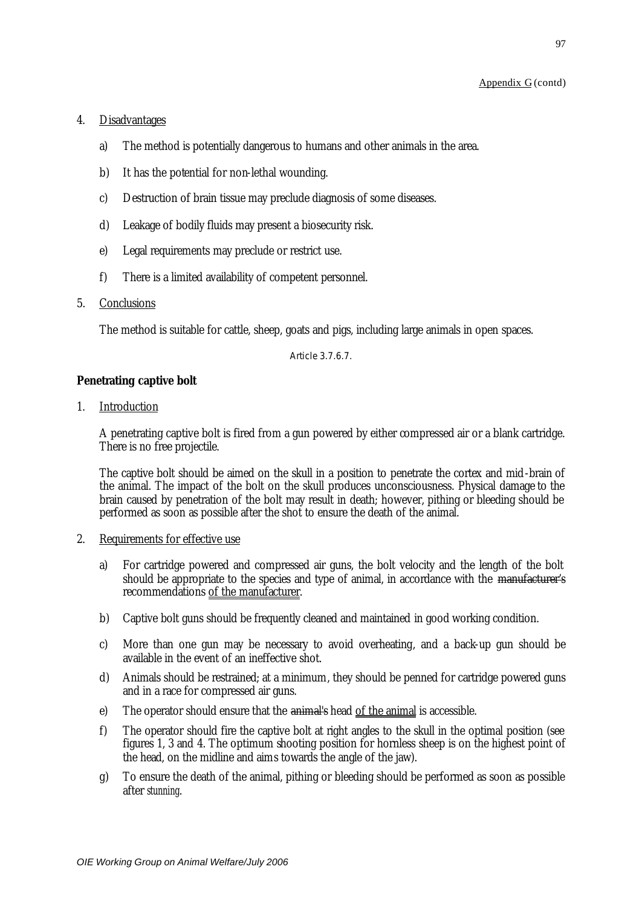### 4. Disadvantages

- a) The method is potentially dangerous to humans and other animals in the area.
- b) It has the potential for non-lethal wounding.
- c) Destruction of brain tissue may preclude diagnosis of some diseases.
- d) Leakage of bodily fluids may present a biosecurity risk.
- e) Legal requirements may preclude or restrict use.
- f) There is a limited availability of competent personnel.

### 5. Conclusions

The method is suitable for cattle, sheep, goats and pigs, including large animals in open spaces.

Article 3.7.6.7.

### **Penetrating captive bolt**

### 1. Introduction

A penetrating captive bolt is fired from a gun powered by either compressed air or a blank cartridge. There is no free projectile.

The captive bolt should be aimed on the skull in a position to penetrate the cortex and mid-brain of the animal. The impact of the bolt on the skull produces unconsciousness. Physical damage to the brain caused by penetration of the bolt may result in death; however, pithing or bleeding should be performed as soon as possible after the shot to ensure the death of the animal.

### 2. Requirements for effective use

- a) For cartridge powered and compressed air guns, the bolt velocity and the length of the bolt should be appropriate to the species and type of animal, in accordance with the manufacturer's recommendations of the manufacturer.
- b) Captive bolt guns should be frequently cleaned and maintained in good working condition.
- c) More than one gun may be necessary to avoid overheating, and a back-up gun should be available in the event of an ineffective shot.
- d) Animals should be restrained; at a minimum, they should be penned for cartridge powered guns and in a race for compressed air guns.
- e) The operator should ensure that the animal's head of the animal is accessible.
- f) The operator should fire the captive bolt at right angles to the skull in the optimal position (see figures 1, 3 and 4. The optimum shooting position for hornless sheep is on the highest point of the head, on the midline and aims towards the angle of the jaw).
- g) To ensure the death of the animal, pithing or bleeding should be performed as soon as possible after *stunning*.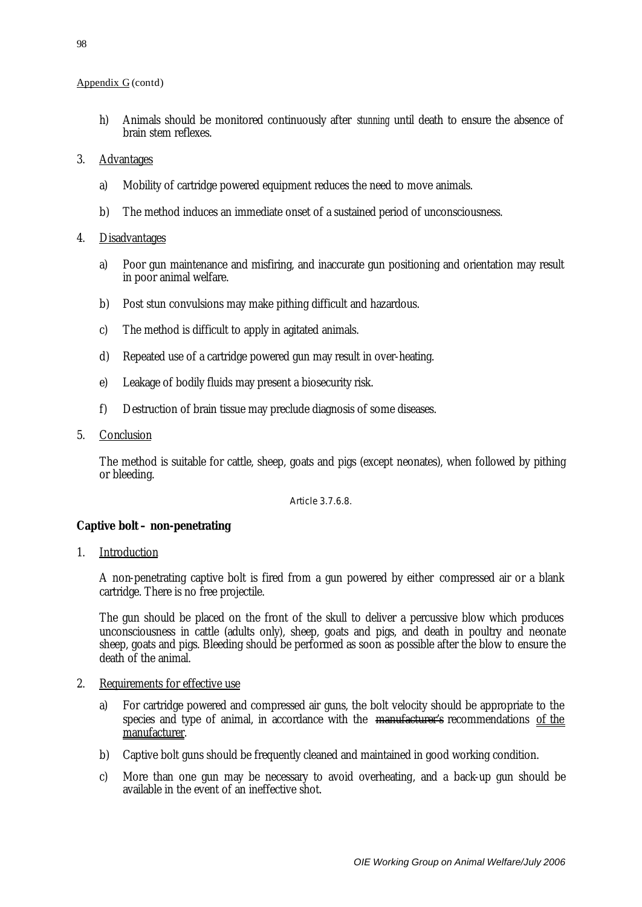h) Animals should be monitored continuously after *stunning* until death to ensure the absence of brain stem reflexes.

### 3. Advantages

- a) Mobility of cartridge powered equipment reduces the need to move animals.
- b) The method induces an immediate onset of a sustained period of unconsciousness.

### 4. Disadvantages

- a) Poor gun maintenance and misfiring, and inaccurate gun positioning and orientation may result in poor animal welfare.
- b) Post stun convulsions may make pithing difficult and hazardous.
- c) The method is difficult to apply in agitated animals.
- d) Repeated use of a cartridge powered gun may result in over-heating.
- e) Leakage of bodily fluids may present a biosecurity risk.
- f) Destruction of brain tissue may preclude diagnosis of some diseases.

#### 5. Conclusion

The method is suitable for cattle, sheep, goats and pigs (except neonates), when followed by pithing or bleeding.

Article 3.7.6.8.

### **Captive bolt – non-penetrating**

1. Introduction

A non-penetrating captive bolt is fired from a gun powered by either compressed air or a blank cartridge. There is no free projectile.

The gun should be placed on the front of the skull to deliver a percussive blow which produces unconsciousness in cattle (adults only), sheep, goats and pigs, and death in poultry and neonate sheep, goats and pigs. Bleeding should be performed as soon as possible after the blow to ensure the death of the animal.

### 2. Requirements for effective use

- a) For cartridge powered and compressed air guns, the bolt velocity should be appropriate to the species and type of animal, in accordance with the manufacturer's recommendations of the manufacturer.
- b) Captive bolt guns should be frequently cleaned and maintained in good working condition.
- c) More than one gun may be necessary to avoid overheating, and a back-up gun should be available in the event of an ineffective shot.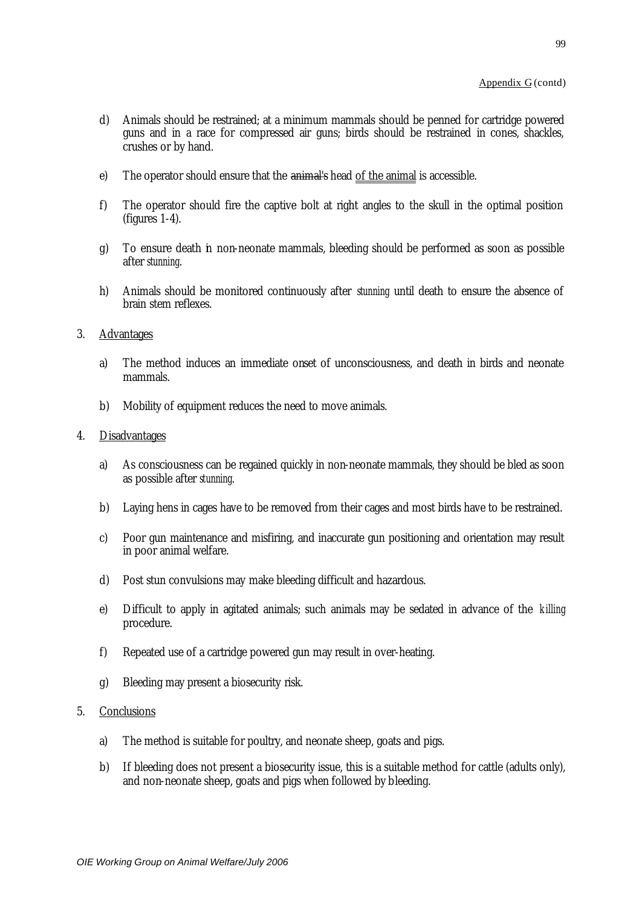- d) Animals should be restrained; at a minimum mammals should be penned for cartridge powered guns and in a race for compressed air guns; birds should be restrained in cones, shackles, crushes or by hand.
- e) The operator should ensure that the animal's head of the animal is accessible.
- f) The operator should fire the captive bolt at right angles to the skull in the optimal position (figures 1-4).
- g) To ensure death in non-neonate mammals, bleeding should be performed as soon as possible after *stunning*.
- h) Animals should be monitored continuously after *stunning* until death to ensure the absence of brain stem reflexes.

#### 3. Advantages

- a) The method induces an immediate onset of unconsciousness, and death in birds and neonate mammals.
- b) Mobility of equipment reduces the need to move animals.

#### 4. Disadvantages

- a) As consciousness can be regained quickly in non-neonate mammals, they should be bled as soon as possible after *stunning*.
- b) Laying hens in cages have to be removed from their cages and most birds have to be restrained.
- c) Poor gun maintenance and misfiring, and inaccurate gun positioning and orientation may result in poor animal welfare.
- d) Post stun convulsions may make bleeding difficult and hazardous.
- e) Difficult to apply in agitated animals; such animals may be sedated in advance of the *killing* procedure.
- f) Repeated use of a cartridge powered gun may result in over-heating.
- g) Bleeding may present a biosecurity risk.

### 5. Conclusions

- a) The method is suitable for poultry, and neonate sheep, goats and pigs.
- b) If bleeding does not present a biosecurity issue, this is a suitable method for cattle (adults only), and non-neonate sheep, goats and pigs when followed by bleeding.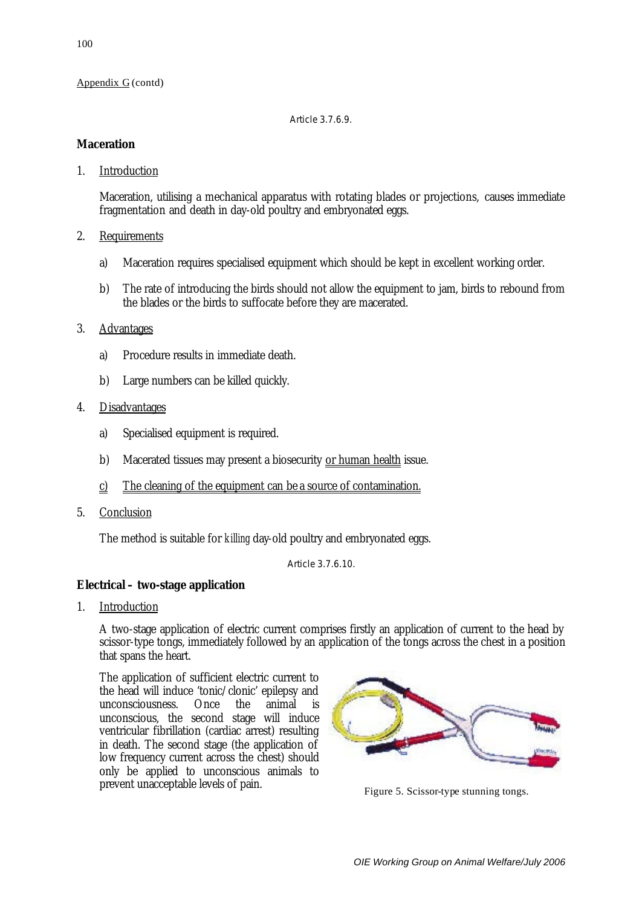#### Article 3.7.6.9.

### **Maceration**

100

### 1. Introduction

Maceration, utilising a mechanical apparatus with rotating blades or projections, causes immediate fragmentation and death in day-old poultry and embryonated eggs.

### 2. Requirements

- a) Maceration requires specialised equipment which should be kept in excellent working order.
- b) The rate of introducing the birds should not allow the equipment to jam, birds to rebound from the blades or the birds to suffocate before they are macerated.

### 3. Advantages

- a) Procedure results in immediate death.
- b) Large numbers can be killed quickly.

### 4. Disadvantages

- a) Specialised equipment is required.
- b) Macerated tissues may present a biosecurity or human health issue.
- c) The cleaning of the equipment can be a source of contamination.
- 5. Conclusion

The method is suitable for *killing* day-old poultry and embryonated eggs.

Article 3.7.6.10.

### **Electrical – two-stage application**

1. Introduction

A two-stage application of electric current comprises firstly an application of current to the head by scissor-type tongs, immediately followed by an application of the tongs across the chest in a position that spans the heart.

The application of sufficient electric current to the head will induce 'tonic/clonic' epilepsy and unconsciousness. Once the animal is unconscious, the second stage will induce ventricular fibrillation (cardiac arrest) resulting in death. The second stage (the application of low frequency current across the chest) should only be applied to unconscious animals to prevent unacceptable levels of pain.<br>Figure 5. Scissor-type stunning tongs.

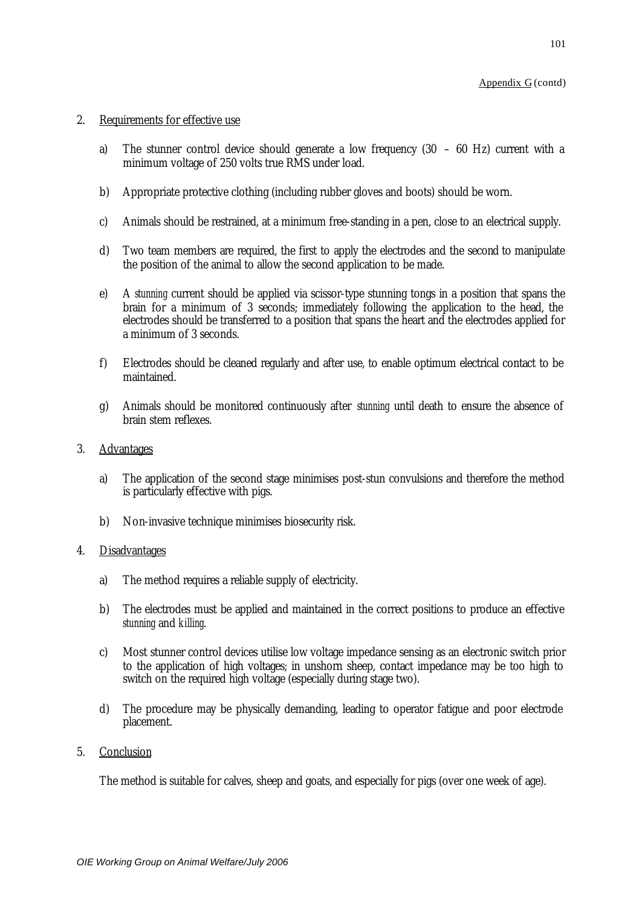### 2. Requirements for effective use

- a) The stunner control device should generate a low frequency  $(30 60 \text{ Hz})$  current with a minimum voltage of 250 volts true RMS under load.
- b) Appropriate protective clothing (including rubber gloves and boots) should be worn.
- c) Animals should be restrained, at a minimum free-standing in a pen, close to an electrical supply.
- d) Two team members are required, the first to apply the electrodes and the second to manipulate the position of the animal to allow the second application to be made.
- e) A *stunning* current should be applied via scissor-type stunning tongs in a position that spans the brain for a minimum of 3 seconds; immediately following the application to the head, the electrodes should be transferred to a position that spans the heart and the electrodes applied for a minimum of 3 seconds.
- f) Electrodes should be cleaned regularly and after use, to enable optimum electrical contact to be maintained.
- g) Animals should be monitored continuously after *stunning* until death to ensure the absence of brain stem reflexes.

### 3. Advantages

- a) The application of the second stage minimises post-stun convulsions and therefore the method is particularly effective with pigs.
- b) Non-invasive technique minimises biosecurity risk.

### 4. Disadvantages

- a) The method requires a reliable supply of electricity.
- b) The electrodes must be applied and maintained in the correct positions to produce an effective *stunning* and *killing*.
- c) Most stunner control devices utilise low voltage impedance sensing as an electronic switch prior to the application of high voltages; in unshorn sheep, contact impedance may be too high to switch on the required high voltage (especially during stage two).
- d) The procedure may be physically demanding, leading to operator fatigue and poor electrode placement.

### 5. Conclusion

The method is suitable for calves, sheep and goats, and especially for pigs (over one week of age).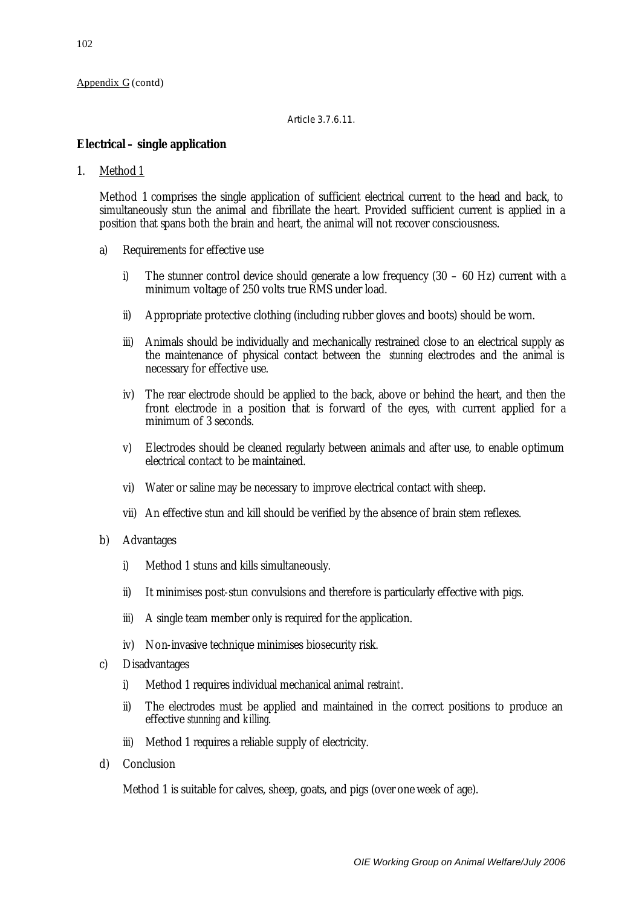#### Article 3.7.6.11.

### **Electrical – single application**

#### 1. Method 1

Method 1 comprises the single application of sufficient electrical current to the head and back, to simultaneously stun the animal and fibrillate the heart. Provided sufficient current is applied in a position that spans both the brain and heart, the animal will not recover consciousness.

- a) Requirements for effective use
	- i) The stunner control device should generate a low frequency (30 60 Hz) current with a minimum voltage of 250 volts true RMS under load.
	- ii) Appropriate protective clothing (including rubber gloves and boots) should be worn.
	- iii) Animals should be individually and mechanically restrained close to an electrical supply as the maintenance of physical contact between the *stunning* electrodes and the animal is necessary for effective use.
	- iv) The rear electrode should be applied to the back, above or behind the heart, and then the front electrode in a position that is forward of the eyes, with current applied for a minimum of 3 seconds.
	- v) Electrodes should be cleaned regularly between animals and after use, to enable optimum electrical contact to be maintained.
	- vi) Water or saline may be necessary to improve electrical contact with sheep.
	- vii) An effective stun and kill should be verified by the absence of brain stem reflexes.
- b) Advantages
	- i) Method 1 stuns and kills simultaneously.
	- ii) It minimises post-stun convulsions and therefore is particularly effective with pigs.
	- iii) A single team member only is required for the application.
	- iv) Non-invasive technique minimises biosecurity risk.
- c) Disadvantages
	- i) Method 1 requires individual mechanical animal *restraint*.
	- ii) The electrodes must be applied and maintained in the correct positions to produce an effective *stunning* and *killing*.
	- iii) Method 1 requires a reliable supply of electricity.
- d) Conclusion

Method 1 is suitable for calves, sheep, goats, and pigs (over one week of age).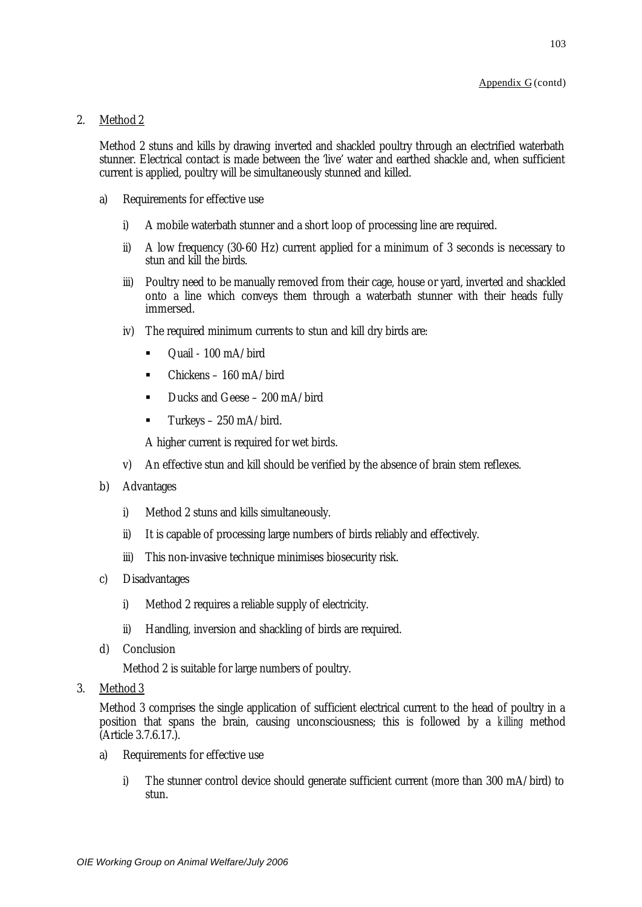### 2. Method 2

Method 2 stuns and kills by drawing inverted and shackled poultry through an electrified waterbath stunner. Electrical contact is made between the 'live' water and earthed shackle and, when sufficient current is applied, poultry will be simultaneously stunned and killed.

- a) Requirements for effective use
	- i) A mobile waterbath stunner and a short loop of processing line are required.
	- ii) A low frequency (30-60 Hz) current applied for a minimum of 3 seconds is necessary to stun and kill the birds.
	- iii) Poultry need to be manually removed from their cage, house or yard, inverted and shackled onto a line which conveys them through a waterbath stunner with their heads fully immersed.
	- iv) The required minimum currents to stun and kill dry birds are:
		- $\blacksquare$  Quail 100 mA/bird
		- $\blacksquare$  Chickens 160 mA/bird
		- **•** Ducks and Geese 200 mA/bird
		- **Turkeys** 250 mA/bird.

A higher current is required for wet birds.

- v) An effective stun and kill should be verified by the absence of brain stem reflexes.
- b) Advantages
	- i) Method 2 stuns and kills simultaneously.
	- ii) It is capable of processing large numbers of birds reliably and effectively.
	- iii) This non-invasive technique minimises biosecurity risk.
- c) Disadvantages
	- i) Method 2 requires a reliable supply of electricity.
	- ii) Handling, inversion and shackling of birds are required.
- d) Conclusion

Method 2 is suitable for large numbers of poultry.

3. Method 3

Method 3 comprises the single application of sufficient electrical current to the head of poultry in a position that spans the brain, causing unconsciousness; this is followed by a *killing* method (Article 3.7.6.17.).

- a) Requirements for effective use
	- i) The stunner control device should generate sufficient current (more than 300 mA/bird) to stun.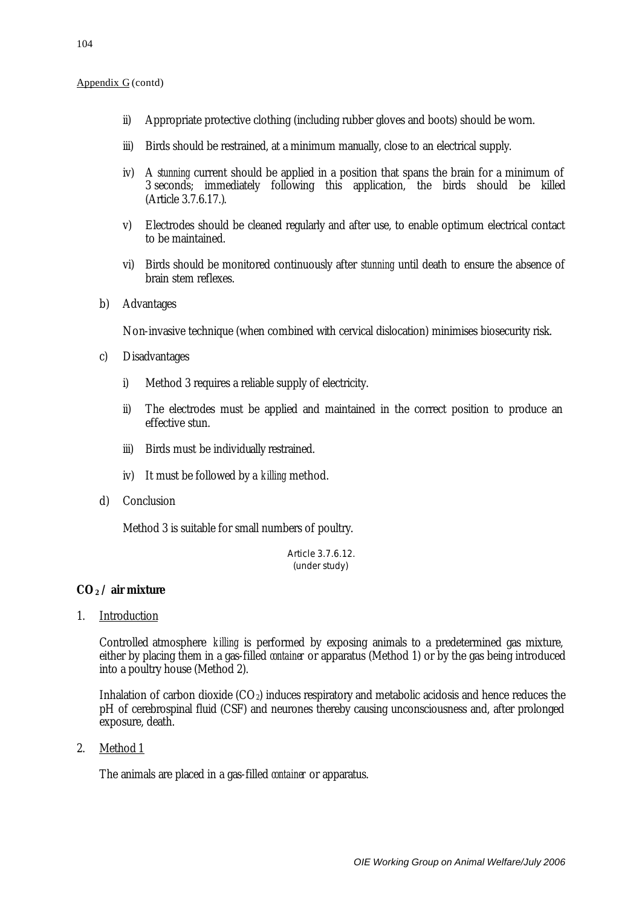104

#### Appendix G (contd)

- ii) Appropriate protective clothing (including rubber gloves and boots) should be worn.
- iii) Birds should be restrained, at a minimum manually, close to an electrical supply.
- iv) A *stunning* current should be applied in a position that spans the brain for a minimum of 3 seconds; immediately following this application, the birds should be killed (Article 3.7.6.17.).
- v) Electrodes should be cleaned regularly and after use, to enable optimum electrical contact to be maintained.
- vi) Birds should be monitored continuously after *stunning* until death to ensure the absence of brain stem reflexes.
- b) Advantages

Non-invasive technique (when combined with cervical dislocation) minimises biosecurity risk.

- c) Disadvantages
	- i) Method 3 requires a reliable supply of electricity.
	- ii) The electrodes must be applied and maintained in the correct position to produce an effective stun.
	- iii) Birds must be individually restrained.
	- iv) It must be followed by a *killing* method.
- d) Conclusion

Method 3 is suitable for small numbers of poultry.

Article 3.7.6.12. (under study)

### **CO2 / air mixture**

1. Introduction

Controlled atmosphere *killing* is performed by exposing animals to a predetermined gas mixture, either by placing them in a gas-filled *container* or apparatus (Method 1) or by the gas being introduced into a poultry house (Method 2).

Inhalation of carbon dioxide  $(CO_2)$  induces respiratory and metabolic acidosis and hence reduces the pH of cerebrospinal fluid (CSF) and neurones thereby causing unconsciousness and, after prolonged exposure, death.

2. Method 1

The animals are placed in a gas-filled *container* or apparatus.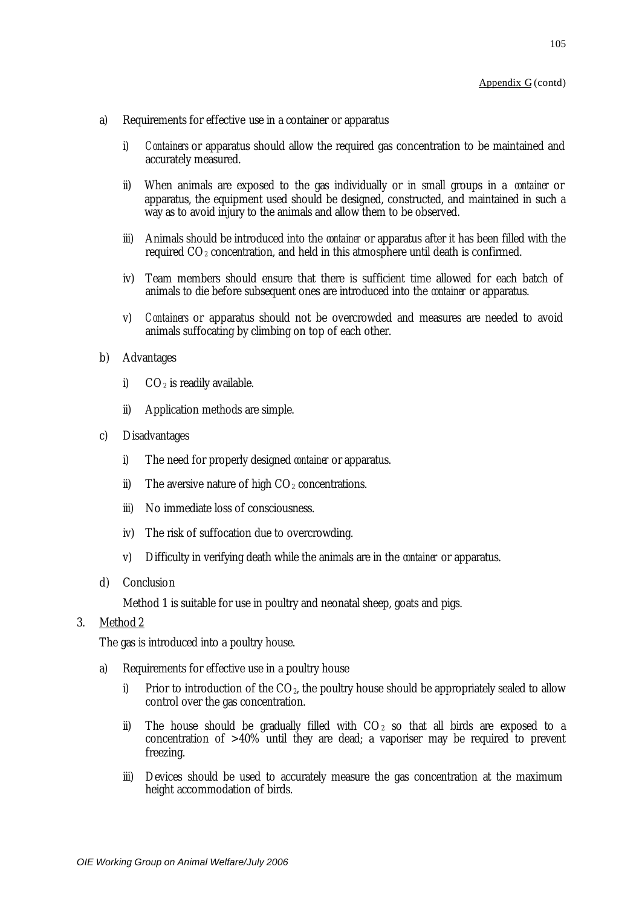- a) Requirements for effective use in a container or apparatus
	- i) *Containers* or apparatus should allow the required gas concentration to be maintained and accurately measured.
	- ii) When animals are exposed to the gas individually or in small groups in a *container* or apparatus, the equipment used should be designed, constructed, and maintained in such a way as to avoid injury to the animals and allow them to be observed.
	- iii) Animals should be introduced into the *container* or apparatus after it has been filled with the required CO2 concentration, and held in this atmosphere until death is confirmed.
	- iv) Team members should ensure that there is sufficient time allowed for each batch of animals to die before subsequent ones are introduced into the *container* or apparatus.
	- v) *Containers* or apparatus should not be overcrowded and measures are needed to avoid animals suffocating by climbing on top of each other.
- b) Advantages
	- i)  $CO<sub>2</sub>$  is readily available.
	- ii) Application methods are simple.
- c) Disadvantages
	- i) The need for properly designed *container* or apparatus.
	- ii) The aversive nature of high  $CO<sub>2</sub>$  concentrations.
	- iii) No immediate loss of consciousness.
	- iv) The risk of suffocation due to overcrowding.
	- v) Difficulty in verifying death while the animals are in the *container* or apparatus.
- d) Conclusion

Method 1 is suitable for use in poultry and neonatal sheep, goats and pigs.

### 3. Method 2

The gas is introduced into a poultry house.

- a) Requirements for effective use in a poultry house
	- i) Prior to introduction of the  $CO<sub>2</sub>$ , the poultry house should be appropriately sealed to allow control over the gas concentration.
	- ii) The house should be gradually filled with  $CO<sub>2</sub>$  so that all birds are exposed to a concentration of >40% until they are dead; a vaporiser may be required to prevent freezing.
	- iii) Devices should be used to accurately measure the gas concentration at the maximum height accommodation of birds.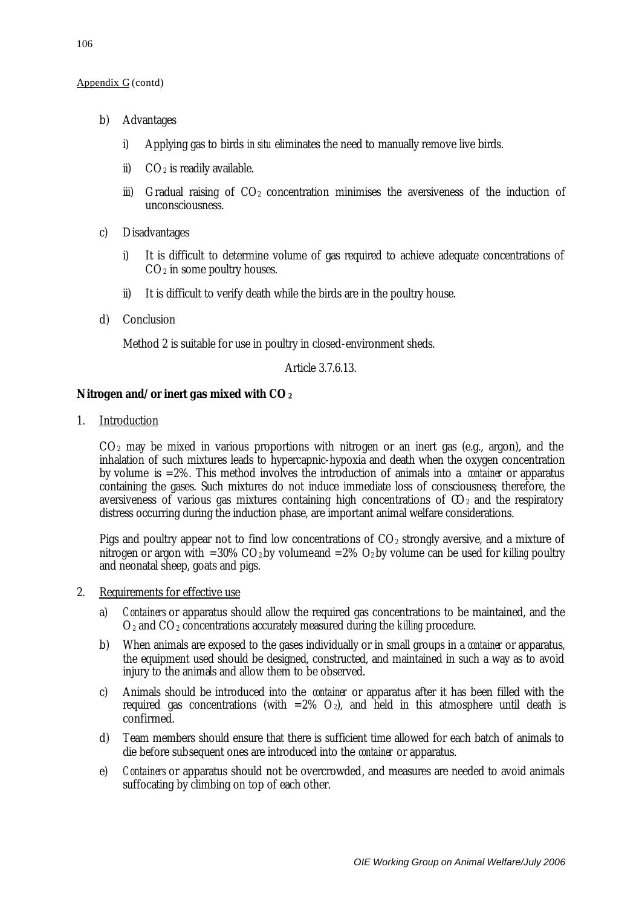- b) Advantages
	- i) Applying gas to birds *in situ* eliminates the need to manually remove live birds.
	- ii)  $CO<sub>2</sub>$  is readily available.
	- iii) Gradual raising of  $CO<sub>2</sub>$  concentration minimises the aversiveness of the induction of unconsciousness.
- c) Disadvantages
	- i) It is difficult to determine volume of gas required to achieve adequate concentrations of  $CO<sub>2</sub>$  in some poultry houses.
	- ii) It is difficult to verify death while the birds are in the poultry house.
- d) Conclusion

Method 2 is suitable for use in poultry in closed-environment sheds.

#### Article 3.7.6.13.

### **Nitrogen and/or inert gas mixed with CO<sup>2</sup>**

1. Introduction

 $CO<sub>2</sub>$  may be mixed in various proportions with nitrogen or an inert gas (e.g., argon), and the inhalation of such mixtures leads to hypercapnic-hypoxia and death when the oxygen concentration by volume is =2%. This method involves the introduction of animals into a *container* or apparatus containing the gases. Such mixtures do not induce immediate loss of consciousness; therefore, the aversiveness of various gas mixtures containing high concentrations of  $\omega_2$  and the respiratory distress occurring during the induction phase, are important animal welfare considerations.

Pigs and poultry appear not to find low concentrations of  $CO<sub>2</sub>$  strongly aversive, and a mixture of nitrogen or argon with  $=30\%$  CO<sub>2</sub> by volumeand  $=2\%$  O<sub>2</sub> by volume can be used for *killing* poultry and neonatal sheep, goats and pigs.

- 2. Requirements for effective use
	- a) *Containers* or apparatus should allow the required gas concentrations to be maintained, and the O2 and CO2 concentrations accurately measured during the *killing* procedure.
	- b) When animals are exposed to the gases individually or in small groups in a *container* or apparatus, the equipment used should be designed, constructed, and maintained in such a way as to avoid injury to the animals and allow them to be observed.
	- c) Animals should be introduced into the *container* or apparatus after it has been filled with the required gas concentrations (with  $=2\%$  O<sub>2</sub>), and held in this atmosphere until death is confirmed.
	- d) Team members should ensure that there is sufficient time allowed for each batch of animals to die before subsequent ones are introduced into the *container* or apparatus.
	- e) *Containers* or apparatus should not be overcrowded, and measures are needed to avoid animals suffocating by climbing on top of each other.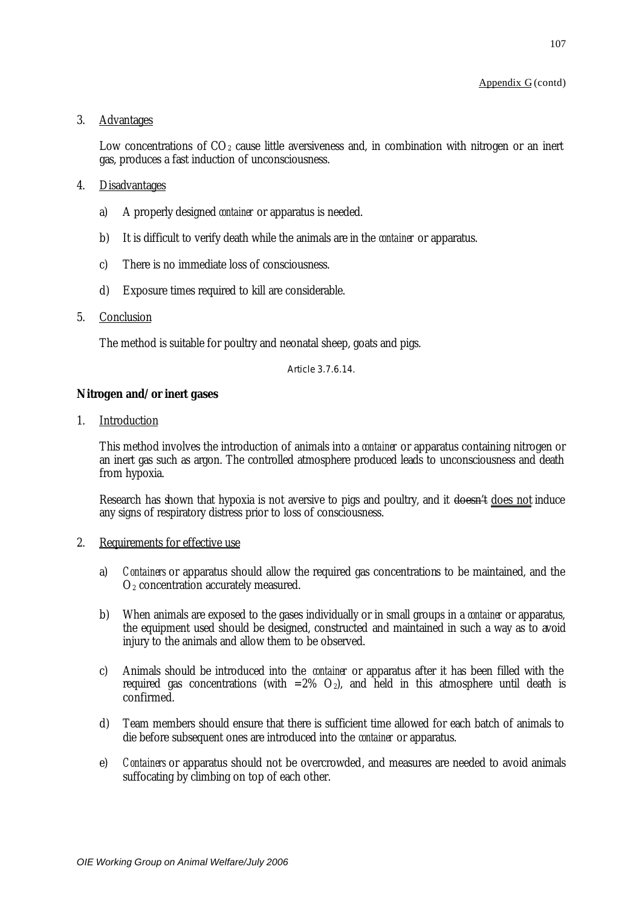### 3. Advantages

Low concentrations of  $CO<sub>2</sub>$  cause little aversiveness and, in combination with nitrogen or an inert gas, produces a fast induction of unconsciousness.

### 4. Disadvantages

- a) A properly designed *container* or apparatus is needed.
- b) It is difficult to verify death while the animals are in the *container* or apparatus.
- c) There is no immediate loss of consciousness.
- d) Exposure times required to kill are considerable.

### 5. Conclusion

The method is suitable for poultry and neonatal sheep, goats and pigs.

Article 3.7.6.14.

### **Nitrogen and/or inert gases**

1. Introduction

This method involves the introduction of animals into a *container* or apparatus containing nitrogen or an inert gas such as argon. The controlled atmosphere produced leads to unconsciousness and death from hypoxia.

Research has shown that hypoxia is not aversive to pigs and poultry, and it doesn't does not induce any signs of respiratory distress prior to loss of consciousness.

### 2. Requirements for effective use

- a) *Containers* or apparatus should allow the required gas concentrations to be maintained, and the O2 concentration accurately measured.
- b) When animals are exposed to the gases individually or in small groups in a *container* or apparatus, the equipment used should be designed, constructed and maintained in such a way as to avoid injury to the animals and allow them to be observed.
- c) Animals should be introduced into the *container* or apparatus after it has been filled with the required gas concentrations (with  $=2\%$  O<sub>2</sub>), and held in this atmosphere until death is confirmed.
- d) Team members should ensure that there is sufficient time allowed for each batch of animals to die before subsequent ones are introduced into the *container* or apparatus.
- e) *Containers* or apparatus should not be overcrowded, and measures are needed to avoid animals suffocating by climbing on top of each other.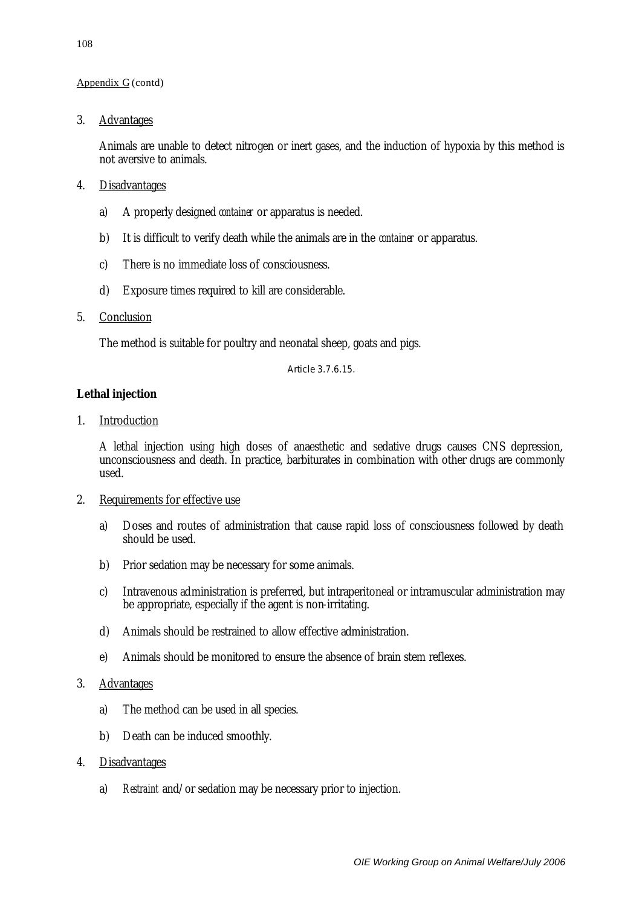### 3. Advantages

Animals are unable to detect nitrogen or inert gases, and the induction of hypoxia by this method is not aversive to animals.

- 4. Disadvantages
	- a) A properly designed *container* or apparatus is needed.
	- b) It is difficult to verify death while the animals are in the *container* or apparatus.
	- c) There is no immediate loss of consciousness.
	- d) Exposure times required to kill are considerable.

#### 5. Conclusion

The method is suitable for poultry and neonatal sheep, goats and pigs.

Article 3.7.6.15.

#### **Lethal injection**

1. Introduction

A lethal injection using high doses of anaesthetic and sedative drugs causes CNS depression, unconsciousness and death. In practice, barbiturates in combination with other drugs are commonly used.

- 2. Requirements for effective use
	- a) Doses and routes of administration that cause rapid loss of consciousness followed by death should be used.
	- b) Prior sedation may be necessary for some animals.
	- c) Intravenous administration is preferred, but intraperitoneal or intramuscular administration may be appropriate, especially if the agent is non-irritating.
	- d) Animals should be restrained to allow effective administration.
	- e) Animals should be monitored to ensure the absence of brain stem reflexes.

#### 3. Advantages

- a) The method can be used in all species.
- b) Death can be induced smoothly.

### 4. Disadvantages

a) *Restraint* and/or sedation may be necessary prior to injection.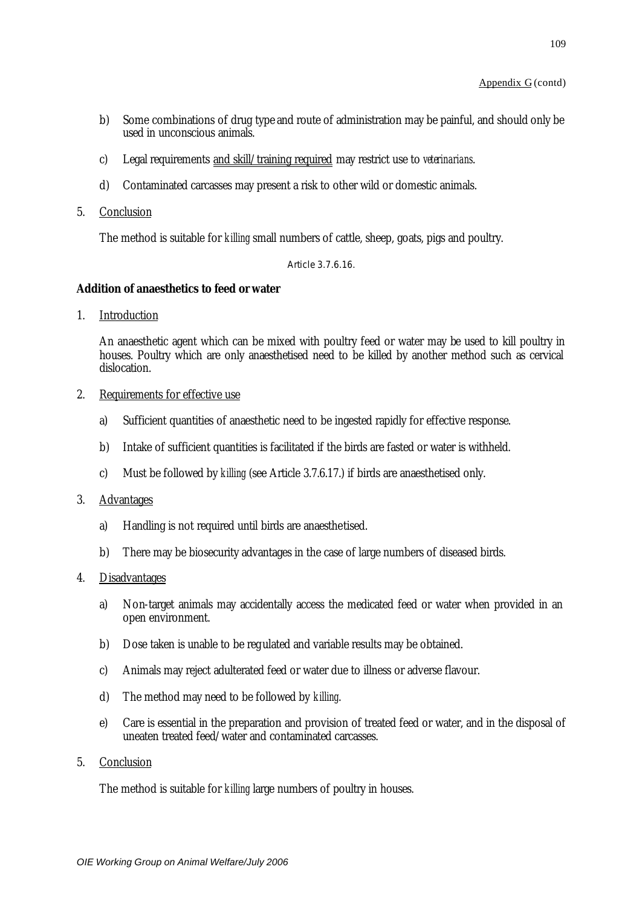#### Appendix G (contd)

- b) Some combinations of drug type and route of administration may be painful, and should only be used in unconscious animals.
- c) Legal requirements and skill/training required may restrict use to *veterinarians*.
- d) Contaminated carcasses may present a risk to other wild or domestic animals.

## 5. Conclusion

The method is suitable for *killing* small numbers of cattle, sheep, goats, pigs and poultry.

#### Article 3.7.6.16.

## **Addition of anaesthetics to feed or water**

# 1. Introduction

An anaesthetic agent which can be mixed with poultry feed or water may be used to kill poultry in houses. Poultry which are only anaesthetised need to be killed by another method such as cervical dislocation.

# 2. Requirements for effective use

- a) Sufficient quantities of anaesthetic need to be ingested rapidly for effective response.
- b) Intake of sufficient quantities is facilitated if the birds are fasted or water is withheld.
- c) Must be followed by *killing* (see Article 3.7.6.17.) if birds are anaesthetised only.

## 3. Advantages

- a) Handling is not required until birds are anaesthetised.
- b) There may be biosecurity advantages in the case of large numbers of diseased birds.

## 4. Disadvantages

- a) Non-target animals may accidentally access the medicated feed or water when provided in an open environment.
- b) Dose taken is unable to be regulated and variable results may be obtained.
- c) Animals may reject adulterated feed or water due to illness or adverse flavour.
- d) The method may need to be followed by *killing*.
- e) Care is essential in the preparation and provision of treated feed or water, and in the disposal of uneaten treated feed/water and contaminated carcasses.

## 5. Conclusion

The method is suitable for *killing* large numbers of poultry in houses.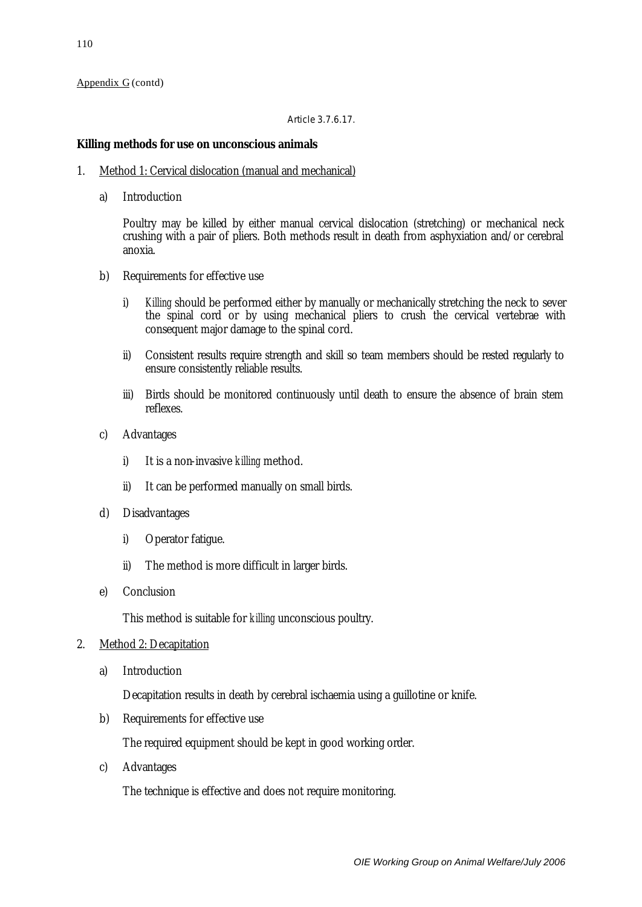Article 3.7.6.17.

#### **Killing methods for use on unconscious animals**

- 1. Method 1: Cervical dislocation (manual and mechanical)
	- a) Introduction

Poultry may be killed by either manual cervical dislocation (stretching) or mechanical neck crushing with a pair of pliers. Both methods result in death from asphyxiation and/or cerebral anoxia.

- b) Requirements for effective use
	- i) *Killing* should be performed either by manually or mechanically stretching the neck to sever the spinal cord or by using mechanical pliers to crush the cervical vertebrae with consequent major damage to the spinal cord.
	- ii) Consistent results require strength and skill so team members should be rested regularly to ensure consistently reliable results.
	- iii) Birds should be monitored continuously until death to ensure the absence of brain stem reflexes.
- c) Advantages
	- i) It is a non-invasive *killing* method.
	- ii) It can be performed manually on small birds.
- d) Disadvantages
	- i) Operator fatigue.
	- ii) The method is more difficult in larger birds.
- e) Conclusion

This method is suitable for *killing* unconscious poultry.

#### 2. Method 2: Decapitation

a) Introduction

Decapitation results in death by cerebral ischaemia using a guillotine or knife.

b) Requirements for effective use

The required equipment should be kept in good working order.

c) Advantages

The technique is effective and does not require monitoring.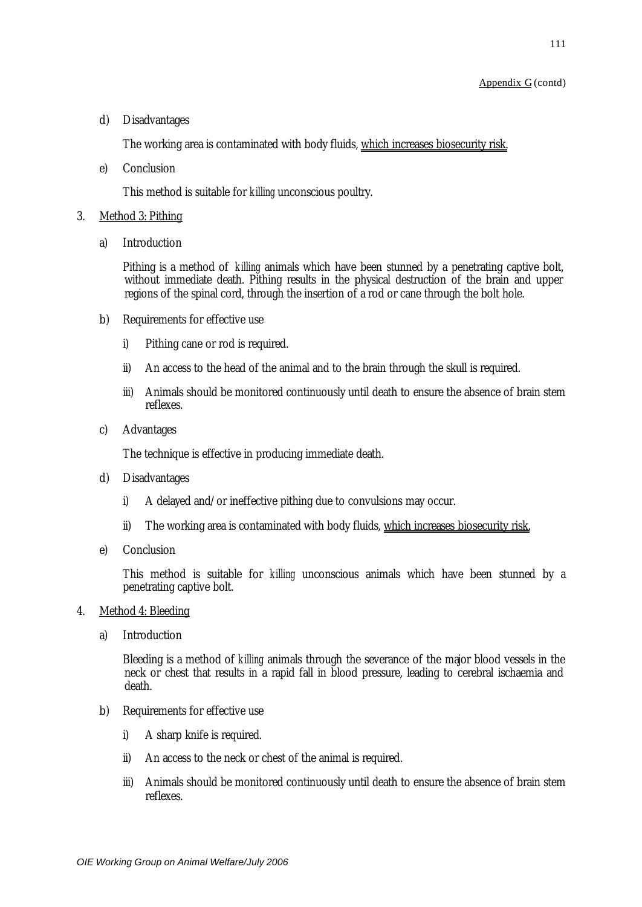## Appendix G (contd)

d) Disadvantages

The working area is contaminated with body fluids, which increases biosecurity risk.

e) Conclusion

This method is suitable for *killing* unconscious poultry.

## 3. Method 3: Pithing

a) Introduction

Pithing is a method of *killing* animals which have been stunned by a penetrating captive bolt, without immediate death. Pithing results in the physical destruction of the brain and upper regions of the spinal cord, through the insertion of a rod or cane through the bolt hole.

- b) Requirements for effective use
	- i) Pithing cane or rod is required.
	- ii) An access to the head of the animal and to the brain through the skull is required.
	- iii) Animals should be monitored continuously until death to ensure the absence of brain stem reflexes.
- c) Advantages

The technique is effective in producing immediate death.

- d) Disadvantages
	- i) A delayed and/or ineffective pithing due to convulsions may occur.
	- ii) The working area is contaminated with body fluids, which increases biosecurity risk.
- e) Conclusion

This method is suitable for *killing* unconscious animals which have been stunned by a penetrating captive bolt.

## 4. Method 4: Bleeding

a) Introduction

Bleeding is a method of *killing* animals through the severance of the major blood vessels in the neck or chest that results in a rapid fall in blood pressure, leading to cerebral ischaemia and death.

- b) Requirements for effective use
	- i) A sharp knife is required.
	- ii) An access to the neck or chest of the animal is required.
	- iii) Animals should be monitored continuously until death to ensure the absence of brain stem reflexes.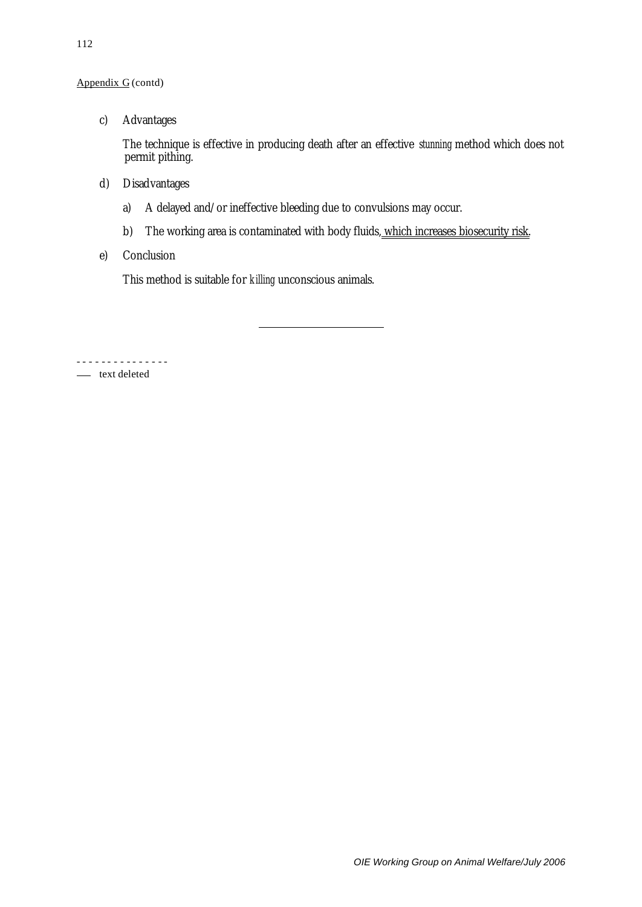c) Advantages

The technique is effective in producing death after an effective *stunning* method which does not permit pithing.

- d) Disadvantages
	- a) A delayed and/or ineffective bleeding due to convulsions may occur.
	- b) The working area is contaminated with body fluids, which increases biosecurity risk.
- e) Conclusion

This method is suitable for *killing* unconscious animals.

- - - - - - - - - - - - - - - - text deleted